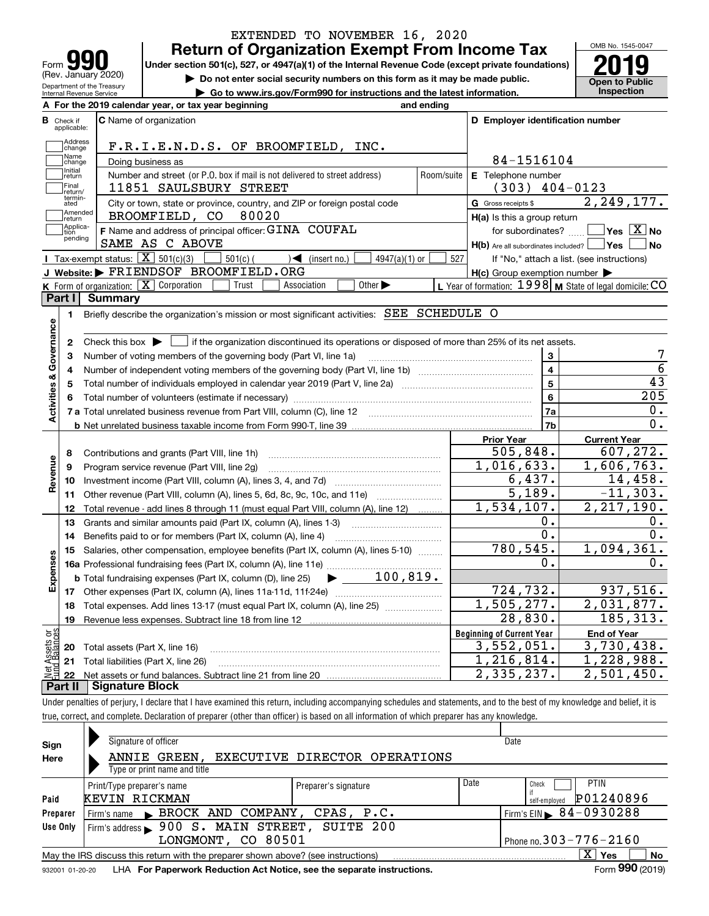|                                                             |                                                                                                                                   | EXTENDED TO NOVEMBER 16, 2020 |                                                           | OMB No. 1545-0047                                                                                                                                                                                           |
|-------------------------------------------------------------|-----------------------------------------------------------------------------------------------------------------------------------|-------------------------------|-----------------------------------------------------------|-------------------------------------------------------------------------------------------------------------------------------------------------------------------------------------------------------------|
|                                                             | <b>Return of Organization Exempt From Income Tax</b>                                                                              |                               |                                                           |                                                                                                                                                                                                             |
| Form<br>(Rev. January 2020)                                 | Under section 501(c), 527, or 4947(a)(1) of the Internal Revenue Code (except private foundations)                                |                               |                                                           |                                                                                                                                                                                                             |
| Department of the Treasury                                  | Do not enter social security numbers on this form as it may be made public.                                                       |                               |                                                           | <b>Open to Public</b><br>Inspection                                                                                                                                                                         |
| Internal Revenue Service                                    | Go to www.irs.gov/Form990 for instructions and the latest information.<br>A For the 2019 calendar year, or tax year beginning     |                               |                                                           |                                                                                                                                                                                                             |
|                                                             |                                                                                                                                   | and ending                    |                                                           |                                                                                                                                                                                                             |
| <b>B</b> Check if<br>applicable:                            | C Name of organization                                                                                                            |                               | D Employer identification number                          |                                                                                                                                                                                                             |
| Address<br>change                                           | F.R.I.E.N.D.S. OF BROOMFIELD, INC.                                                                                                |                               |                                                           |                                                                                                                                                                                                             |
| Name<br>change                                              | Doing business as                                                                                                                 |                               | 84-1516104                                                |                                                                                                                                                                                                             |
| Initial<br>return                                           | Number and street (or P.O. box if mail is not delivered to street address)                                                        | Room/suite                    | E Telephone number                                        |                                                                                                                                                                                                             |
| Final<br>return/                                            | 11851 SAULSBURY STREET                                                                                                            |                               | $(303)$ 404-0123                                          |                                                                                                                                                                                                             |
| termin-<br>ated<br>Amended                                  | City or town, state or province, country, and ZIP or foreign postal code                                                          |                               | G Gross receipts \$                                       | 2, 249, 177.                                                                                                                                                                                                |
| return<br>Applica-                                          | BROOMFIELD, CO 80020                                                                                                              |                               | H(a) Is this a group return                               |                                                                                                                                                                                                             |
| tion<br>pending                                             | F Name and address of principal officer: GINA COUFAL                                                                              |                               | for subordinates?                                         | $\overline{\mathsf{Yes}}$ $\overline{\mathsf{X}}$ No                                                                                                                                                        |
|                                                             | SAME AS C ABOVE                                                                                                                   |                               | $H(b)$ Are all subordinates included? $\Box$ Yes          | No                                                                                                                                                                                                          |
|                                                             | <b>I</b> Tax-exempt status: $\boxed{\mathbf{X}}$ 501(c)(3)<br>$501(c)$ (<br>$\sqrt{\frac{1}{1}}$ (insert no.)<br>$4947(a)(1)$ or  | 527                           | If "No," attach a list. (see instructions)                |                                                                                                                                                                                                             |
|                                                             | J Website: FRIENDSOF BROOMFIELD.ORG                                                                                               |                               | $H(c)$ Group exemption number $\blacktriangleright$       |                                                                                                                                                                                                             |
| Part I                                                      | K Form of organization: $\boxed{\mathbf{X}}$ Corporation<br>Trust<br>Other $\blacktriangleright$<br>Association<br><b>Summary</b> |                               | L Year of formation: $1998$ M State of legal domicile: CO |                                                                                                                                                                                                             |
| 1.                                                          | Briefly describe the organization's mission or most significant activities: SEE SCHEDULE O                                        |                               |                                                           |                                                                                                                                                                                                             |
| Activities & Governance                                     | Total number of individuals employed in calendar year 2019 (Part V, line 2a) manufacture controller to intervent                  |                               | $\overline{4}$<br>$\overline{5}$                          |                                                                                                                                                                                                             |
|                                                             |                                                                                                                                   |                               |                                                           |                                                                                                                                                                                                             |
|                                                             |                                                                                                                                   |                               | $6\phantom{a}$                                            |                                                                                                                                                                                                             |
|                                                             |                                                                                                                                   |                               | 7a                                                        |                                                                                                                                                                                                             |
|                                                             |                                                                                                                                   |                               | 7b                                                        |                                                                                                                                                                                                             |
|                                                             |                                                                                                                                   |                               | <b>Prior Year</b>                                         | <b>Current Year</b>                                                                                                                                                                                         |
| 8                                                           | Contributions and grants (Part VIII, line 1h)                                                                                     |                               | 505,848.                                                  |                                                                                                                                                                                                             |
| 9                                                           | Program service revenue (Part VIII, line 2g)                                                                                      |                               | 1,016,633.                                                |                                                                                                                                                                                                             |
| 10                                                          |                                                                                                                                   |                               | 6,437.                                                    |                                                                                                                                                                                                             |
| 11                                                          |                                                                                                                                   |                               | 5,189.                                                    |                                                                                                                                                                                                             |
| 12                                                          | Total revenue - add lines 8 through 11 (must equal Part VIII, column (A), line 12)                                                |                               | 1,534,107.                                                |                                                                                                                                                                                                             |
| 13                                                          | Grants and similar amounts paid (Part IX, column (A), lines 1-3)                                                                  |                               | 0.                                                        |                                                                                                                                                                                                             |
| 14                                                          | Benefits paid to or for members (Part IX, column (A), line 4)                                                                     |                               | $\overline{0}$ .                                          |                                                                                                                                                                                                             |
|                                                             | 15 Salaries, other compensation, employee benefits (Part IX, column (A), lines 5-10)                                              |                               | 780, 545.<br>0.                                           |                                                                                                                                                                                                             |
|                                                             |                                                                                                                                   |                               |                                                           |                                                                                                                                                                                                             |
|                                                             |                                                                                                                                   |                               |                                                           |                                                                                                                                                                                                             |
| 18                                                          | Total expenses. Add lines 13-17 (must equal Part IX, column (A), line 25)                                                         |                               | 724,732.<br>1,505,277.                                    |                                                                                                                                                                                                             |
| 19                                                          |                                                                                                                                   |                               | 28,830.                                                   |                                                                                                                                                                                                             |
|                                                             |                                                                                                                                   |                               | <b>Beginning of Current Year</b>                          | <b>End of Year</b>                                                                                                                                                                                          |
| 20                                                          | Total assets (Part X, line 16)                                                                                                    |                               | 3,552,051.                                                |                                                                                                                                                                                                             |
| 21                                                          | Total liabilities (Part X, line 26)                                                                                               |                               | 1,216,814.                                                | 43<br>205<br>0.<br>$\overline{0}$ .<br>607,272.<br>1,606,763.<br>14,458.<br>$-11,303.$<br>2, 217, 190.<br>0.<br>$0$ .<br>1,094,361.<br>0.<br>937,516.<br>2,031,877.<br>185,313.<br>3,730,438.<br>1,228,988. |
| Revenue<br>Expenses<br>Net Assets or<br>Eund Balances<br>22 | <b>Signature Block</b>                                                                                                            |                               | 2,335,237.                                                | 2,501,450.                                                                                                                                                                                                  |

true, correct, and complete. Declaration of preparer (other than officer) is based on all information of which preparer has any knowledge.

| Sign            | Signature of officer                                                              |                               |                              | Date                                   |
|-----------------|-----------------------------------------------------------------------------------|-------------------------------|------------------------------|----------------------------------------|
| Here            | ANNIE GREEN.                                                                      | EXECUTIVE DIRECTOR OPERATIONS |                              |                                        |
|                 | Type or print name and title                                                      |                               |                              |                                        |
|                 | Print/Type preparer's name                                                        | Preparer's signature          | Date                         | <b>PTIN</b><br>Check                   |
| Paid            | KEVIN RICKMAN                                                                     |                               |                              | P01240896<br>self-employed             |
| Preparer        | Firm's name BROCK AND COMPANY, CPAS, P.C.                                         |                               |                              | Firm's EIN $\triangleright$ 84-0930288 |
| Use Only        | Firm's address > 900 S. MAIN STREET, SUITE 200                                    |                               |                              |                                        |
|                 | LONGMONT, CO 80501                                                                |                               | Phone no. $303 - 776 - 2160$ |                                        |
|                 | May the IRS discuss this return with the preparer shown above? (see instructions) |                               |                              | x<br>No<br>Yes                         |
| 932001 01-20-20 | LHA For Paperwork Reduction Act Notice, see the separate instructions.            |                               |                              | Form 990 (2019)                        |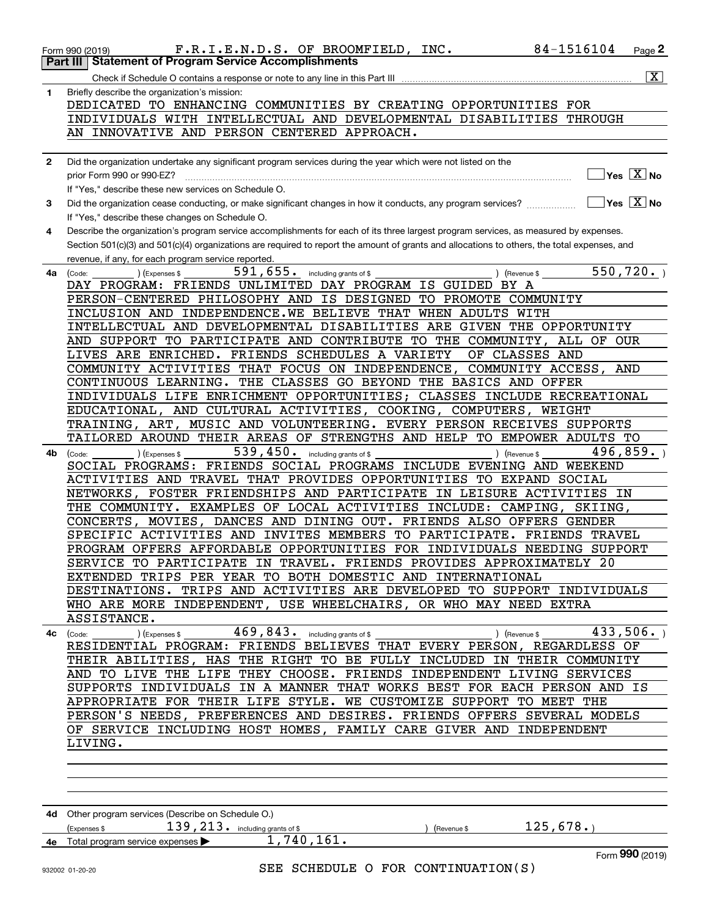|              | F.R.I.E.N.D.S. OF BROOMFIELD, INC.<br>Form 990 (2019)                                                                                        | 84-1516104               | Page $2$                                         |
|--------------|----------------------------------------------------------------------------------------------------------------------------------------------|--------------------------|--------------------------------------------------|
|              | <b>Statement of Program Service Accomplishments</b><br>Part III                                                                              |                          |                                                  |
|              |                                                                                                                                              |                          | $\overline{\mathbf{X}}$                          |
| 1            | Briefly describe the organization's mission:                                                                                                 |                          |                                                  |
|              | DEDICATED TO ENHANCING COMMUNITIES BY CREATING OPPORTUNITIES FOR                                                                             |                          |                                                  |
|              | INDIVIDUALS WITH INTELLECTUAL AND DEVELOPMENTAL DISABILITIES THROUGH                                                                         |                          |                                                  |
|              | AN INNOVATIVE AND PERSON CENTERED APPROACH.                                                                                                  |                          |                                                  |
|              |                                                                                                                                              |                          |                                                  |
| $\mathbf{2}$ | Did the organization undertake any significant program services during the year which were not listed on the                                 |                          |                                                  |
|              | prior Form 990 or 990-EZ?                                                                                                                    |                          | $\overline{\ }$ Yes $\overline{\phantom{a}X}$ No |
|              | If "Yes," describe these new services on Schedule O.                                                                                         |                          |                                                  |
| 3            | Did the organization cease conducting, or make significant changes in how it conducts, any program services?                                 | $\Box$ Yes $\Box$ No     |                                                  |
|              | If "Yes," describe these changes on Schedule O.                                                                                              |                          |                                                  |
| 4            | Describe the organization's program service accomplishments for each of its three largest program services, as measured by expenses.         |                          |                                                  |
|              | Section 501(c)(3) and 501(c)(4) organizations are required to report the amount of grants and allocations to others, the total expenses, and |                          |                                                  |
|              | revenue, if any, for each program service reported.<br>591,655. including grants of \$                                                       | 550, 720.                |                                                  |
| 4a           | ) (Expenses \$<br>(Code:<br>DAY PROGRAM: FRIENDS UNLIMITED DAY PROGRAM IS GUIDED BY A                                                        | $\sqrt{$ (Revenue \$     |                                                  |
|              | PERSON-CENTERED PHILOSOPHY AND IS DESIGNED TO PROMOTE COMMUNITY                                                                              |                          |                                                  |
|              | INCLUSION AND INDEPENDENCE.WE BELIEVE THAT WHEN ADULTS WITH                                                                                  |                          |                                                  |
|              | INTELLECTUAL AND DEVELOPMENTAL DISABILITIES ARE GIVEN THE OPPORTUNITY                                                                        |                          |                                                  |
|              | AND SUPPORT TO PARTICIPATE AND CONTRIBUTE TO THE COMMUNITY, ALL OF OUR                                                                       |                          |                                                  |
|              | LIVES ARE ENRICHED. FRIENDS SCHEDULES A VARIETY<br>OF CLASSES AND                                                                            |                          |                                                  |
|              | COMMUNITY ACTIVITIES THAT FOCUS ON INDEPENDENCE,                                                                                             | COMMUNITY ACCESS,<br>AND |                                                  |
|              | CONTINUOUS LEARNING. THE CLASSES GO BEYOND THE BASICS AND OFFER                                                                              |                          |                                                  |
|              | INDIVIDUALS LIFE ENRICHMENT OPPORTUNITIES; CLASSES INCLUDE RECREATIONAL                                                                      |                          |                                                  |
|              | EDUCATIONAL, AND CULTURAL ACTIVITIES, COOKING, COMPUTERS, WEIGHT                                                                             |                          |                                                  |
|              | TRAINING, ART, MUSIC AND VOLUNTEERING. EVERY PERSON RECEIVES SUPPORTS                                                                        |                          |                                                  |
|              | TAILORED AROUND THEIR AREAS OF STRENGTHS AND HELP TO EMPOWER ADULTS TO                                                                       |                          |                                                  |
| 4b           | 539, 450. including grants of \$<br>) (Expenses \$<br>) (Revenue \$<br>(Code:                                                                | 496,859.                 |                                                  |
|              | SOCIAL PROGRAMS: FRIENDS SOCIAL PROGRAMS INCLUDE EVENING AND WEEKEND                                                                         |                          |                                                  |
|              | ACTIVITIES AND TRAVEL THAT PROVIDES OPPORTUNITIES TO EXPAND SOCIAL                                                                           |                          |                                                  |
|              | NETWORKS, FOSTER FRIENDSHIPS AND PARTICIPATE IN LEISURE ACTIVITIES IN                                                                        |                          |                                                  |
|              | THE COMMUNITY. EXAMPLES OF LOCAL ACTIVITIES INCLUDE: CAMPING,                                                                                | SKIING,                  |                                                  |
|              | CONCERTS, MOVIES, DANCES AND DINING OUT. FRIENDS ALSO OFFERS GENDER                                                                          | FRIENDS TRAVEL           |                                                  |
|              | SPECIFIC ACTIVITIES AND INVITES MEMBERS TO PARTICIPATE.<br>PROGRAM OFFERS AFFORDABLE OPPORTUNITIES FOR INDIVIDUALS NEEDING SUPPORT           |                          |                                                  |
|              | SERVICE TO PARTICIPATE IN TRAVEL. FRIENDS PROVIDES APPROXIMATELY 20                                                                          |                          |                                                  |
|              | EXTENDED TRIPS PER YEAR TO BOTH DOMESTIC AND INTERNATIONAL                                                                                   |                          |                                                  |
|              | DESTINATIONS. TRIPS AND ACTIVITIES ARE DEVELOPED TO SUPPORT INDIVIDUALS                                                                      |                          |                                                  |
|              | WHO ARE MORE INDEPENDENT, USE WHEELCHAIRS, OR WHO MAY NEED EXTRA                                                                             |                          |                                                  |
|              | ASSISTANCE.                                                                                                                                  |                          |                                                  |
| 4с           | ) (Expenses \$ $469$ , $843$ $\ldots$ including grants of \$ $\ldots$<br>) (Revenue \$<br>(Code:                                             | 433,506.                 |                                                  |
|              | RESIDENTIAL PROGRAM: FRIENDS BELIEVES THAT EVERY PERSON, REGARDLESS OF                                                                       |                          |                                                  |
|              | THEIR ABILITIES, HAS THE RIGHT TO BE FULLY INCLUDED IN THEIR COMMUNITY                                                                       |                          |                                                  |
|              | AND TO LIVE THE LIFE THEY CHOOSE. FRIENDS INDEPENDENT LIVING SERVICES                                                                        |                          |                                                  |
|              | SUPPORTS INDIVIDUALS IN A MANNER THAT WORKS BEST FOR EACH PERSON AND IS                                                                      |                          |                                                  |
|              | APPROPRIATE FOR THEIR LIFE STYLE. WE CUSTOMIZE SUPPORT TO MEET THE                                                                           |                          |                                                  |
|              | PERSON'S NEEDS, PREFERENCES AND DESIRES. FRIENDS OFFERS SEVERAL MODELS                                                                       |                          |                                                  |
|              | OF SERVICE INCLUDING HOST HOMES, FAMILY CARE GIVER AND INDEPENDENT                                                                           |                          |                                                  |
|              | LIVING.                                                                                                                                      |                          |                                                  |
|              |                                                                                                                                              |                          |                                                  |
|              |                                                                                                                                              |                          |                                                  |
|              |                                                                                                                                              |                          |                                                  |
|              |                                                                                                                                              |                          |                                                  |
|              | 4d Other program services (Describe on Schedule O.)<br>$139$ , $213$ or including grants of \$                                               | 125,678.                 |                                                  |
|              | (Expenses \$<br>(Revenue \$<br>1,740,161.<br>4e Total program service expenses                                                               |                          |                                                  |
|              |                                                                                                                                              |                          | Form 990 (2019)                                  |
|              | SEE SCHEDULE O FOR CONTINUATION(S)<br>932002 01-20-20                                                                                        |                          |                                                  |
|              |                                                                                                                                              |                          |                                                  |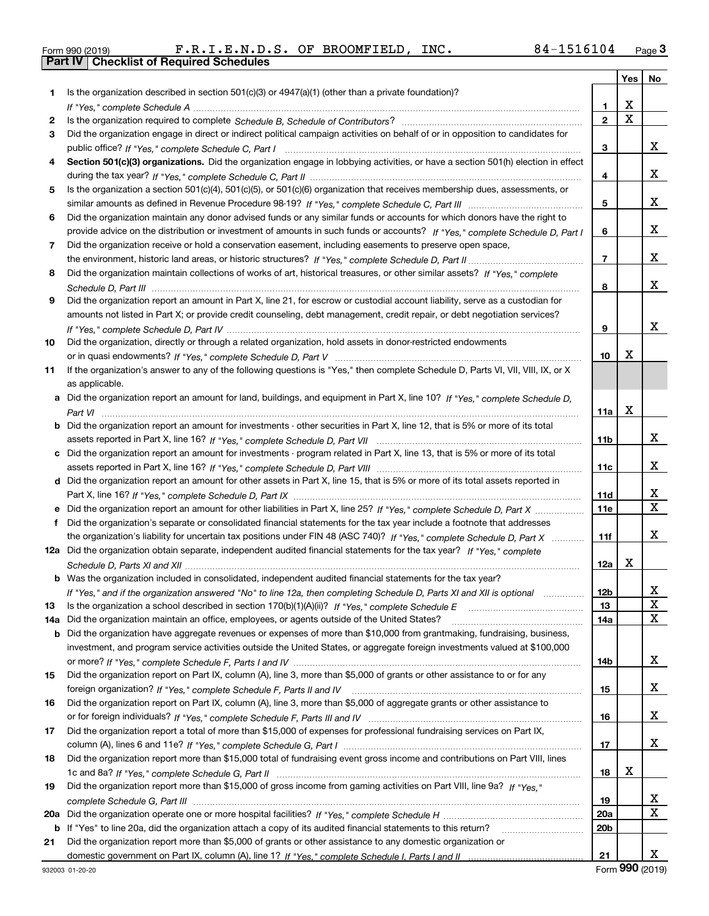| Form 990 (2019) |  |  |
|-----------------|--|--|

Form 990 (2019) F.R.I.E.N.D.S. OF BROOMFIELD*,* INC. 8 4-1516104 <sub>Page</sub> 3<br>**Part IV | Checklist of Required Schedules** 

|     |                                                                                                                                  |                 | Yes   No    |             |
|-----|----------------------------------------------------------------------------------------------------------------------------------|-----------------|-------------|-------------|
| 1   | Is the organization described in section 501(c)(3) or 4947(a)(1) (other than a private foundation)?                              |                 |             |             |
|     |                                                                                                                                  | 1               | х           |             |
| 2   |                                                                                                                                  | $\overline{2}$  | $\mathbf X$ |             |
| 3   | Did the organization engage in direct or indirect political campaign activities on behalf of or in opposition to candidates for  |                 |             |             |
|     |                                                                                                                                  | з               |             | X.          |
| 4   | Section 501(c)(3) organizations. Did the organization engage in lobbying activities, or have a section 501(h) election in effect |                 |             |             |
|     |                                                                                                                                  | 4               |             | x           |
| 5   | Is the organization a section 501(c)(4), 501(c)(5), or 501(c)(6) organization that receives membership dues, assessments, or     |                 |             |             |
|     |                                                                                                                                  | 5               |             | x           |
| 6   | Did the organization maintain any donor advised funds or any similar funds or accounts for which donors have the right to        |                 |             |             |
|     | provide advice on the distribution or investment of amounts in such funds or accounts? If "Yes," complete Schedule D, Part I     | 6               |             | x           |
| 7   | Did the organization receive or hold a conservation easement, including easements to preserve open space,                        |                 |             |             |
|     |                                                                                                                                  | $\overline{7}$  |             | x           |
| 8   | Did the organization maintain collections of works of art, historical treasures, or other similar assets? If "Yes," complete     |                 |             |             |
|     |                                                                                                                                  | 8               |             | x           |
| 9   | Did the organization report an amount in Part X, line 21, for escrow or custodial account liability, serve as a custodian for    |                 |             |             |
|     | amounts not listed in Part X; or provide credit counseling, debt management, credit repair, or debt negotiation services?        |                 |             |             |
|     |                                                                                                                                  | 9               |             | x           |
| 10  | Did the organization, directly or through a related organization, hold assets in donor-restricted endowments                     |                 |             |             |
|     |                                                                                                                                  | 10              | x           |             |
| 11  | If the organization's answer to any of the following questions is "Yes," then complete Schedule D, Parts VI, VII, VIII, IX, or X |                 |             |             |
|     | as applicable.                                                                                                                   |                 |             |             |
|     | Did the organization report an amount for land, buildings, and equipment in Part X, line 10? If "Yes," complete Schedule D,      |                 |             |             |
|     |                                                                                                                                  | 11a             | X           |             |
| b   | Did the organization report an amount for investments - other securities in Part X, line 12, that is 5% or more of its total     |                 |             |             |
|     |                                                                                                                                  | 11b             |             | x           |
| c   | Did the organization report an amount for investments - program related in Part X, line 13, that is 5% or more of its total      |                 |             |             |
|     |                                                                                                                                  | 11c             |             | x           |
|     | d Did the organization report an amount for other assets in Part X, line 15, that is 5% or more of its total assets reported in  |                 |             |             |
|     |                                                                                                                                  | 11d             |             | x           |
|     | Did the organization report an amount for other liabilities in Part X, line 25? If "Yes," complete Schedule D, Part X            | 11e             |             | $\mathbf X$ |
| f   | Did the organization's separate or consolidated financial statements for the tax year include a footnote that addresses          |                 |             |             |
|     | the organization's liability for uncertain tax positions under FIN 48 (ASC 740)? If "Yes," complete Schedule D, Part X           | 11f             |             | x           |
|     | 12a Did the organization obtain separate, independent audited financial statements for the tax year? If "Yes," complete          |                 |             |             |
|     |                                                                                                                                  | 12a             | X           |             |
|     | <b>b</b> Was the organization included in consolidated, independent audited financial statements for the tax year?               |                 |             |             |
|     | If "Yes," and if the organization answered "No" to line 12a, then completing Schedule D, Parts XI and XII is optional            | 12 <sub>b</sub> |             | х           |
| 13  | Is the organization a school described in section 170(b)(1)(A)(ii)? If "Yes," complete Schedule E                                | 13              |             | X           |
| 14a | Did the organization maintain an office, employees, or agents outside of the United States?                                      | 14a             |             | X           |
| b   | Did the organization have aggregate revenues or expenses of more than \$10,000 from grantmaking, fundraising, business,          |                 |             |             |
|     | investment, and program service activities outside the United States, or aggregate foreign investments valued at \$100,000       |                 |             |             |
|     |                                                                                                                                  | 14b             |             | X           |
| 15  | Did the organization report on Part IX, column (A), line 3, more than \$5,000 of grants or other assistance to or for any        |                 |             |             |
|     |                                                                                                                                  | 15              |             | X           |
| 16  | Did the organization report on Part IX, column (A), line 3, more than \$5,000 of aggregate grants or other assistance to         |                 |             |             |
|     |                                                                                                                                  | 16              |             | X           |
| 17  | Did the organization report a total of more than \$15,000 of expenses for professional fundraising services on Part IX,          |                 |             |             |
|     |                                                                                                                                  | 17              |             | X.          |
| 18  | Did the organization report more than \$15,000 total of fundraising event gross income and contributions on Part VIII, lines     |                 |             |             |
|     |                                                                                                                                  | 18              | x           |             |
| 19  | Did the organization report more than \$15,000 of gross income from gaming activities on Part VIII, line 9a? If "Yes."           |                 |             |             |
|     |                                                                                                                                  | 19              |             | X           |
| 20a |                                                                                                                                  | <b>20a</b>      |             | X           |
| b   | If "Yes" to line 20a, did the organization attach a copy of its audited financial statements to this return?                     | 20 <sub>b</sub> |             |             |
| 21  | Did the organization report more than \$5,000 of grants or other assistance to any domestic organization or                      |                 |             |             |
|     |                                                                                                                                  | 21              |             | X.          |

Form (2019) **990**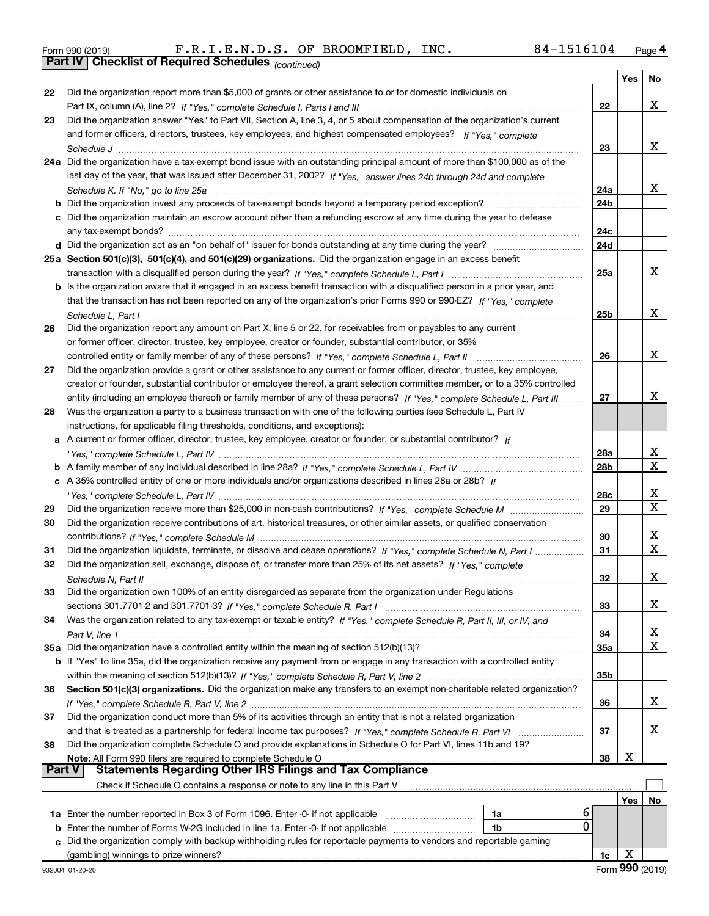|  | Form 990 (2019) |  |
|--|-----------------|--|
|  |                 |  |

*(continued)* Form 990 (2019) F.R.I.E.N.D.S. OF BROOMFIELD, INC. 8 4-1516104 <sub>Page</sub> 4<br>**Part IV | Checklist of Required Schedules** <sub>(continued)</sub>

|               |                                                                                                                              |                 | Yes | No                      |
|---------------|------------------------------------------------------------------------------------------------------------------------------|-----------------|-----|-------------------------|
| 22            | Did the organization report more than \$5,000 of grants or other assistance to or for domestic individuals on                |                 |     |                         |
|               |                                                                                                                              | 22              |     | x                       |
| 23            | Did the organization answer "Yes" to Part VII, Section A, line 3, 4, or 5 about compensation of the organization's current   |                 |     |                         |
|               | and former officers, directors, trustees, key employees, and highest compensated employees? If "Yes," complete               |                 |     |                         |
|               |                                                                                                                              | 23              |     | x                       |
|               | 24a Did the organization have a tax-exempt bond issue with an outstanding principal amount of more than \$100,000 as of the  |                 |     |                         |
|               | last day of the year, that was issued after December 31, 2002? If "Yes," answer lines 24b through 24d and complete           |                 |     |                         |
|               |                                                                                                                              | 24a             |     | x                       |
|               |                                                                                                                              | 24b             |     |                         |
|               | c Did the organization maintain an escrow account other than a refunding escrow at any time during the year to defease       |                 |     |                         |
|               |                                                                                                                              | 24c             |     |                         |
|               |                                                                                                                              | 24d             |     |                         |
|               | 25a Section 501(c)(3), 501(c)(4), and 501(c)(29) organizations. Did the organization engage in an excess benefit             |                 |     |                         |
|               |                                                                                                                              | 25a             |     | x                       |
|               | b Is the organization aware that it engaged in an excess benefit transaction with a disqualified person in a prior year, and |                 |     |                         |
|               | that the transaction has not been reported on any of the organization's prior Forms 990 or 990-EZ? If "Yes," complete        |                 |     |                         |
|               | Schedule L. Part I                                                                                                           | 25 <sub>b</sub> |     | x                       |
| 26            | Did the organization report any amount on Part X, line 5 or 22, for receivables from or payables to any current              |                 |     |                         |
|               | or former officer, director, trustee, key employee, creator or founder, substantial contributor, or 35%                      |                 |     |                         |
|               | controlled entity or family member of any of these persons? If "Yes," complete Schedule L, Part II                           | 26              |     | x                       |
| 27            | Did the organization provide a grant or other assistance to any current or former officer, director, trustee, key employee,  |                 |     |                         |
|               | creator or founder, substantial contributor or employee thereof, a grant selection committee member, or to a 35% controlled  |                 |     |                         |
|               | entity (including an employee thereof) or family member of any of these persons? If "Yes," complete Schedule L, Part III     | 27              |     | x                       |
| 28            | Was the organization a party to a business transaction with one of the following parties (see Schedule L, Part IV            |                 |     |                         |
|               | instructions, for applicable filing thresholds, conditions, and exceptions):                                                 |                 |     |                         |
|               | a A current or former officer, director, trustee, key employee, creator or founder, or substantial contributor? If           |                 |     |                         |
|               |                                                                                                                              | 28a             |     | x                       |
|               |                                                                                                                              | 28 <sub>b</sub> |     | $\overline{\mathbf{x}}$ |
|               | c A 35% controlled entity of one or more individuals and/or organizations described in lines 28a or 28b? If                  |                 |     |                         |
|               |                                                                                                                              | 28c             |     | х                       |
| 29            |                                                                                                                              | 29              |     | $\mathbf X$             |
| 30            | Did the organization receive contributions of art, historical treasures, or other similar assets, or qualified conservation  |                 |     |                         |
|               |                                                                                                                              | 30              |     | х                       |
| 31            | Did the organization liquidate, terminate, or dissolve and cease operations? If "Yes," complete Schedule N, Part I           | 31              |     | $\overline{\mathbf{x}}$ |
| 32            | Did the organization sell, exchange, dispose of, or transfer more than 25% of its net assets? If "Yes," complete             |                 |     |                         |
|               |                                                                                                                              | 32              |     | х                       |
| 33            | Did the organization own 100% of an entity disregarded as separate from the organization under Regulations                   |                 |     |                         |
|               |                                                                                                                              | 33              |     | x                       |
| 34            | Was the organization related to any tax-exempt or taxable entity? If "Yes," complete Schedule R, Part II, III, or IV, and    |                 |     |                         |
|               |                                                                                                                              | 34              |     | x                       |
|               | 35a Did the organization have a controlled entity within the meaning of section 512(b)(13)?                                  | 35a             |     | x                       |
|               | b If "Yes" to line 35a, did the organization receive any payment from or engage in any transaction with a controlled entity  |                 |     |                         |
|               |                                                                                                                              | 35b             |     |                         |
| 36            | Section 501(c)(3) organizations. Did the organization make any transfers to an exempt non-charitable related organization?   |                 |     |                         |
|               |                                                                                                                              | 36              |     | x                       |
| 37            | Did the organization conduct more than 5% of its activities through an entity that is not a related organization             |                 |     |                         |
|               |                                                                                                                              | 37              |     | x                       |
| 38            | Did the organization complete Schedule O and provide explanations in Schedule O for Part VI, lines 11b and 19?               |                 |     |                         |
|               | Note: All Form 990 filers are required to complete Schedule O                                                                | 38              | х   |                         |
| <b>Part V</b> | <b>Statements Regarding Other IRS Filings and Tax Compliance</b>                                                             |                 |     |                         |
|               | Check if Schedule O contains a response or note to any line in this Part V                                                   |                 |     |                         |
|               |                                                                                                                              |                 | Yes | No                      |
|               | 6<br>1a                                                                                                                      |                 |     |                         |
| b             | 0<br>Enter the number of Forms W-2G included in line 1a. Enter -0- if not applicable<br>1b                                   |                 |     |                         |
| c             | Did the organization comply with backup withholding rules for reportable payments to vendors and reportable gaming           |                 |     |                         |
|               |                                                                                                                              | 1c              | х   |                         |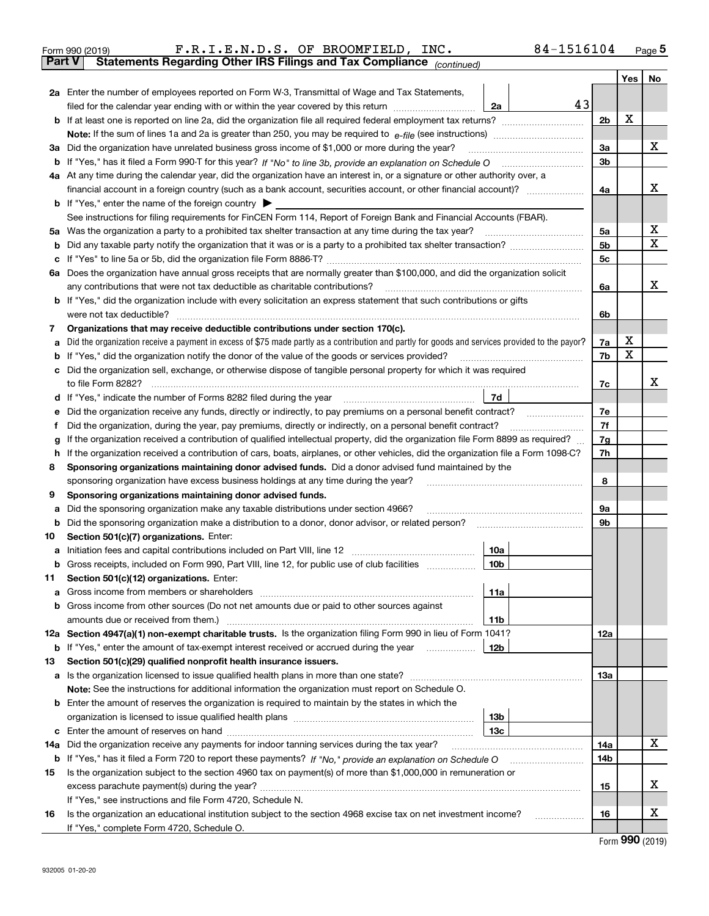|        | F.R.I.E.N.D.S. OF BROOMFIELD, INC.<br>84-1516104<br>Form 990 (2019)                                                                             |                |     | $_{\text{Page}}$ 5 |  |  |  |  |  |  |  |
|--------|-------------------------------------------------------------------------------------------------------------------------------------------------|----------------|-----|--------------------|--|--|--|--|--|--|--|
| Part V | Statements Regarding Other IRS Filings and Tax Compliance (continued)                                                                           |                |     |                    |  |  |  |  |  |  |  |
|        |                                                                                                                                                 |                | Yes | No                 |  |  |  |  |  |  |  |
|        | 2a Enter the number of employees reported on Form W-3, Transmittal of Wage and Tax Statements,                                                  |                |     |                    |  |  |  |  |  |  |  |
|        | filed for the calendar year ending with or within the year covered by this return<br>2a                                                         | 43             |     |                    |  |  |  |  |  |  |  |
|        |                                                                                                                                                 | 2 <sub>b</sub> | x   |                    |  |  |  |  |  |  |  |
|        |                                                                                                                                                 |                |     |                    |  |  |  |  |  |  |  |
|        | 3a Did the organization have unrelated business gross income of \$1,000 or more during the year?                                                |                |     |                    |  |  |  |  |  |  |  |
| b      |                                                                                                                                                 | 3 <sub>b</sub> |     |                    |  |  |  |  |  |  |  |
|        | 4a At any time during the calendar year, did the organization have an interest in, or a signature or other authority over, a                    |                |     |                    |  |  |  |  |  |  |  |
|        |                                                                                                                                                 | 4a             |     | x                  |  |  |  |  |  |  |  |
|        | <b>b</b> If "Yes," enter the name of the foreign country $\triangleright$                                                                       |                |     |                    |  |  |  |  |  |  |  |
|        | See instructions for filing requirements for FinCEN Form 114, Report of Foreign Bank and Financial Accounts (FBAR).                             |                |     |                    |  |  |  |  |  |  |  |
| 5a     | Was the organization a party to a prohibited tax shelter transaction at any time during the tax year?                                           | 5a             |     | x                  |  |  |  |  |  |  |  |
| b      |                                                                                                                                                 | 5 <sub>b</sub> |     | X                  |  |  |  |  |  |  |  |
| c      |                                                                                                                                                 | 5c             |     |                    |  |  |  |  |  |  |  |
|        | 6a Does the organization have annual gross receipts that are normally greater than \$100,000, and did the organization solicit                  |                |     |                    |  |  |  |  |  |  |  |
|        | any contributions that were not tax deductible as charitable contributions?                                                                     | 6a             |     | x                  |  |  |  |  |  |  |  |
|        | b If "Yes," did the organization include with every solicitation an express statement that such contributions or gifts                          |                |     |                    |  |  |  |  |  |  |  |
|        | were not tax deductible?                                                                                                                        | 6b             |     |                    |  |  |  |  |  |  |  |
| 7      | Organizations that may receive deductible contributions under section 170(c).                                                                   |                |     |                    |  |  |  |  |  |  |  |
| a      | Did the organization receive a payment in excess of \$75 made partly as a contribution and partly for goods and services provided to the payor? | 7a             | x   |                    |  |  |  |  |  |  |  |
| b      | If "Yes," did the organization notify the donor of the value of the goods or services provided?                                                 | 7b             | X   |                    |  |  |  |  |  |  |  |
|        | Did the organization sell, exchange, or otherwise dispose of tangible personal property for which it was required                               |                |     |                    |  |  |  |  |  |  |  |
|        |                                                                                                                                                 | 7c             |     | x                  |  |  |  |  |  |  |  |
| d      | 7d                                                                                                                                              |                |     |                    |  |  |  |  |  |  |  |
| е      | Did the organization receive any funds, directly or indirectly, to pay premiums on a personal benefit contract?                                 | 7e             |     |                    |  |  |  |  |  |  |  |
| f      | Did the organization, during the year, pay premiums, directly or indirectly, on a personal benefit contract?                                    | 7f             |     |                    |  |  |  |  |  |  |  |
| g      | If the organization received a contribution of qualified intellectual property, did the organization file Form 8899 as required?                | 7g             |     |                    |  |  |  |  |  |  |  |
| h      | If the organization received a contribution of cars, boats, airplanes, or other vehicles, did the organization file a Form 1098-C?              | 7h             |     |                    |  |  |  |  |  |  |  |
| 8      | Sponsoring organizations maintaining donor advised funds. Did a donor advised fund maintained by the                                            |                |     |                    |  |  |  |  |  |  |  |
|        | sponsoring organization have excess business holdings at any time during the year?                                                              | 8              |     |                    |  |  |  |  |  |  |  |
| 9      | Sponsoring organizations maintaining donor advised funds.                                                                                       |                |     |                    |  |  |  |  |  |  |  |
| a      | Did the sponsoring organization make any taxable distributions under section 4966?                                                              | 9а             |     |                    |  |  |  |  |  |  |  |
| b      | Did the sponsoring organization make a distribution to a donor, donor advisor, or related person?                                               | 9b             |     |                    |  |  |  |  |  |  |  |
| 10     | Section 501(c)(7) organizations. Enter:                                                                                                         |                |     |                    |  |  |  |  |  |  |  |
|        | 10a                                                                                                                                             |                |     |                    |  |  |  |  |  |  |  |
|        | 10b<br>Gross receipts, included on Form 990, Part VIII, line 12, for public use of club facilities                                              |                |     |                    |  |  |  |  |  |  |  |
| 11     | Section 501(c)(12) organizations. Enter:                                                                                                        |                |     |                    |  |  |  |  |  |  |  |
| a      | 11a<br>Gross income from members or shareholders                                                                                                |                |     |                    |  |  |  |  |  |  |  |
| b      | Gross income from other sources (Do not net amounts due or paid to other sources against                                                        |                |     |                    |  |  |  |  |  |  |  |
|        | 11 <sub>b</sub>                                                                                                                                 |                |     |                    |  |  |  |  |  |  |  |
|        | 12a Section 4947(a)(1) non-exempt charitable trusts. Is the organization filing Form 990 in lieu of Form 1041?                                  | 12a            |     |                    |  |  |  |  |  |  |  |
|        | <b>b</b> If "Yes," enter the amount of tax-exempt interest received or accrued during the year<br>12b                                           |                |     |                    |  |  |  |  |  |  |  |
| 13     | Section 501(c)(29) qualified nonprofit health insurance issuers.                                                                                |                |     |                    |  |  |  |  |  |  |  |
|        | a Is the organization licensed to issue qualified health plans in more than one state?                                                          | 13a            |     |                    |  |  |  |  |  |  |  |
|        | Note: See the instructions for additional information the organization must report on Schedule O.                                               |                |     |                    |  |  |  |  |  |  |  |
|        | <b>b</b> Enter the amount of reserves the organization is required to maintain by the states in which the                                       |                |     |                    |  |  |  |  |  |  |  |
|        | 13 <sub>b</sub>                                                                                                                                 |                |     |                    |  |  |  |  |  |  |  |
| c      | 13 <sub>c</sub>                                                                                                                                 |                |     | X                  |  |  |  |  |  |  |  |
| 14a    | Did the organization receive any payments for indoor tanning services during the tax year?                                                      | 14a            |     |                    |  |  |  |  |  |  |  |
|        | <b>b</b> If "Yes," has it filed a Form 720 to report these payments? If "No," provide an explanation on Schedule O                              | 14b            |     |                    |  |  |  |  |  |  |  |
| 15     | Is the organization subject to the section 4960 tax on payment(s) of more than \$1,000,000 in remuneration or                                   |                |     | x                  |  |  |  |  |  |  |  |
|        |                                                                                                                                                 | 15             |     |                    |  |  |  |  |  |  |  |
|        | If "Yes," see instructions and file Form 4720, Schedule N.                                                                                      |                |     | х                  |  |  |  |  |  |  |  |
| 16     | Is the organization an educational institution subject to the section 4968 excise tax on net investment income?                                 | 16             |     |                    |  |  |  |  |  |  |  |
|        | If "Yes," complete Form 4720, Schedule O.                                                                                                       |                |     | $000$ $(0010)$     |  |  |  |  |  |  |  |

Form (2019) **990**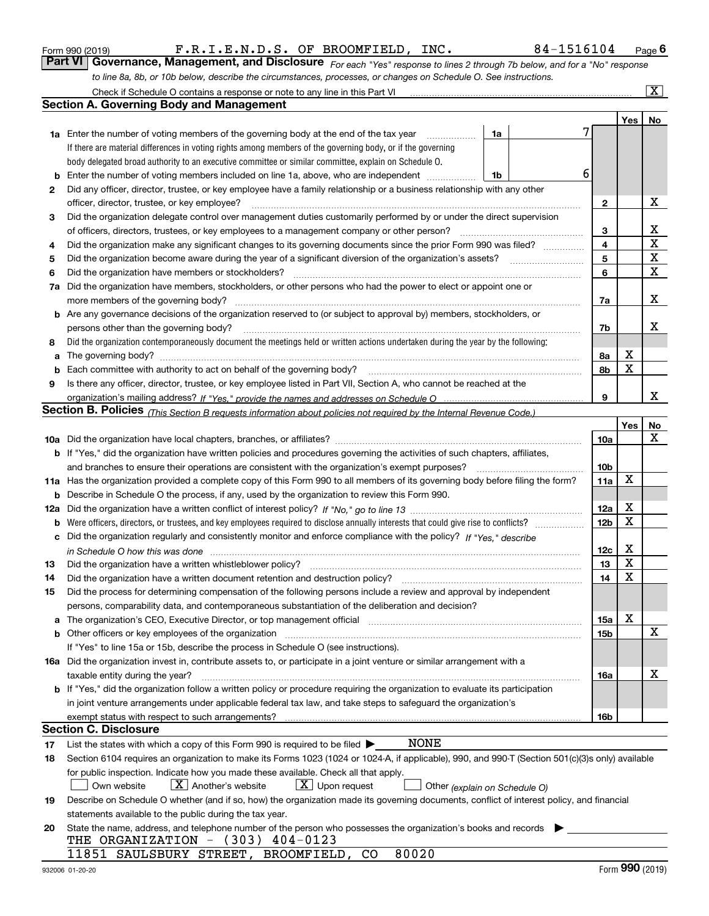|     | Check if Schedule O contains a response or note to any line in this Part VI                                                                                                                                                    |                 |     | $\mathbf{X}$ |
|-----|--------------------------------------------------------------------------------------------------------------------------------------------------------------------------------------------------------------------------------|-----------------|-----|--------------|
|     | <b>Section A. Governing Body and Management</b>                                                                                                                                                                                |                 |     |              |
|     |                                                                                                                                                                                                                                |                 | Yes | No           |
|     | 7<br>1a Enter the number of voting members of the governing body at the end of the tax year<br>1a                                                                                                                              |                 |     |              |
|     | If there are material differences in voting rights among members of the governing body, or if the governing                                                                                                                    |                 |     |              |
|     | body delegated broad authority to an executive committee or similar committee, explain on Schedule O.                                                                                                                          |                 |     |              |
| b   | 6<br>Enter the number of voting members included on line 1a, above, who are independent<br>1b                                                                                                                                  |                 |     |              |
| 2   | Did any officer, director, trustee, or key employee have a family relationship or a business relationship with any other                                                                                                       |                 |     |              |
|     | officer, director, trustee, or key employee?                                                                                                                                                                                   | 2               |     | х            |
| 3   | Did the organization delegate control over management duties customarily performed by or under the direct supervision                                                                                                          |                 |     |              |
|     | of officers, directors, trustees, or key employees to a management company or other person?                                                                                                                                    | 3               |     | х            |
| 4   | Did the organization make any significant changes to its governing documents since the prior Form 990 was filed?                                                                                                               | 4               |     | $\mathbf X$  |
| 5   |                                                                                                                                                                                                                                | 5               |     | X            |
| 6   | Did the organization have members or stockholders?                                                                                                                                                                             | 6               |     | X            |
| 7a  | Did the organization have members, stockholders, or other persons who had the power to elect or appoint one or                                                                                                                 |                 |     |              |
|     |                                                                                                                                                                                                                                | 7a              |     | х            |
|     | b Are any governance decisions of the organization reserved to (or subject to approval by) members, stockholders, or                                                                                                           |                 |     |              |
|     | persons other than the governing body?                                                                                                                                                                                         | 7b              |     | х            |
| 8   | Did the organization contemporaneously document the meetings held or written actions undertaken during the year by the following:                                                                                              |                 |     |              |
| a   | The governing body? [[11] matter and the contract of the contract of the contract of the contract of the contract of the contract of the contract of the contract of the contract of the contract of the contract of the contr | 8а              | х   |              |
| b   |                                                                                                                                                                                                                                | 8b              | X   |              |
| 9   | Is there any officer, director, trustee, or key employee listed in Part VII, Section A, who cannot be reached at the                                                                                                           |                 |     |              |
|     |                                                                                                                                                                                                                                | 9               |     | x            |
|     | <b>Section B. Policies</b> (This Section B requests information about policies not required by the Internal Revenue Code.)                                                                                                     |                 |     |              |
|     |                                                                                                                                                                                                                                |                 | Yes | No           |
|     |                                                                                                                                                                                                                                | 10a             |     | X            |
|     | <b>b</b> If "Yes," did the organization have written policies and procedures governing the activities of such chapters, affiliates,                                                                                            |                 |     |              |
|     | and branches to ensure their operations are consistent with the organization's exempt purposes?                                                                                                                                | 10 <sub>b</sub> |     |              |
|     | 11a Has the organization provided a complete copy of this Form 990 to all members of its governing body before filing the form?                                                                                                | 11a             | X   |              |
| b   | Describe in Schedule O the process, if any, used by the organization to review this Form 990.                                                                                                                                  |                 |     |              |
| 12a |                                                                                                                                                                                                                                | 12a             | X   |              |
| b   |                                                                                                                                                                                                                                | 12 <sub>b</sub> | X   |              |
| c   | Did the organization regularly and consistently monitor and enforce compliance with the policy? If "Yes." describe                                                                                                             |                 |     |              |
|     | in Schedule O how this was done measured and contain an account of the state of the state of the state of the                                                                                                                  | 12c             | х   |              |
| 13  | Did the organization have a written whistleblower policy?                                                                                                                                                                      | 13              | X   |              |
| 14  | Did the organization have a written document retention and destruction policy?                                                                                                                                                 | 14              | X   |              |
| 15  | Did the process for determining compensation of the following persons include a review and approval by independent                                                                                                             |                 |     |              |
|     | persons, comparability data, and contemporaneous substantiation of the deliberation and decision?                                                                                                                              |                 |     |              |
| а   | The organization's CEO, Executive Director, or top management official manufactured content of the organization's CEO, Executive Director, or top management official                                                          | 15a             | Χ   |              |
| b   |                                                                                                                                                                                                                                | 15b             |     | X            |
|     | If "Yes" to line 15a or 15b, describe the process in Schedule O (see instructions).                                                                                                                                            |                 |     |              |
|     | 16a Did the organization invest in, contribute assets to, or participate in a joint venture or similar arrangement with a                                                                                                      |                 |     |              |
|     | taxable entity during the year?                                                                                                                                                                                                | 16a             |     | х            |
|     | b If "Yes," did the organization follow a written policy or procedure requiring the organization to evaluate its participation                                                                                                 |                 |     |              |
|     | in joint venture arrangements under applicable federal tax law, and take steps to safeguard the organization's                                                                                                                 |                 |     |              |
|     | exempt status with respect to such arrangements?                                                                                                                                                                               | 16b             |     |              |
|     | <b>Section C. Disclosure</b>                                                                                                                                                                                                   |                 |     |              |
| 17  | NONE<br>List the states with which a copy of this Form 990 is required to be filed $\blacktriangleright$                                                                                                                       |                 |     |              |
| 18  | Section 6104 requires an organization to make its Forms 1023 (1024 or 1024-A, if applicable), 990, and 990-T (Section 501(c)(3)s only) available                                                                               |                 |     |              |
|     | for public inspection. Indicate how you made these available. Check all that apply.                                                                                                                                            |                 |     |              |
|     | $X$ Another's website<br>$\lfloor x \rfloor$ Upon request<br>Own website<br>Other (explain on Schedule O)                                                                                                                      |                 |     |              |
| 19  | Describe on Schedule O whether (and if so, how) the organization made its governing documents, conflict of interest policy, and financial                                                                                      |                 |     |              |
|     | statements available to the public during the tax year.                                                                                                                                                                        |                 |     |              |
| 20  | State the name, address, and telephone number of the person who possesses the organization's books and records                                                                                                                 |                 |     |              |
|     | THE ORGANIZATION - (303) 404-0123                                                                                                                                                                                              |                 |     |              |
|     | 80020<br>11851 SAULSBURY STREET, BROOMFIELD, CO                                                                                                                                                                                |                 |     |              |

*to line 8a, 8b, or 10b below, describe the circumstances, processes, or changes on Schedule O. See instructions.*

Form 990 (2019) **Form 1990 (2019) F**.R.I.E.N.D.S. OF BROOMFIELD, INC. 284-1516104 Page 6<br>**Part VI Governance, Management, and Disclosure** *For each "Yes" response to lines 2 through 7b below, and for a "No" response* 

F.R.I.E.N.D.S. OF BROOMFIELD, INC. 84-1516104

*For each "Yes" response to lines 2 through 7b below, and for a "No" response*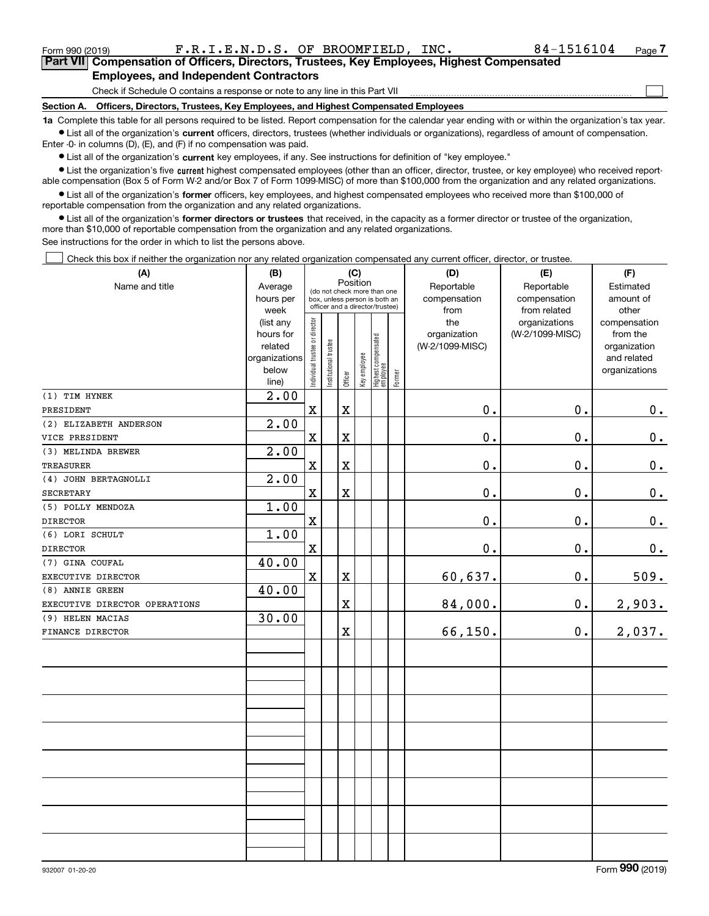Form 990 (2019)  $\qquad \qquad \text{F.R.I.E.N.D.S. OF BROOMFIELD, INC.} \qquad \qquad \qquad 84-1516104 \qquad \text{Page}$ 

 $\mathcal{L}^{\text{max}}$ 

**7Part VII Compensation of Officers, Directors, Trustees, Key Employees, Highest Compensated Employees, and Independent Contractors**

Check if Schedule O contains a response or note to any line in this Part VII

**Section A. Officers, Directors, Trustees, Key Employees, and Highest Compensated Employees**

**1a**  Complete this table for all persons required to be listed. Report compensation for the calendar year ending with or within the organization's tax year. **•** List all of the organization's current officers, directors, trustees (whether individuals or organizations), regardless of amount of compensation.

Enter -0- in columns (D), (E), and (F) if no compensation was paid.

 $\bullet$  List all of the organization's  $\,$ current key employees, if any. See instructions for definition of "key employee."

**•** List the organization's five current highest compensated employees (other than an officer, director, trustee, or key employee) who received reportable compensation (Box 5 of Form W-2 and/or Box 7 of Form 1099-MISC) of more than \$100,000 from the organization and any related organizations.

**•** List all of the organization's former officers, key employees, and highest compensated employees who received more than \$100,000 of reportable compensation from the organization and any related organizations.

**former directors or trustees**  ¥ List all of the organization's that received, in the capacity as a former director or trustee of the organization, more than \$10,000 of reportable compensation from the organization and any related organizations.

See instructions for the order in which to list the persons above.

Check this box if neither the organization nor any related organization compensated any current officer, director, or trustee.  $\mathcal{L}^{\text{max}}$ 

| (A)                                   | (B)                                                                  | (C)                            |                       |                                                                                                             |              |                                           |  | (D)                                    | (E)                              | (F)                                                                      |                                            |                                 |
|---------------------------------------|----------------------------------------------------------------------|--------------------------------|-----------------------|-------------------------------------------------------------------------------------------------------------|--------------|-------------------------------------------|--|----------------------------------------|----------------------------------|--------------------------------------------------------------------------|--------------------------------------------|---------------------------------|
| Name and title                        | Average<br>hours per<br>week                                         |                                |                       | Position<br>(do not check more than one<br>box, unless person is both an<br>officer and a director/trustee) |              |                                           |  |                                        |                                  | Reportable<br>compensation<br>from                                       | Reportable<br>compensation<br>from related | Estimated<br>amount of<br>other |
|                                       | (list any<br>hours for<br>related<br>organizations<br>below<br>line) | Individual trustee or director | Institutional trustee | Officer                                                                                                     | Key employee | Highest compensated<br>employee<br>Former |  | the<br>organization<br>(W-2/1099-MISC) | organizations<br>(W-2/1099-MISC) | compensation<br>from the<br>organization<br>and related<br>organizations |                                            |                                 |
| (1) TIM HYNEK                         | 2.00                                                                 |                                |                       |                                                                                                             |              |                                           |  |                                        |                                  |                                                                          |                                            |                                 |
| PRESIDENT                             |                                                                      | $\mathbf x$                    |                       | X                                                                                                           |              |                                           |  | 0.                                     | 0.                               | 0.                                                                       |                                            |                                 |
| (2) ELIZABETH ANDERSON                | 2.00                                                                 |                                |                       |                                                                                                             |              |                                           |  |                                        |                                  |                                                                          |                                            |                                 |
| VICE PRESIDENT                        |                                                                      | $\mathbf x$                    |                       | X                                                                                                           |              |                                           |  | 0.                                     | 0.                               | $\mathbf 0$ .                                                            |                                            |                                 |
| (3) MELINDA BREWER                    | 2.00                                                                 |                                |                       |                                                                                                             |              |                                           |  |                                        |                                  |                                                                          |                                            |                                 |
| <b>TREASURER</b>                      |                                                                      | $\mathbf x$                    |                       | X                                                                                                           |              |                                           |  | 0.                                     | 0.                               | $0_{.}$                                                                  |                                            |                                 |
| (4) JOHN BERTAGNOLLI                  | 2.00                                                                 |                                |                       |                                                                                                             |              |                                           |  |                                        |                                  |                                                                          |                                            |                                 |
| <b>SECRETARY</b>                      |                                                                      | $\mathbf x$                    |                       | X                                                                                                           |              |                                           |  | 0.                                     | 0.                               | $0_{.}$                                                                  |                                            |                                 |
| (5) POLLY MENDOZA                     | 1.00                                                                 |                                |                       |                                                                                                             |              |                                           |  |                                        |                                  |                                                                          |                                            |                                 |
| <b>DIRECTOR</b>                       |                                                                      | $\mathbf x$                    |                       |                                                                                                             |              |                                           |  | 0.                                     | 0.                               | 0.                                                                       |                                            |                                 |
| (6) LORI SCHULT                       | 1.00                                                                 |                                |                       |                                                                                                             |              |                                           |  |                                        |                                  |                                                                          |                                            |                                 |
| <b>DIRECTOR</b>                       |                                                                      | $\mathbf x$                    |                       |                                                                                                             |              |                                           |  | $0$ .                                  | 0.                               | $\mathbf 0$ .                                                            |                                            |                                 |
| (7) GINA COUFAL                       | 40.00                                                                | $\mathbf X$                    |                       | X                                                                                                           |              |                                           |  |                                        | 0.                               |                                                                          |                                            |                                 |
| EXECUTIVE DIRECTOR<br>(8) ANNIE GREEN | 40.00                                                                |                                |                       |                                                                                                             |              |                                           |  | 60,637.                                |                                  | 509.                                                                     |                                            |                                 |
| EXECUTIVE DIRECTOR OPERATIONS         |                                                                      |                                |                       | $\overline{\textbf{X}}$                                                                                     |              |                                           |  | 84,000.                                | 0.                               | 2,903.                                                                   |                                            |                                 |
| (9) HELEN MACIAS                      | 30.00                                                                |                                |                       |                                                                                                             |              |                                           |  |                                        |                                  |                                                                          |                                            |                                 |
| FINANCE DIRECTOR                      |                                                                      |                                |                       | X                                                                                                           |              |                                           |  | 66,150.                                | 0.                               | 2,037.                                                                   |                                            |                                 |
|                                       |                                                                      |                                |                       |                                                                                                             |              |                                           |  |                                        |                                  |                                                                          |                                            |                                 |
|                                       |                                                                      |                                |                       |                                                                                                             |              |                                           |  |                                        |                                  |                                                                          |                                            |                                 |
|                                       |                                                                      |                                |                       |                                                                                                             |              |                                           |  |                                        |                                  |                                                                          |                                            |                                 |
|                                       |                                                                      |                                |                       |                                                                                                             |              |                                           |  |                                        |                                  |                                                                          |                                            |                                 |
|                                       |                                                                      |                                |                       |                                                                                                             |              |                                           |  |                                        |                                  |                                                                          |                                            |                                 |
|                                       |                                                                      |                                |                       |                                                                                                             |              |                                           |  |                                        |                                  |                                                                          |                                            |                                 |
|                                       |                                                                      |                                |                       |                                                                                                             |              |                                           |  |                                        |                                  |                                                                          |                                            |                                 |
|                                       |                                                                      |                                |                       |                                                                                                             |              |                                           |  |                                        |                                  |                                                                          |                                            |                                 |
|                                       |                                                                      |                                |                       |                                                                                                             |              |                                           |  |                                        |                                  |                                                                          |                                            |                                 |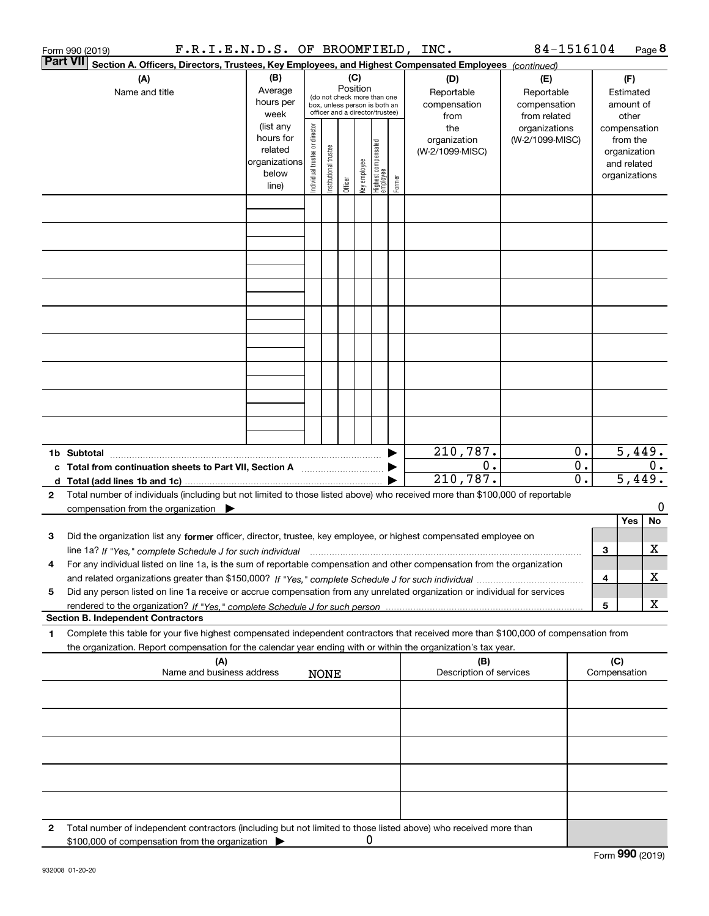|   | F.R.I.E.N.D.S. OF BROOMFIELD, INC.<br>Form 990 (2019)                                                                                                                                                                                                                     |                                                                      |                                                                                                                                                                 |                       |         |              |                                   |        |                                                   | 84-1516104                             |                        |                     |                                                                          | Page 8               |
|---|---------------------------------------------------------------------------------------------------------------------------------------------------------------------------------------------------------------------------------------------------------------------------|----------------------------------------------------------------------|-----------------------------------------------------------------------------------------------------------------------------------------------------------------|-----------------------|---------|--------------|-----------------------------------|--------|---------------------------------------------------|----------------------------------------|------------------------|---------------------|--------------------------------------------------------------------------|----------------------|
|   | <b>Part VII</b><br>Section A. Officers, Directors, Trustees, Key Employees, and Highest Compensated Employees (continued)                                                                                                                                                 |                                                                      |                                                                                                                                                                 |                       |         |              |                                   |        |                                                   |                                        |                        |                     |                                                                          |                      |
|   | (A)<br>Name and title                                                                                                                                                                                                                                                     | (B)<br>Average<br>hours per<br>week                                  | (C)<br>(D)<br>Position<br>Reportable<br>(do not check more than one<br>compensation<br>box, unless person is both an<br>officer and a director/trustee)<br>from |                       |         |              |                                   |        | (E)<br>Reportable<br>compensation<br>from related | (F)<br>Estimated<br>amount of<br>other |                        |                     |                                                                          |                      |
|   |                                                                                                                                                                                                                                                                           | (list any<br>hours for<br>related<br>organizations<br>below<br>line) | Individual trustee or director                                                                                                                                  | Institutional trustee | Officer | key employee | Highest compensated<br>  employee | Former | the<br>organization<br>(W-2/1099-MISC)            | organizations<br>(W-2/1099-MISC)       |                        |                     | compensation<br>from the<br>organization<br>and related<br>organizations |                      |
|   |                                                                                                                                                                                                                                                                           |                                                                      |                                                                                                                                                                 |                       |         |              |                                   |        |                                                   |                                        |                        |                     |                                                                          |                      |
|   |                                                                                                                                                                                                                                                                           |                                                                      |                                                                                                                                                                 |                       |         |              |                                   |        |                                                   |                                        |                        |                     |                                                                          |                      |
|   |                                                                                                                                                                                                                                                                           |                                                                      |                                                                                                                                                                 |                       |         |              |                                   |        |                                                   |                                        |                        |                     |                                                                          |                      |
|   |                                                                                                                                                                                                                                                                           |                                                                      |                                                                                                                                                                 |                       |         |              |                                   |        |                                                   |                                        |                        |                     |                                                                          |                      |
|   |                                                                                                                                                                                                                                                                           |                                                                      |                                                                                                                                                                 |                       |         |              |                                   |        |                                                   |                                        |                        |                     |                                                                          |                      |
|   |                                                                                                                                                                                                                                                                           |                                                                      |                                                                                                                                                                 |                       |         |              |                                   |        |                                                   |                                        |                        |                     |                                                                          |                      |
|   |                                                                                                                                                                                                                                                                           |                                                                      |                                                                                                                                                                 |                       |         |              |                                   |        |                                                   |                                        |                        |                     |                                                                          |                      |
|   |                                                                                                                                                                                                                                                                           |                                                                      |                                                                                                                                                                 |                       |         |              |                                   |        |                                                   |                                        |                        |                     |                                                                          |                      |
|   |                                                                                                                                                                                                                                                                           |                                                                      |                                                                                                                                                                 |                       |         |              |                                   |        |                                                   |                                        |                        |                     |                                                                          |                      |
|   |                                                                                                                                                                                                                                                                           |                                                                      |                                                                                                                                                                 |                       |         |              |                                   |        | 210,787.                                          |                                        | $\overline{0}$ .       |                     |                                                                          | $\overline{5,449}$ . |
|   | c Total from continuation sheets to Part VII, Section A [111] [120] [20]                                                                                                                                                                                                  |                                                                      |                                                                                                                                                                 |                       |         |              |                                   |        | 0.<br>210,787.                                    |                                        | 0.<br>$\overline{0}$ . |                     |                                                                          | 0.<br>5,449.         |
| 2 | Total number of individuals (including but not limited to those listed above) who received more than \$100,000 of reportable                                                                                                                                              |                                                                      |                                                                                                                                                                 |                       |         |              |                                   |        |                                                   |                                        |                        |                     |                                                                          |                      |
|   | compensation from the organization $\blacktriangleright$                                                                                                                                                                                                                  |                                                                      |                                                                                                                                                                 |                       |         |              |                                   |        |                                                   |                                        |                        |                     |                                                                          | 0                    |
|   |                                                                                                                                                                                                                                                                           |                                                                      |                                                                                                                                                                 |                       |         |              |                                   |        |                                                   |                                        |                        |                     | Yes                                                                      | No                   |
| 3 | Did the organization list any former officer, director, trustee, key employee, or highest compensated employee on<br>line 1a? If "Yes," complete Schedule J for such individual manufactured contained and the line 1a? If "Yes," complete Schedule J for such individual |                                                                      |                                                                                                                                                                 |                       |         |              |                                   |        |                                                   |                                        |                        | З                   |                                                                          | х                    |
|   | For any individual listed on line 1a, is the sum of reportable compensation and other compensation from the organization                                                                                                                                                  |                                                                      |                                                                                                                                                                 |                       |         |              |                                   |        |                                                   |                                        |                        | 4                   |                                                                          | х                    |
| 5 | Did any person listed on line 1a receive or accrue compensation from any unrelated organization or individual for services                                                                                                                                                |                                                                      |                                                                                                                                                                 |                       |         |              |                                   |        |                                                   |                                        |                        |                     |                                                                          | х                    |
|   | <b>Section B. Independent Contractors</b>                                                                                                                                                                                                                                 |                                                                      |                                                                                                                                                                 |                       |         |              |                                   |        |                                                   |                                        |                        | 5                   |                                                                          |                      |
| 1 | Complete this table for your five highest compensated independent contractors that received more than \$100,000 of compensation from<br>the organization. Report compensation for the calendar year ending with or within the organization's tax year.                    |                                                                      |                                                                                                                                                                 |                       |         |              |                                   |        |                                                   |                                        |                        |                     |                                                                          |                      |
|   | (A)<br>Name and business address                                                                                                                                                                                                                                          |                                                                      |                                                                                                                                                                 | <b>NONE</b>           |         |              |                                   |        | (B)<br>Description of services                    |                                        |                        | (C)<br>Compensation |                                                                          |                      |
|   |                                                                                                                                                                                                                                                                           |                                                                      |                                                                                                                                                                 |                       |         |              |                                   |        |                                                   |                                        |                        |                     |                                                                          |                      |
|   |                                                                                                                                                                                                                                                                           |                                                                      |                                                                                                                                                                 |                       |         |              |                                   |        |                                                   |                                        |                        |                     |                                                                          |                      |
|   |                                                                                                                                                                                                                                                                           |                                                                      |                                                                                                                                                                 |                       |         |              |                                   |        |                                                   |                                        |                        |                     |                                                                          |                      |
|   |                                                                                                                                                                                                                                                                           |                                                                      |                                                                                                                                                                 |                       |         |              |                                   |        |                                                   |                                        |                        |                     |                                                                          |                      |
|   |                                                                                                                                                                                                                                                                           |                                                                      |                                                                                                                                                                 |                       |         |              |                                   |        |                                                   |                                        |                        |                     |                                                                          |                      |
| 2 | Total number of independent contractors (including but not limited to those listed above) who received more than<br>\$100,000 of compensation from the organization                                                                                                       |                                                                      |                                                                                                                                                                 |                       |         | 0            |                                   |        |                                                   |                                        |                        |                     |                                                                          |                      |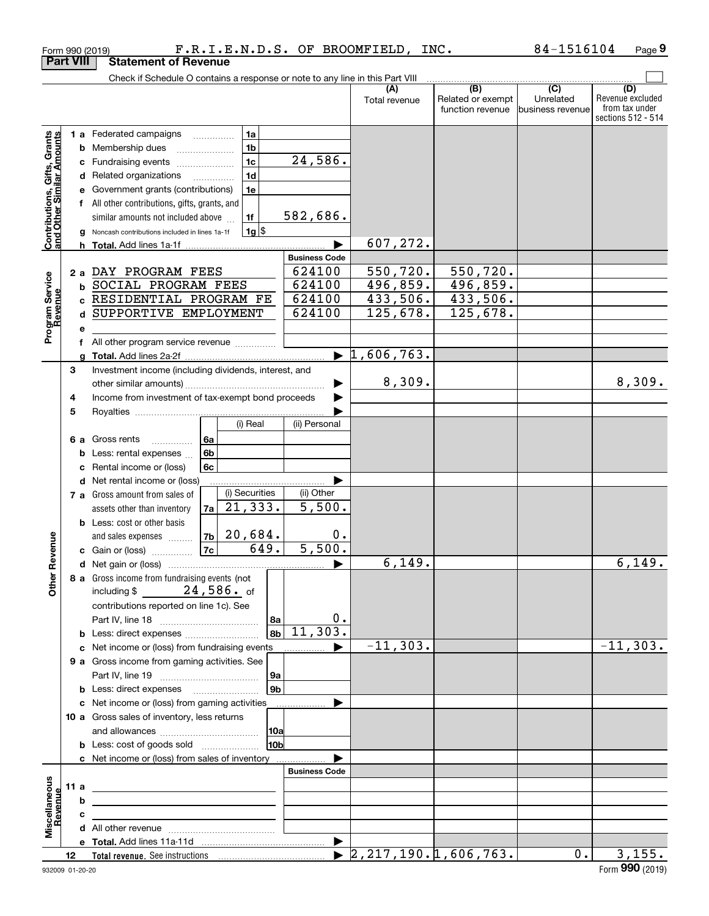|                                                           |                  | Form 990 (2019)                                                                                                       |                |                |                |                       | F.R.I.E.N.D.S. OF BROOMFIELD, INC. |                                              | 84-1516104                                        | Page 9                                                          |
|-----------------------------------------------------------|------------------|-----------------------------------------------------------------------------------------------------------------------|----------------|----------------|----------------|-----------------------|------------------------------------|----------------------------------------------|---------------------------------------------------|-----------------------------------------------------------------|
|                                                           | <b>Part VIII</b> | <b>Statement of Revenue</b>                                                                                           |                |                |                |                       |                                    |                                              |                                                   |                                                                 |
|                                                           |                  | Check if Schedule O contains a response or note to any line in this Part VIII                                         |                |                |                |                       |                                    |                                              |                                                   |                                                                 |
|                                                           |                  |                                                                                                                       |                |                |                |                       | (A)<br>Total revenue               | (B)<br>Related or exempt<br>function revenue | $\overline{(C)}$<br>Unrelated<br>business revenue | (D)<br>Revenue excluded<br>from tax under<br>sections 512 - 514 |
|                                                           |                  | <b>1 a</b> Federated campaigns                                                                                        |                | 1a             |                |                       |                                    |                                              |                                                   |                                                                 |
|                                                           |                  | <b>b</b> Membership dues                                                                                              |                | 1 <sub>b</sub> |                |                       |                                    |                                              |                                                   |                                                                 |
|                                                           |                  | c Fundraising events                                                                                                  |                | 1 <sub>c</sub> |                | 24,586.               |                                    |                                              |                                                   |                                                                 |
|                                                           |                  | d Related organizations                                                                                               |                | 1 <sub>d</sub> |                |                       |                                    |                                              |                                                   |                                                                 |
|                                                           | е                | Government grants (contributions)                                                                                     |                | 1e             |                |                       |                                    |                                              |                                                   |                                                                 |
|                                                           |                  | f All other contributions, gifts, grants, and                                                                         |                |                |                |                       |                                    |                                              |                                                   |                                                                 |
|                                                           |                  | similar amounts not included above                                                                                    |                | 1f             |                | 582,686.              |                                    |                                              |                                                   |                                                                 |
| Contributions, Gifts, Grants<br>and Other Similar Amounts | g                | Noncash contributions included in lines 1a-1f                                                                         |                |                | $1g$ \$        |                       |                                    |                                              |                                                   |                                                                 |
|                                                           |                  | <b>h</b> Total. Add lines 1a-1f                                                                                       |                |                |                |                       | 607,272.                           |                                              |                                                   |                                                                 |
|                                                           |                  |                                                                                                                       |                |                |                | <b>Business Code</b>  |                                    |                                              |                                                   |                                                                 |
|                                                           | 2a               | DAY PROGRAM FEES                                                                                                      |                |                |                | 624100                | 550,720.                           | 550, 720.                                    |                                                   |                                                                 |
|                                                           |                  | <b>b SOCIAL PROGRAM FEES</b>                                                                                          |                |                |                | 624100                | 496,859.                           | 496,859.                                     |                                                   |                                                                 |
|                                                           |                  | c RESIDENTIAL PROGRAM FE                                                                                              |                |                |                | 624100                | 433,506.                           | 433,506.                                     |                                                   |                                                                 |
| Program Service<br>Revenue                                |                  | d SUPPORTIVE EMPLOYMENT                                                                                               |                |                |                | 624100                | 125,678.                           | 125,678.                                     |                                                   |                                                                 |
|                                                           | е                |                                                                                                                       |                |                |                |                       |                                    |                                              |                                                   |                                                                 |
|                                                           | f                | All other program service revenue                                                                                     |                |                |                |                       |                                    |                                              |                                                   |                                                                 |
|                                                           |                  |                                                                                                                       |                |                |                | $\blacktriangleright$ | 1,606,763.                         |                                              |                                                   |                                                                 |
|                                                           | 3                | Investment income (including dividends, interest, and                                                                 |                |                |                |                       | 8,309.                             |                                              |                                                   | 8,309.                                                          |
|                                                           |                  | Income from investment of tax-exempt bond proceeds                                                                    |                |                |                |                       |                                    |                                              |                                                   |                                                                 |
|                                                           | 4                |                                                                                                                       |                |                |                |                       |                                    |                                              |                                                   |                                                                 |
|                                                           | 5<br>(i) Real    |                                                                                                                       |                |                |                | (ii) Personal         |                                    |                                              |                                                   |                                                                 |
|                                                           |                  | 6 a Gross rents                                                                                                       | 6a             |                |                |                       |                                    |                                              |                                                   |                                                                 |
|                                                           | b                | Less: rental expenses                                                                                                 | 6 <sub>b</sub> |                |                |                       |                                    |                                              |                                                   |                                                                 |
|                                                           | с                | Rental income or (loss)                                                                                               | 6c             |                |                |                       |                                    |                                              |                                                   |                                                                 |
|                                                           |                  | d Net rental income or (loss)                                                                                         |                |                |                |                       |                                    |                                              |                                                   |                                                                 |
|                                                           |                  | 7 a Gross amount from sales of                                                                                        |                | (i) Securities |                | (ii) Other            |                                    |                                              |                                                   |                                                                 |
|                                                           |                  | assets other than inventory                                                                                           | 7a             | 21,333.        |                | 5,500.                |                                    |                                              |                                                   |                                                                 |
|                                                           |                  | <b>b</b> Less: cost or other basis                                                                                    |                |                |                |                       |                                    |                                              |                                                   |                                                                 |
|                                                           |                  | and sales expenses                                                                                                    |                | $ 7b $ 20,684. |                | 0.                    |                                    |                                              |                                                   |                                                                 |
| evenue                                                    |                  | c Gain or (loss)                                                                                                      | 7c             |                | 649.           | 5,500.                |                                    |                                              |                                                   |                                                                 |
|                                                           |                  |                                                                                                                       |                |                |                |                       | 6, 149.                            |                                              |                                                   | 6,149.                                                          |
| Other R                                                   |                  | 8 a Gross income from fundraising events (not                                                                         |                |                |                |                       |                                    |                                              |                                                   |                                                                 |
|                                                           |                  | including $$24,586.$ of                                                                                               |                |                |                |                       |                                    |                                              |                                                   |                                                                 |
|                                                           |                  | contributions reported on line 1c). See                                                                               |                |                |                |                       |                                    |                                              |                                                   |                                                                 |
|                                                           |                  |                                                                                                                       |                |                | 8a             | 0.                    |                                    |                                              |                                                   |                                                                 |
|                                                           |                  |                                                                                                                       |                |                | 8b             | 11,303.               |                                    |                                              |                                                   |                                                                 |
|                                                           |                  | c Net income or (loss) from fundraising events manu-                                                                  |                |                |                |                       | $-11, 303.$                        |                                              |                                                   | $-11,303.$                                                      |
|                                                           |                  | 9 a Gross income from gaming activities. See                                                                          |                |                |                |                       |                                    |                                              |                                                   |                                                                 |
|                                                           |                  |                                                                                                                       |                |                | 9a             |                       |                                    |                                              |                                                   |                                                                 |
|                                                           |                  | <b>b</b> Less: direct expenses <b>manually</b>                                                                        |                |                | 9 <sub>b</sub> |                       |                                    |                                              |                                                   |                                                                 |
|                                                           |                  | c Net income or (loss) from gaming activities                                                                         |                |                |                | .                     |                                    |                                              |                                                   |                                                                 |
|                                                           |                  | 10 a Gross sales of inventory, less returns                                                                           |                |                |                |                       |                                    |                                              |                                                   |                                                                 |
|                                                           |                  |                                                                                                                       |                |                | 10a            |                       |                                    |                                              |                                                   |                                                                 |
|                                                           |                  | <b>b</b> Less: cost of goods sold                                                                                     |                |                | 10b            |                       |                                    |                                              |                                                   |                                                                 |
|                                                           |                  | c Net income or (loss) from sales of inventory                                                                        |                |                |                | <b>Business Code</b>  |                                    |                                              |                                                   |                                                                 |
|                                                           | 11 a             |                                                                                                                       |                |                |                |                       |                                    |                                              |                                                   |                                                                 |
| Miscellaneous                                             | b                | <u> 2008 - John Stone, Amerikaans en Stone († 18</u>                                                                  |                |                |                |                       |                                    |                                              |                                                   |                                                                 |
| evenue                                                    | c                | <u> 1989 - Johann Barbara, martin amerikan basar dan berasal dalam basar dalam basar dalam basar dalam basar dala</u> |                |                |                |                       |                                    |                                              |                                                   |                                                                 |
|                                                           |                  | the contract of the contract of the contract of the contract of the contract of                                       |                |                |                |                       |                                    |                                              |                                                   |                                                                 |
|                                                           |                  |                                                                                                                       |                |                |                |                       |                                    |                                              |                                                   |                                                                 |
|                                                           | 12               |                                                                                                                       |                |                |                |                       |                                    |                                              | $0$ .                                             | 3,155.                                                          |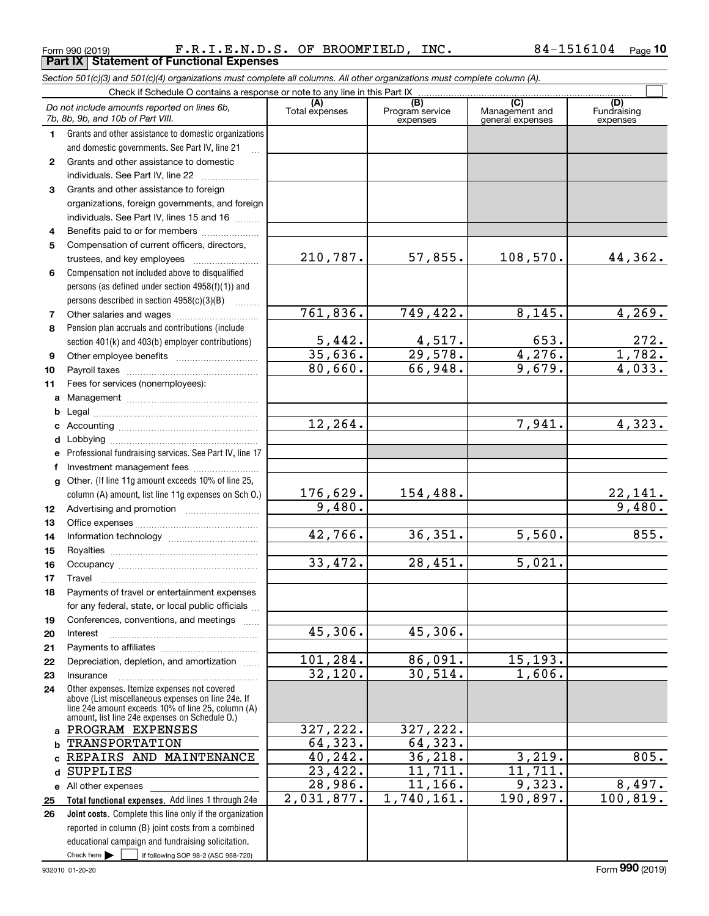Form 990 (2019) Page **Part IX Statement of Functional Expenses** F.R.I.E.N.D.S. OF BROOMFIELD, INC. 84-1516104

|              | Section 501(c)(3) and 501(c)(4) organizations must complete all columns. All other organizations must complete column (A).                                                                                 |                       |                                    |                                           |                                |
|--------------|------------------------------------------------------------------------------------------------------------------------------------------------------------------------------------------------------------|-----------------------|------------------------------------|-------------------------------------------|--------------------------------|
|              | Check if Schedule O contains a response or note to any line in this Part IX                                                                                                                                |                       |                                    |                                           |                                |
|              | Do not include amounts reported on lines 6b,<br>7b, 8b, 9b, and 10b of Part VIII.                                                                                                                          | (A)<br>Total expenses | (B)<br>Program service<br>expenses | (C)<br>Management and<br>general expenses | (D)<br>Fundraising<br>expenses |
| 1.           | Grants and other assistance to domestic organizations                                                                                                                                                      |                       |                                    |                                           |                                |
|              | and domestic governments. See Part IV, line 21                                                                                                                                                             |                       |                                    |                                           |                                |
| 2            | Grants and other assistance to domestic                                                                                                                                                                    |                       |                                    |                                           |                                |
|              | individuals. See Part IV, line 22<br>and a complete the complete state of the                                                                                                                              |                       |                                    |                                           |                                |
| 3            | Grants and other assistance to foreign                                                                                                                                                                     |                       |                                    |                                           |                                |
|              | organizations, foreign governments, and foreign                                                                                                                                                            |                       |                                    |                                           |                                |
|              | individuals. See Part IV, lines 15 and 16                                                                                                                                                                  |                       |                                    |                                           |                                |
| 4            | Benefits paid to or for members                                                                                                                                                                            |                       |                                    |                                           |                                |
| 5            | Compensation of current officers, directors,                                                                                                                                                               |                       |                                    |                                           |                                |
|              |                                                                                                                                                                                                            | 210,787.              | 57,855.                            | 108,570.                                  | 44,362.                        |
| 6            | Compensation not included above to disqualified                                                                                                                                                            |                       |                                    |                                           |                                |
|              | persons (as defined under section 4958(f)(1)) and                                                                                                                                                          |                       |                                    |                                           |                                |
|              | persons described in section 4958(c)(3)(B)                                                                                                                                                                 |                       |                                    |                                           |                                |
| 7            |                                                                                                                                                                                                            | 761,836.              | 749,422.                           | 8,145.                                    | 4,269.                         |
| 8            | Pension plan accruals and contributions (include                                                                                                                                                           |                       |                                    |                                           |                                |
|              | section 401(k) and 403(b) employer contributions)                                                                                                                                                          | 5,442.                | $\frac{4,517}{29,578}$             | 653.                                      | $\frac{272}{1,782}$            |
| 9            |                                                                                                                                                                                                            | 35,636.               |                                    | 4,276.                                    |                                |
| 10           |                                                                                                                                                                                                            | 80,660.               | 66,948.                            | 9,679.                                    | $\overline{4,033}$ .           |
| 11           | Fees for services (nonemployees):                                                                                                                                                                          |                       |                                    |                                           |                                |
| a            |                                                                                                                                                                                                            |                       |                                    |                                           |                                |
| b            |                                                                                                                                                                                                            |                       |                                    |                                           |                                |
| c            |                                                                                                                                                                                                            | 12, 264.              |                                    | 7,941.                                    | 4,323.                         |
| d            |                                                                                                                                                                                                            |                       |                                    |                                           |                                |
|              | Professional fundraising services. See Part IV, line 17                                                                                                                                                    |                       |                                    |                                           |                                |
| f            | Investment management fees                                                                                                                                                                                 |                       |                                    |                                           |                                |
| g            | Other. (If line 11g amount exceeds 10% of line 25,                                                                                                                                                         | 176,629.              | 154,488.                           |                                           |                                |
|              | column (A) amount, list line 11g expenses on Sch 0.)                                                                                                                                                       | 9,480.                |                                    |                                           | $\frac{22,141}{9,480}$ .       |
| 12           |                                                                                                                                                                                                            |                       |                                    |                                           |                                |
| 13           |                                                                                                                                                                                                            | 42,766.               | 36,351.                            | 5,560.                                    | 855.                           |
| 14<br>15     |                                                                                                                                                                                                            |                       |                                    |                                           |                                |
| 16           |                                                                                                                                                                                                            | 33,472.               | 28,451.                            | 5,021.                                    |                                |
| 17           |                                                                                                                                                                                                            |                       |                                    |                                           |                                |
| 18           | Payments of travel or entertainment expenses                                                                                                                                                               |                       |                                    |                                           |                                |
|              | for any federal, state, or local public officials                                                                                                                                                          |                       |                                    |                                           |                                |
| 19           | Conferences, conventions, and meetings                                                                                                                                                                     |                       |                                    |                                           |                                |
| 20           | Interest                                                                                                                                                                                                   | 45,306.               | 45,306.                            |                                           |                                |
| 21           |                                                                                                                                                                                                            |                       |                                    |                                           |                                |
| 22           | Depreciation, depletion, and amortization                                                                                                                                                                  | 101, 284.             | 86,091.                            | 15, 193.                                  |                                |
| 23           | Insurance                                                                                                                                                                                                  | 32,120.               | 30,514.                            | 1,606.                                    |                                |
| 24           | Other expenses. Itemize expenses not covered<br>above (List miscellaneous expenses on line 24e. If<br>line 24e amount exceeds 10% of line 25, column (A)<br>amount, list line 24e expenses on Schedule O.) |                       |                                    |                                           |                                |
| a            | PROGRAM EXPENSES                                                                                                                                                                                           | 327,222.              | 327,222.                           |                                           |                                |
| b            | TRANSPORTATION                                                                                                                                                                                             | 64, 323.              | 64, 323.                           |                                           |                                |
| <sub>c</sub> | REPAIRS AND MAINTENANCE                                                                                                                                                                                    | 40, 242.              | 36, 218.                           | 3,219.                                    | 805.                           |
| d            | <b>SUPPLIES</b>                                                                                                                                                                                            | 23,422.               | 11,711.                            | 11,711.                                   |                                |
| е            | All other expenses                                                                                                                                                                                         | 28,986.               | 11, 166.                           | 9,323.                                    | 8,497.                         |
| 25           | Total functional expenses. Add lines 1 through 24e                                                                                                                                                         | 2,031,877.            | 1,740,161.                         | 190,897.                                  | 100, 819.                      |
| 26           | Joint costs. Complete this line only if the organization                                                                                                                                                   |                       |                                    |                                           |                                |
|              | reported in column (B) joint costs from a combined                                                                                                                                                         |                       |                                    |                                           |                                |
|              | educational campaign and fundraising solicitation.                                                                                                                                                         |                       |                                    |                                           |                                |
|              | Check here $\blacktriangleright$<br>if following SOP 98-2 (ASC 958-720)                                                                                                                                    |                       |                                    |                                           |                                |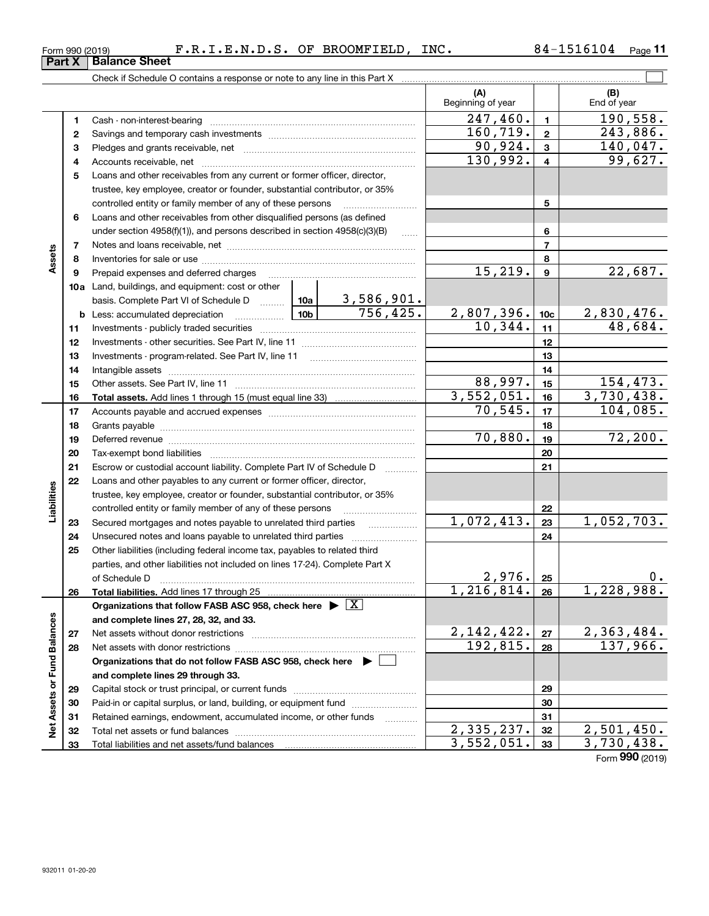| Form 990 (2019) | .E.N.D.S.<br>к. | OF. | <b>BROOMFIELD</b> | INC. | 6104 | Page |  |
|-----------------|-----------------|-----|-------------------|------|------|------|--|
|                 |                 |     |                   |      |      |      |  |

Form (2019) **990**

|                             |    |                                                                                            |                 |                       | (A)<br>Beginning of year |                         | (B)<br>End of year |
|-----------------------------|----|--------------------------------------------------------------------------------------------|-----------------|-----------------------|--------------------------|-------------------------|--------------------|
|                             | 1  |                                                                                            |                 |                       | 247, 460.                | $\mathbf{1}$            | 190,558.           |
|                             | 2  |                                                                                            |                 |                       | 160, 719.                | $\mathbf{2}$            | 243,886.           |
|                             | з  |                                                                                            |                 |                       | 90,924.                  | 3                       | 140,047.           |
|                             | 4  |                                                                                            |                 |                       | 130,992.                 | $\overline{\mathbf{4}}$ | 99,627.            |
|                             | 5  | Loans and other receivables from any current or former officer, director,                  |                 |                       |                          |                         |                    |
|                             |    | trustee, key employee, creator or founder, substantial contributor, or 35%                 |                 |                       |                          |                         |                    |
|                             |    | controlled entity or family member of any of these persons                                 |                 |                       |                          | 5                       |                    |
|                             | 6  | Loans and other receivables from other disqualified persons (as defined                    |                 |                       |                          |                         |                    |
|                             |    | under section $4958(f)(1)$ , and persons described in section $4958(c)(3)(B)$              |                 | $\ldots$              |                          | 6                       |                    |
|                             | 7  |                                                                                            |                 |                       |                          | $\overline{7}$          |                    |
| Assets                      | 8  |                                                                                            |                 |                       |                          | 8                       |                    |
|                             | 9  | Prepaid expenses and deferred charges                                                      |                 |                       | 15,219.                  | $\boldsymbol{9}$        | 22,687.            |
|                             |    | <b>10a</b> Land, buildings, and equipment: cost or other                                   |                 |                       |                          |                         |                    |
|                             |    | basis. Complete Part VI of Schedule D  10a   3,586,901.                                    |                 |                       |                          |                         |                    |
|                             |    | <b>b</b> Less: accumulated depreciation<br>. 1                                             | 10 <sub>b</sub> | $\overline{756,425.}$ | 2,807,396.               | 10 <sub>c</sub>         | <u>2,830,476.</u>  |
|                             | 11 |                                                                                            |                 |                       | 10,344.                  | 11                      | 48,684.            |
|                             | 12 |                                                                                            |                 |                       | 12                       |                         |                    |
|                             | 13 |                                                                                            |                 |                       | 13                       |                         |                    |
|                             | 14 |                                                                                            |                 |                       | 14                       |                         |                    |
|                             | 15 |                                                                                            |                 |                       | 88,997.                  | 15                      | 154,473.           |
|                             | 16 |                                                                                            |                 |                       | 3,552,051.               | 16                      | 3,730,438.         |
|                             | 17 |                                                                                            |                 |                       | 70, 545.                 | 17                      | 104,085.           |
|                             | 18 |                                                                                            |                 |                       |                          | 18                      |                    |
|                             | 19 |                                                                                            |                 |                       | 70,880.                  | 19                      | 72,200.            |
|                             | 20 |                                                                                            |                 |                       |                          | 20                      |                    |
|                             | 21 | Escrow or custodial account liability. Complete Part IV of Schedule D                      |                 |                       |                          | 21                      |                    |
|                             | 22 | Loans and other payables to any current or former officer, director,                       |                 |                       |                          |                         |                    |
| Liabilities                 |    | trustee, key employee, creator or founder, substantial contributor, or 35%                 |                 |                       |                          |                         |                    |
|                             |    | controlled entity or family member of any of these persons                                 |                 |                       |                          | 22                      |                    |
|                             | 23 | Secured mortgages and notes payable to unrelated third parties                             |                 | .                     | 1,072,413.               | 23                      | 1,052,703.         |
|                             | 24 |                                                                                            |                 |                       |                          | 24                      |                    |
|                             | 25 | Other liabilities (including federal income tax, payables to related third                 |                 |                       |                          |                         |                    |
|                             |    | parties, and other liabilities not included on lines 17-24). Complete Part X               |                 |                       |                          |                         |                    |
|                             |    | of Schedule D                                                                              |                 |                       | 2,976.                   | 25                      | 0.                 |
|                             | 26 |                                                                                            |                 |                       | $1,216,814.$ 26          |                         | 1,228,988.         |
|                             |    | Organizations that follow FASB ASC 958, check here $\blacktriangleright \lfloor X \rfloor$ |                 |                       |                          |                         |                    |
|                             |    | and complete lines 27, 28, 32, and 33.                                                     |                 |                       |                          |                         |                    |
|                             | 27 |                                                                                            |                 |                       | 2, 142, 422.             | 27                      | 2,363,484.         |
|                             | 28 |                                                                                            |                 |                       | 192,815.                 | 28                      | 137,966.           |
|                             |    | Organizations that do not follow FASB ASC 958, check here $\blacktriangleright$            |                 |                       |                          |                         |                    |
|                             |    | and complete lines 29 through 33.                                                          |                 |                       |                          |                         |                    |
|                             | 29 |                                                                                            |                 |                       |                          | 29                      |                    |
| Net Assets or Fund Balances | 30 | Paid-in or capital surplus, or land, building, or equipment fund                           |                 |                       |                          | 30                      |                    |
|                             | 31 | Retained earnings, endowment, accumulated income, or other funds                           |                 |                       |                          | 31                      |                    |
|                             | 32 |                                                                                            |                 |                       | 2,335,237.               | 32                      | 2,501,450.         |
|                             | 33 |                                                                                            |                 |                       | 3,552,051.               | 33                      | 3,730,438.         |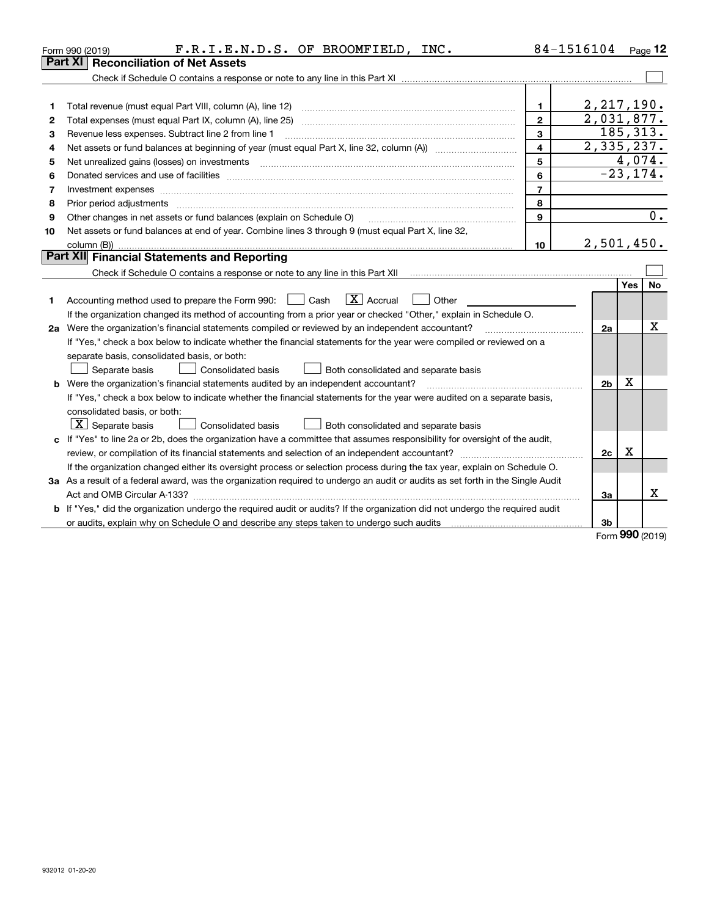|    | F.R.I.E.N.D.S. OF BROOMFIELD, INC.<br>Form 990 (2019)                                                                           |                         | 84-1516104     |             | Page $12$ |
|----|---------------------------------------------------------------------------------------------------------------------------------|-------------------------|----------------|-------------|-----------|
|    | Part XI<br><b>Reconciliation of Net Assets</b>                                                                                  |                         |                |             |           |
|    |                                                                                                                                 |                         |                |             |           |
|    |                                                                                                                                 |                         |                |             |           |
| 1  | Total revenue (must equal Part VIII, column (A), line 12)                                                                       | 1                       | 2, 217, 190.   |             |           |
| 2  |                                                                                                                                 | $\overline{2}$          | 2,031,877.     |             |           |
| з  | Revenue less expenses. Subtract line 2 from line 1                                                                              | 3                       | 185, 313.      |             |           |
| 4  |                                                                                                                                 | $\overline{\mathbf{4}}$ | 2,335,237.     |             |           |
| 5  |                                                                                                                                 | 5                       |                | 4,074.      |           |
| 6  |                                                                                                                                 | 6                       |                | $-23, 174.$ |           |
| 7  | Investment expenses www.communication.com/www.communication.com/www.communication.com/www.com                                   | $\overline{7}$          |                |             |           |
| 8  | Prior period adjustments                                                                                                        | 8                       |                |             |           |
| 9  | Other changes in net assets or fund balances (explain on Schedule O)                                                            | 9                       |                |             | 0.        |
| 10 | Net assets or fund balances at end of year. Combine lines 3 through 9 (must equal Part X, line 32,                              |                         |                |             |           |
|    |                                                                                                                                 | 10                      | 2,501,450.     |             |           |
|    | Part XII Financial Statements and Reporting                                                                                     |                         |                |             |           |
|    |                                                                                                                                 |                         |                |             |           |
|    |                                                                                                                                 |                         |                | Yes         | <b>No</b> |
|    | $\boxed{\mathbf{X}}$ Accrual<br>Accounting method used to prepare the Form 990: <u>June</u> Cash<br>Other                       |                         |                |             |           |
|    | If the organization changed its method of accounting from a prior year or checked "Other," explain in Schedule O.               |                         |                |             |           |
|    | 2a Were the organization's financial statements compiled or reviewed by an independent accountant?                              |                         | 2a             |             | x         |
|    | If "Yes," check a box below to indicate whether the financial statements for the year were compiled or reviewed on a            |                         |                |             |           |
|    | separate basis, consolidated basis, or both:                                                                                    |                         |                |             |           |
|    | Separate basis<br>Consolidated basis<br>Both consolidated and separate basis                                                    |                         |                |             |           |
|    | <b>b</b> Were the organization's financial statements audited by an independent accountant?                                     |                         | 2 <sub>b</sub> | X           |           |
|    | If "Yes," check a box below to indicate whether the financial statements for the year were audited on a separate basis,         |                         |                |             |           |
|    | consolidated basis, or both:                                                                                                    |                         |                |             |           |
|    | $ \mathbf{X} $ Separate basis<br>Consolidated basis<br>Both consolidated and separate basis                                     |                         |                |             |           |
|    | c If "Yes" to line 2a or 2b, does the organization have a committee that assumes responsibility for oversight of the audit,     |                         |                |             |           |
|    |                                                                                                                                 |                         | 2c             | х           |           |
|    | If the organization changed either its oversight process or selection process during the tax year, explain on Schedule O.       |                         |                |             |           |
|    | 3a As a result of a federal award, was the organization required to undergo an audit or audits as set forth in the Single Audit |                         |                |             |           |
|    |                                                                                                                                 |                         | За             |             | x         |
|    | b If "Yes," did the organization undergo the required audit or audits? If the organization did not undergo the required audit   |                         |                |             |           |
|    |                                                                                                                                 |                         | 3b             |             |           |

Form (2019) **990**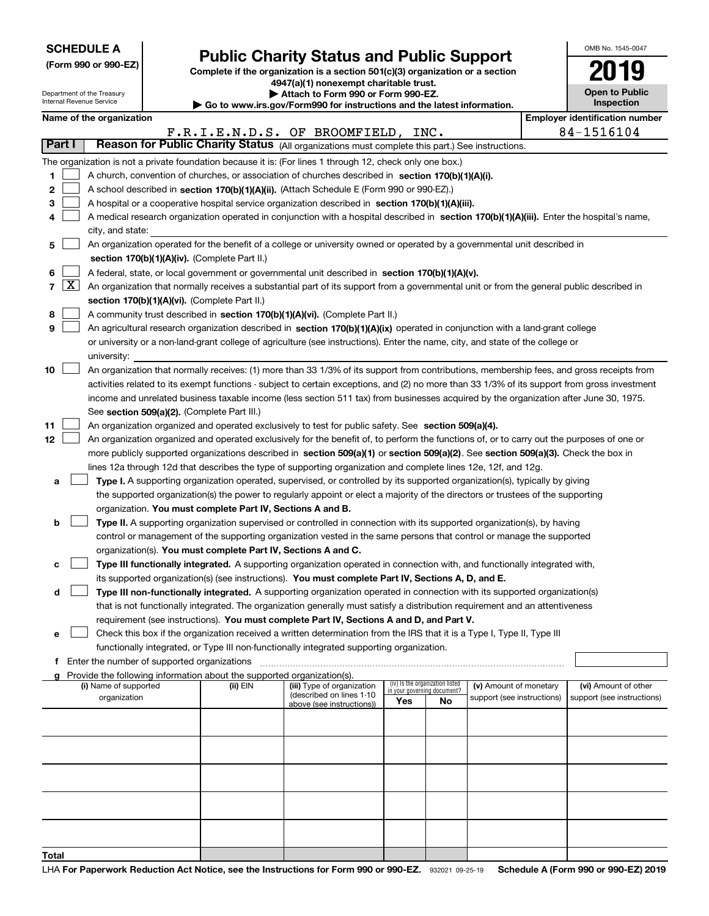Department of the Treasury Internal Revenue Service

|  |  |  | (Form 990 or 990-EZ) |  |
|--|--|--|----------------------|--|
|--|--|--|----------------------|--|

# **Public Charity Status and Public Support**

**Complete if the organization is a section 501(c)(3) organization or a section 4947(a)(1) nonexempt charitable trust. | Attach to Form 990 or Form 990-EZ.** 

|  | $\blacktriangleright$ Allach to Form 550 or Form 550-LZ.       |  |
|--|----------------------------------------------------------------|--|
|  | www.ire.gov/Eorm000 for.inetructions.and the latest informatio |  |

**| Go to www.irs.gov/Form990 for instructions and the latest information.**

| OMB No. 1545-0047                   |
|-------------------------------------|
| 19<br>1                             |
| <b>Open to Public</b><br>Inspection |
|                                     |

|       |                                                                                                                                                 | Name of the organization                                                                                                                                                                                                                           |          |                                                        |                             |                                 |                                                      |  | <b>Employer identification number</b><br>84-1516104 |
|-------|-------------------------------------------------------------------------------------------------------------------------------------------------|----------------------------------------------------------------------------------------------------------------------------------------------------------------------------------------------------------------------------------------------------|----------|--------------------------------------------------------|-----------------------------|---------------------------------|------------------------------------------------------|--|-----------------------------------------------------|
|       | F.R.I.E.N.D.S. OF BROOMFIELD, INC.<br>Part I<br>Reason for Public Charity Status (All organizations must complete this part.) See instructions. |                                                                                                                                                                                                                                                    |          |                                                        |                             |                                 |                                                      |  |                                                     |
|       |                                                                                                                                                 |                                                                                                                                                                                                                                                    |          |                                                        |                             |                                 |                                                      |  |                                                     |
|       |                                                                                                                                                 | The organization is not a private foundation because it is: (For lines 1 through 12, check only one box.)                                                                                                                                          |          |                                                        |                             |                                 |                                                      |  |                                                     |
| 1.    |                                                                                                                                                 | A church, convention of churches, or association of churches described in section 170(b)(1)(A)(i).                                                                                                                                                 |          |                                                        |                             |                                 |                                                      |  |                                                     |
| 2     |                                                                                                                                                 | A school described in section 170(b)(1)(A)(ii). (Attach Schedule E (Form 990 or 990-EZ).)                                                                                                                                                          |          |                                                        |                             |                                 |                                                      |  |                                                     |
| 3     |                                                                                                                                                 | A hospital or a cooperative hospital service organization described in section 170(b)(1)(A)(iii).                                                                                                                                                  |          |                                                        |                             |                                 |                                                      |  |                                                     |
|       |                                                                                                                                                 | A medical research organization operated in conjunction with a hospital described in section 170(b)(1)(A)(iii). Enter the hospital's name,                                                                                                         |          |                                                        |                             |                                 |                                                      |  |                                                     |
|       |                                                                                                                                                 | city, and state:                                                                                                                                                                                                                                   |          |                                                        |                             |                                 |                                                      |  |                                                     |
| 5     |                                                                                                                                                 | An organization operated for the benefit of a college or university owned or operated by a governmental unit described in                                                                                                                          |          |                                                        |                             |                                 |                                                      |  |                                                     |
|       |                                                                                                                                                 | section 170(b)(1)(A)(iv). (Complete Part II.)                                                                                                                                                                                                      |          |                                                        |                             |                                 |                                                      |  |                                                     |
| 6     |                                                                                                                                                 | A federal, state, or local government or governmental unit described in section 170(b)(1)(A)(v).                                                                                                                                                   |          |                                                        |                             |                                 |                                                      |  |                                                     |
| 7     | $\lfloor x \rfloor$                                                                                                                             | An organization that normally receives a substantial part of its support from a governmental unit or from the general public described in                                                                                                          |          |                                                        |                             |                                 |                                                      |  |                                                     |
|       |                                                                                                                                                 | section 170(b)(1)(A)(vi). (Complete Part II.)                                                                                                                                                                                                      |          |                                                        |                             |                                 |                                                      |  |                                                     |
| 8     |                                                                                                                                                 | A community trust described in section 170(b)(1)(A)(vi). (Complete Part II.)                                                                                                                                                                       |          |                                                        |                             |                                 |                                                      |  |                                                     |
| 9     |                                                                                                                                                 | An agricultural research organization described in section 170(b)(1)(A)(ix) operated in conjunction with a land-grant college                                                                                                                      |          |                                                        |                             |                                 |                                                      |  |                                                     |
|       |                                                                                                                                                 | or university or a non-land-grant college of agriculture (see instructions). Enter the name, city, and state of the college or                                                                                                                     |          |                                                        |                             |                                 |                                                      |  |                                                     |
|       |                                                                                                                                                 | university:                                                                                                                                                                                                                                        |          |                                                        |                             |                                 |                                                      |  |                                                     |
| 10    |                                                                                                                                                 | An organization that normally receives: (1) more than 33 1/3% of its support from contributions, membership fees, and gross receipts from                                                                                                          |          |                                                        |                             |                                 |                                                      |  |                                                     |
|       |                                                                                                                                                 | activities related to its exempt functions - subject to certain exceptions, and (2) no more than 33 1/3% of its support from gross investment                                                                                                      |          |                                                        |                             |                                 |                                                      |  |                                                     |
|       |                                                                                                                                                 | income and unrelated business taxable income (less section 511 tax) from businesses acquired by the organization after June 30, 1975.                                                                                                              |          |                                                        |                             |                                 |                                                      |  |                                                     |
|       |                                                                                                                                                 | See section 509(a)(2). (Complete Part III.)                                                                                                                                                                                                        |          |                                                        |                             |                                 |                                                      |  |                                                     |
| 11    |                                                                                                                                                 | An organization organized and operated exclusively to test for public safety. See section 509(a)(4).<br>An organization organized and operated exclusively for the benefit of, to perform the functions of, or to carry out the purposes of one or |          |                                                        |                             |                                 |                                                      |  |                                                     |
| 12    |                                                                                                                                                 | more publicly supported organizations described in section 509(a)(1) or section 509(a)(2). See section 509(a)(3). Check the box in                                                                                                                 |          |                                                        |                             |                                 |                                                      |  |                                                     |
|       |                                                                                                                                                 | lines 12a through 12d that describes the type of supporting organization and complete lines 12e, 12f, and 12g.                                                                                                                                     |          |                                                        |                             |                                 |                                                      |  |                                                     |
| a     |                                                                                                                                                 | Type I. A supporting organization operated, supervised, or controlled by its supported organization(s), typically by giving                                                                                                                        |          |                                                        |                             |                                 |                                                      |  |                                                     |
|       |                                                                                                                                                 | the supported organization(s) the power to regularly appoint or elect a majority of the directors or trustees of the supporting                                                                                                                    |          |                                                        |                             |                                 |                                                      |  |                                                     |
|       |                                                                                                                                                 | organization. You must complete Part IV, Sections A and B.                                                                                                                                                                                         |          |                                                        |                             |                                 |                                                      |  |                                                     |
| b     |                                                                                                                                                 | Type II. A supporting organization supervised or controlled in connection with its supported organization(s), by having                                                                                                                            |          |                                                        |                             |                                 |                                                      |  |                                                     |
|       |                                                                                                                                                 | control or management of the supporting organization vested in the same persons that control or manage the supported                                                                                                                               |          |                                                        |                             |                                 |                                                      |  |                                                     |
|       |                                                                                                                                                 | organization(s). You must complete Part IV, Sections A and C.                                                                                                                                                                                      |          |                                                        |                             |                                 |                                                      |  |                                                     |
| c     |                                                                                                                                                 | Type III functionally integrated. A supporting organization operated in connection with, and functionally integrated with,                                                                                                                         |          |                                                        |                             |                                 |                                                      |  |                                                     |
|       |                                                                                                                                                 | its supported organization(s) (see instructions). You must complete Part IV, Sections A, D, and E.                                                                                                                                                 |          |                                                        |                             |                                 |                                                      |  |                                                     |
| d     |                                                                                                                                                 | Type III non-functionally integrated. A supporting organization operated in connection with its supported organization(s)                                                                                                                          |          |                                                        |                             |                                 |                                                      |  |                                                     |
|       |                                                                                                                                                 | that is not functionally integrated. The organization generally must satisfy a distribution requirement and an attentiveness                                                                                                                       |          |                                                        |                             |                                 |                                                      |  |                                                     |
|       |                                                                                                                                                 | requirement (see instructions). You must complete Part IV, Sections A and D, and Part V.                                                                                                                                                           |          |                                                        |                             |                                 |                                                      |  |                                                     |
|       |                                                                                                                                                 | Check this box if the organization received a written determination from the IRS that it is a Type I, Type II, Type III                                                                                                                            |          |                                                        |                             |                                 |                                                      |  |                                                     |
|       |                                                                                                                                                 | functionally integrated, or Type III non-functionally integrated supporting organization.                                                                                                                                                          |          |                                                        |                             |                                 |                                                      |  |                                                     |
|       |                                                                                                                                                 | f Enter the number of supported organizations                                                                                                                                                                                                      |          |                                                        |                             |                                 |                                                      |  |                                                     |
|       |                                                                                                                                                 | g Provide the following information about the supported organization(s).<br>(i) Name of supported                                                                                                                                                  |          |                                                        |                             | (iv) Is the organization listed |                                                      |  |                                                     |
|       |                                                                                                                                                 | organization                                                                                                                                                                                                                                       | (ii) EIN | (iii) Type of organization<br>(described on lines 1-10 | in your governing document? |                                 | (v) Amount of monetary<br>support (see instructions) |  | (vi) Amount of other<br>support (see instructions)  |
|       |                                                                                                                                                 |                                                                                                                                                                                                                                                    |          | above (see instructions))                              | Yes                         | No                              |                                                      |  |                                                     |
|       |                                                                                                                                                 |                                                                                                                                                                                                                                                    |          |                                                        |                             |                                 |                                                      |  |                                                     |
|       |                                                                                                                                                 |                                                                                                                                                                                                                                                    |          |                                                        |                             |                                 |                                                      |  |                                                     |
|       |                                                                                                                                                 |                                                                                                                                                                                                                                                    |          |                                                        |                             |                                 |                                                      |  |                                                     |
|       |                                                                                                                                                 |                                                                                                                                                                                                                                                    |          |                                                        |                             |                                 |                                                      |  |                                                     |
|       |                                                                                                                                                 |                                                                                                                                                                                                                                                    |          |                                                        |                             |                                 |                                                      |  |                                                     |
|       |                                                                                                                                                 |                                                                                                                                                                                                                                                    |          |                                                        |                             |                                 |                                                      |  |                                                     |
|       |                                                                                                                                                 |                                                                                                                                                                                                                                                    |          |                                                        |                             |                                 |                                                      |  |                                                     |
|       |                                                                                                                                                 |                                                                                                                                                                                                                                                    |          |                                                        |                             |                                 |                                                      |  |                                                     |
|       |                                                                                                                                                 |                                                                                                                                                                                                                                                    |          |                                                        |                             |                                 |                                                      |  |                                                     |
| Total |                                                                                                                                                 |                                                                                                                                                                                                                                                    |          |                                                        |                             |                                 |                                                      |  |                                                     |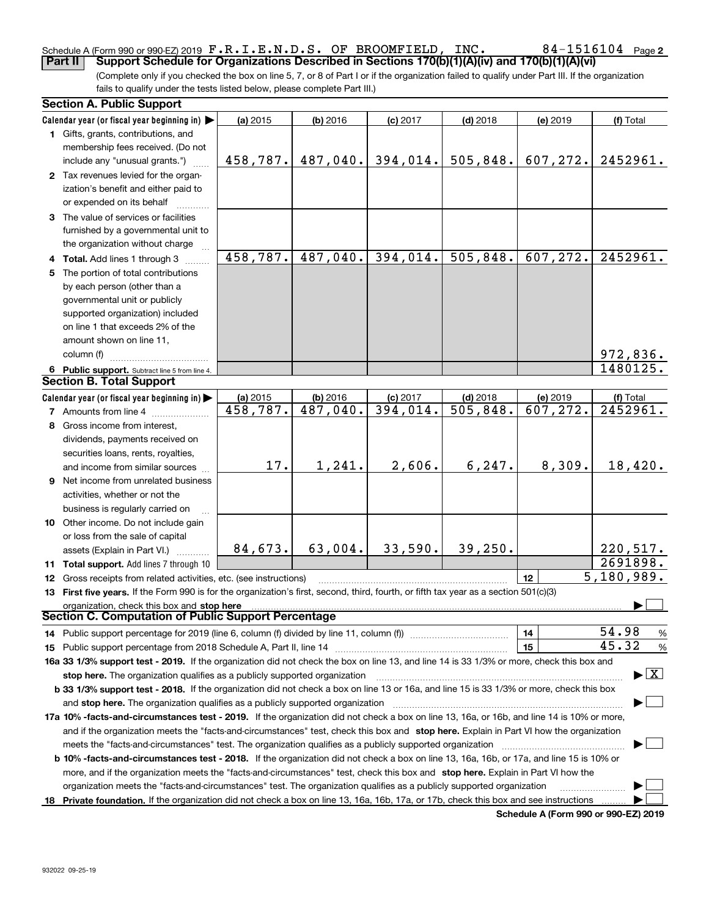#### Schedule A (Form 990 or 990-EZ) 2019 Page F.R.I.E.N.D.S. OF BROOMFIELD, INC. 84-1516104**Part II Support Schedule for Organizations Described in Sections 170(b)(1)(A)(iv) and 170(b)(1)(A)(vi)**

(Complete only if you checked the box on line 5, 7, or 8 of Part I or if the organization failed to qualify under Part III. If the organization fails to qualify under the tests listed below, please complete Part III.)

| <b>Section A. Public Support</b>                                                                                                               |                      |                        |                        |                                       |           |                                          |
|------------------------------------------------------------------------------------------------------------------------------------------------|----------------------|------------------------|------------------------|---------------------------------------|-----------|------------------------------------------|
| Calendar year (or fiscal year beginning in)                                                                                                    | (a) 2015             | (b) 2016               | $(c)$ 2017             | $(d)$ 2018                            | (e) 2019  | (f) Total                                |
| 1 Gifts, grants, contributions, and                                                                                                            |                      |                        |                        |                                       |           |                                          |
| membership fees received. (Do not                                                                                                              |                      |                        |                        |                                       |           |                                          |
| include any "unusual grants.")                                                                                                                 | 458,787.             | 487,040.               | 394,014.               | 505, 848.                             | 607,272.  | 2452961.                                 |
| 2 Tax revenues levied for the organ-                                                                                                           |                      |                        |                        |                                       |           |                                          |
| ization's benefit and either paid to                                                                                                           |                      |                        |                        |                                       |           |                                          |
| or expended on its behalf                                                                                                                      |                      |                        |                        |                                       |           |                                          |
| 3 The value of services or facilities                                                                                                          |                      |                        |                        |                                       |           |                                          |
| furnished by a governmental unit to                                                                                                            |                      |                        |                        |                                       |           |                                          |
| the organization without charge                                                                                                                |                      |                        |                        |                                       |           |                                          |
| 4 Total. Add lines 1 through 3                                                                                                                 | 458, 787.            | 487,040.               | 394,014.               | 505,848.                              | 607, 272. | 2452961.                                 |
| 5 The portion of total contributions                                                                                                           |                      |                        |                        |                                       |           |                                          |
| by each person (other than a                                                                                                                   |                      |                        |                        |                                       |           |                                          |
| governmental unit or publicly                                                                                                                  |                      |                        |                        |                                       |           |                                          |
| supported organization) included                                                                                                               |                      |                        |                        |                                       |           |                                          |
| on line 1 that exceeds 2% of the                                                                                                               |                      |                        |                        |                                       |           |                                          |
| amount shown on line 11,                                                                                                                       |                      |                        |                        |                                       |           |                                          |
| column (f)                                                                                                                                     |                      |                        |                        |                                       |           | 972,836.                                 |
|                                                                                                                                                |                      |                        |                        |                                       |           | 1480125.                                 |
| 6 Public support. Subtract line 5 from line 4.<br><b>Section B. Total Support</b>                                                              |                      |                        |                        |                                       |           |                                          |
| Calendar year (or fiscal year beginning in)                                                                                                    |                      |                        |                        |                                       | (e) 2019  |                                          |
| <b>7</b> Amounts from line 4                                                                                                                   | (a) 2015<br>458,787. | $(b)$ 2016<br>487,040. | $(c)$ 2017<br>394,014. | $(d)$ 2018<br>$\overline{505, 848}$ . | 607,272.  | (f) Total<br>2452961.                    |
|                                                                                                                                                |                      |                        |                        |                                       |           |                                          |
| 8 Gross income from interest,                                                                                                                  |                      |                        |                        |                                       |           |                                          |
| dividends, payments received on                                                                                                                |                      |                        |                        |                                       |           |                                          |
| securities loans, rents, royalties,                                                                                                            | 17.                  | 1,241.                 | 2,606.                 | 6, 247.                               | 8,309.    | 18,420.                                  |
| and income from similar sources                                                                                                                |                      |                        |                        |                                       |           |                                          |
| <b>9</b> Net income from unrelated business                                                                                                    |                      |                        |                        |                                       |           |                                          |
| activities, whether or not the                                                                                                                 |                      |                        |                        |                                       |           |                                          |
| business is regularly carried on                                                                                                               |                      |                        |                        |                                       |           |                                          |
| 10 Other income. Do not include gain                                                                                                           |                      |                        |                        |                                       |           |                                          |
| or loss from the sale of capital                                                                                                               |                      |                        |                        |                                       |           |                                          |
| assets (Explain in Part VI.)                                                                                                                   | 84,673.              | 63,004.                | 33,590.                | 39,250.                               |           | 220,517.                                 |
| 11 Total support. Add lines 7 through 10                                                                                                       |                      |                        |                        |                                       |           | 2691898.                                 |
| <b>12</b> Gross receipts from related activities, etc. (see instructions)                                                                      |                      |                        |                        |                                       | 12        | 5,180,989.                               |
| 13 First five years. If the Form 990 is for the organization's first, second, third, fourth, or fifth tax year as a section 501(c)(3)          |                      |                        |                        |                                       |           |                                          |
| organization, check this box and stop here                                                                                                     |                      |                        |                        |                                       |           |                                          |
| <b>Section C. Computation of Public Support Percentage</b>                                                                                     |                      |                        |                        |                                       |           |                                          |
| 14 Public support percentage for 2019 (line 6, column (f) divided by line 11, column (f) <i>manumeronominimi</i> ng                            |                      |                        |                        |                                       | 14        | 54.98<br>%                               |
|                                                                                                                                                |                      |                        |                        |                                       | 15        | 45.32<br>%                               |
| 16a 33 1/3% support test - 2019. If the organization did not check the box on line 13, and line 14 is 33 1/3% or more, check this box and      |                      |                        |                        |                                       |           |                                          |
| stop here. The organization qualifies as a publicly supported organization                                                                     |                      |                        |                        |                                       |           | $\blacktriangleright$ $\boxed{\text{X}}$ |
| b 33 1/3% support test - 2018. If the organization did not check a box on line 13 or 16a, and line 15 is 33 1/3% or more, check this box       |                      |                        |                        |                                       |           |                                          |
| and stop here. The organization qualifies as a publicly supported organization                                                                 |                      |                        |                        |                                       |           |                                          |
| 17a 10% -facts-and-circumstances test - 2019. If the organization did not check a box on line 13, 16a, or 16b, and line 14 is 10% or more,     |                      |                        |                        |                                       |           |                                          |
| and if the organization meets the "facts-and-circumstances" test, check this box and stop here. Explain in Part VI how the organization        |                      |                        |                        |                                       |           |                                          |
| meets the "facts-and-circumstances" test. The organization qualifies as a publicly supported organization                                      |                      |                        |                        |                                       |           |                                          |
| <b>b 10% -facts-and-circumstances test - 2018.</b> If the organization did not check a box on line 13, 16a, 16b, or 17a, and line 15 is 10% or |                      |                        |                        |                                       |           |                                          |
| more, and if the organization meets the "facts-and-circumstances" test, check this box and stop here. Explain in Part VI how the               |                      |                        |                        |                                       |           |                                          |
| organization meets the "facts-and-circumstances" test. The organization qualifies as a publicly supported organization                         |                      |                        |                        |                                       |           |                                          |
| 18 Private foundation. If the organization did not check a box on line 13, 16a, 16b, 17a, or 17b, check this box and see instructions          |                      |                        |                        |                                       |           |                                          |

**Schedule A (Form 990 or 990-EZ) 2019**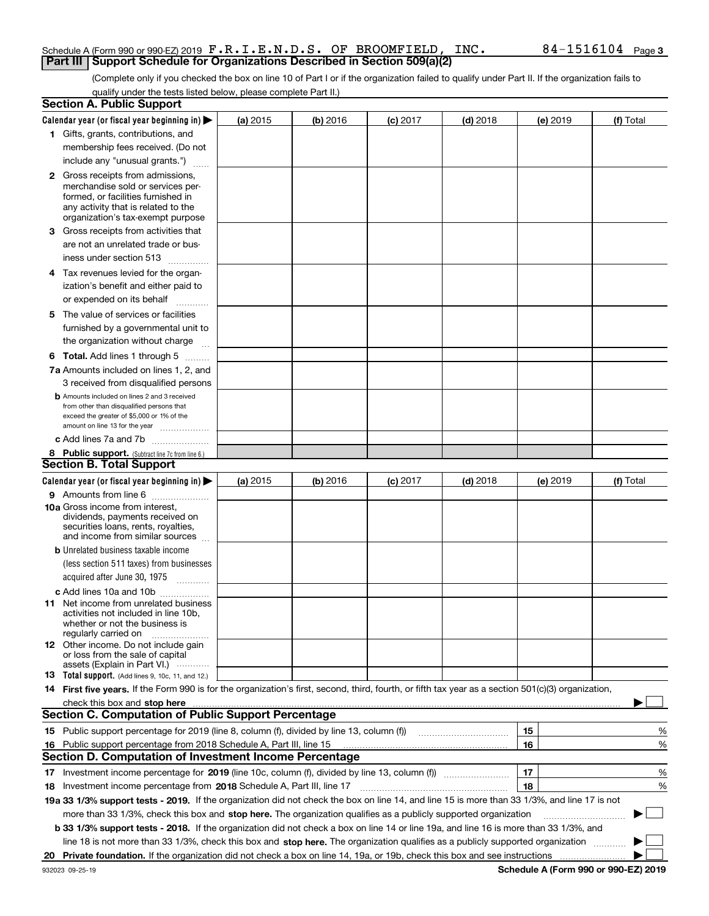#### Schedule A (Form 990 or 990-EZ) 2019 Page F.R.I.E.N.D.S. OF BROOMFIELD, INC. 84-1516104**Part III | Support Schedule for Organizations Described in Section 509(a)(2)**

(Complete only if you checked the box on line 10 of Part I or if the organization failed to qualify under Part II. If the organization fails to qualify under the tests listed below, please complete Part II.)

|    | <b>Section A. Public Support</b>                                                                                                                                                                                               |                 |          |                 |            |          |           |
|----|--------------------------------------------------------------------------------------------------------------------------------------------------------------------------------------------------------------------------------|-----------------|----------|-----------------|------------|----------|-----------|
|    | Calendar year (or fiscal year beginning in) $\blacktriangleright$                                                                                                                                                              | <b>(a)</b> 2015 | (b) 2016 | <b>(c)</b> 2017 | $(d)$ 2018 | (e) 2019 | (f) Total |
|    | 1 Gifts, grants, contributions, and                                                                                                                                                                                            |                 |          |                 |            |          |           |
|    | membership fees received. (Do not                                                                                                                                                                                              |                 |          |                 |            |          |           |
|    | include any "unusual grants.")                                                                                                                                                                                                 |                 |          |                 |            |          |           |
|    | <b>2</b> Gross receipts from admissions,                                                                                                                                                                                       |                 |          |                 |            |          |           |
|    | merchandise sold or services per-                                                                                                                                                                                              |                 |          |                 |            |          |           |
|    | formed, or facilities furnished in                                                                                                                                                                                             |                 |          |                 |            |          |           |
|    | any activity that is related to the<br>organization's tax-exempt purpose                                                                                                                                                       |                 |          |                 |            |          |           |
|    | 3 Gross receipts from activities that                                                                                                                                                                                          |                 |          |                 |            |          |           |
|    | are not an unrelated trade or bus-                                                                                                                                                                                             |                 |          |                 |            |          |           |
|    | iness under section 513                                                                                                                                                                                                        |                 |          |                 |            |          |           |
|    | 4 Tax revenues levied for the organ-                                                                                                                                                                                           |                 |          |                 |            |          |           |
|    | ization's benefit and either paid to                                                                                                                                                                                           |                 |          |                 |            |          |           |
|    | or expended on its behalf                                                                                                                                                                                                      |                 |          |                 |            |          |           |
|    | .                                                                                                                                                                                                                              |                 |          |                 |            |          |           |
|    | 5 The value of services or facilities                                                                                                                                                                                          |                 |          |                 |            |          |           |
|    | furnished by a governmental unit to                                                                                                                                                                                            |                 |          |                 |            |          |           |
|    | the organization without charge                                                                                                                                                                                                |                 |          |                 |            |          |           |
|    | <b>6 Total.</b> Add lines 1 through 5                                                                                                                                                                                          |                 |          |                 |            |          |           |
|    | 7a Amounts included on lines 1, 2, and                                                                                                                                                                                         |                 |          |                 |            |          |           |
|    | 3 received from disqualified persons                                                                                                                                                                                           |                 |          |                 |            |          |           |
|    | <b>b</b> Amounts included on lines 2 and 3 received<br>from other than disqualified persons that                                                                                                                               |                 |          |                 |            |          |           |
|    | exceed the greater of \$5,000 or 1% of the                                                                                                                                                                                     |                 |          |                 |            |          |           |
|    | amount on line 13 for the year                                                                                                                                                                                                 |                 |          |                 |            |          |           |
|    | c Add lines 7a and 7b                                                                                                                                                                                                          |                 |          |                 |            |          |           |
|    | 8 Public support. (Subtract line 7c from line 6.)                                                                                                                                                                              |                 |          |                 |            |          |           |
|    | <b>Section B. Total Support</b>                                                                                                                                                                                                |                 |          |                 |            |          |           |
|    | Calendar year (or fiscal year beginning in)                                                                                                                                                                                    | (a) $2015$      | (b) 2016 | <b>(c)</b> 2017 | $(d)$ 2018 | (e) 2019 | (f) Total |
|    | 9 Amounts from line 6                                                                                                                                                                                                          |                 |          |                 |            |          |           |
|    | <b>10a</b> Gross income from interest,<br>dividends, payments received on                                                                                                                                                      |                 |          |                 |            |          |           |
|    | securities loans, rents, royalties,                                                                                                                                                                                            |                 |          |                 |            |          |           |
|    | and income from similar sources                                                                                                                                                                                                |                 |          |                 |            |          |           |
|    | <b>b</b> Unrelated business taxable income                                                                                                                                                                                     |                 |          |                 |            |          |           |
|    | (less section 511 taxes) from businesses                                                                                                                                                                                       |                 |          |                 |            |          |           |
|    | acquired after June 30, 1975                                                                                                                                                                                                   |                 |          |                 |            |          |           |
|    | c Add lines 10a and 10b                                                                                                                                                                                                        |                 |          |                 |            |          |           |
|    | 11 Net income from unrelated business                                                                                                                                                                                          |                 |          |                 |            |          |           |
|    | activities not included in line 10b,                                                                                                                                                                                           |                 |          |                 |            |          |           |
|    | whether or not the business is<br>regularly carried on                                                                                                                                                                         |                 |          |                 |            |          |           |
|    | <b>12</b> Other income. Do not include gain                                                                                                                                                                                    |                 |          |                 |            |          |           |
|    | or loss from the sale of capital                                                                                                                                                                                               |                 |          |                 |            |          |           |
|    | assets (Explain in Part VI.)<br>13 Total support. (Add lines 9, 10c, 11, and 12.)                                                                                                                                              |                 |          |                 |            |          |           |
|    | 14 First five years. If the Form 990 is for the organization's first, second, third, fourth, or fifth tax year as a section 501(c)(3) organization,                                                                            |                 |          |                 |            |          |           |
|    | check this box and stop here measurements and contain the state of the state of the state of the state of the state of the state of the state of the state of the state of the state of the state of the state of the state of |                 |          |                 |            |          |           |
|    | <b>Section C. Computation of Public Support Percentage</b>                                                                                                                                                                     |                 |          |                 |            |          |           |
|    | 15 Public support percentage for 2019 (line 8, column (f), divided by line 13, column (f))                                                                                                                                     |                 |          |                 |            | 15       | %         |
|    | 16 Public support percentage from 2018 Schedule A, Part III, line 15                                                                                                                                                           |                 |          |                 |            | 16       | %         |
|    | <b>Section D. Computation of Investment Income Percentage</b>                                                                                                                                                                  |                 |          |                 |            |          |           |
|    | 17 Investment income percentage for 2019 (line 10c, column (f), divided by line 13, column (f))                                                                                                                                |                 |          |                 |            | 17       | %         |
|    | <b>18</b> Investment income percentage from <b>2018</b> Schedule A, Part III, line 17                                                                                                                                          |                 |          |                 |            | 18       | %         |
|    | 19a 33 1/3% support tests - 2019. If the organization did not check the box on line 14, and line 15 is more than 33 1/3%, and line 17 is not                                                                                   |                 |          |                 |            |          |           |
|    | more than 33 1/3%, check this box and stop here. The organization qualifies as a publicly supported organization                                                                                                               |                 |          |                 |            |          | $\sim$    |
|    |                                                                                                                                                                                                                                |                 |          |                 |            |          |           |
|    | b 33 1/3% support tests - 2018. If the organization did not check a box on line 14 or line 19a, and line 16 is more than 33 1/3%, and                                                                                          |                 |          |                 |            |          |           |
|    | line 18 is not more than 33 1/3%, check this box and stop here. The organization qualifies as a publicly supported organization                                                                                                |                 |          |                 |            |          |           |
| 20 |                                                                                                                                                                                                                                |                 |          |                 |            |          |           |

**Schedule A (Form 990 or 990-EZ) 2019**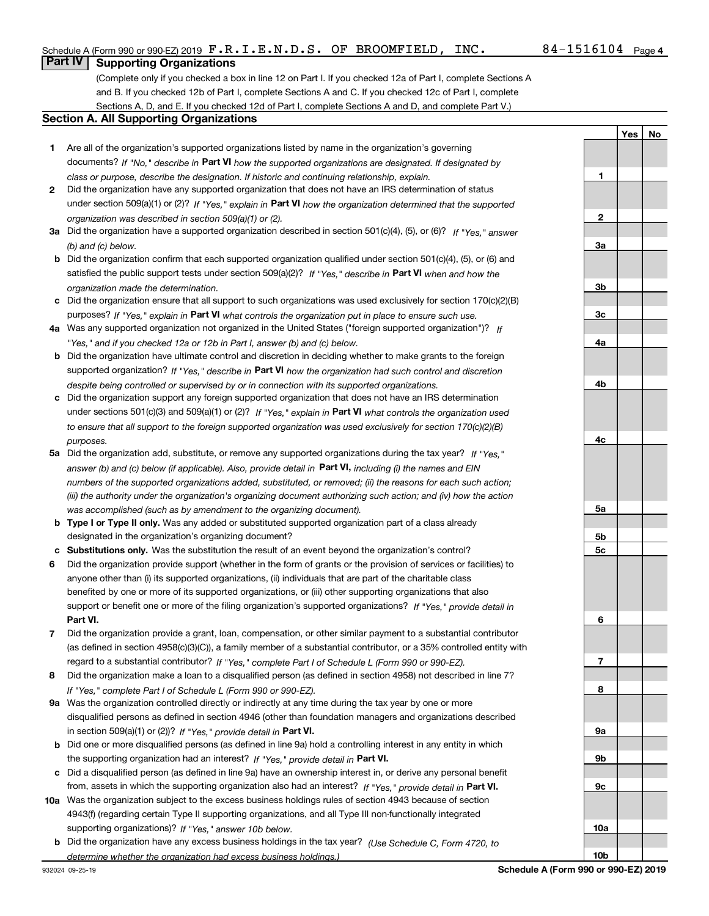**1**

**2**

**3a**

**3b**

**3c**

**4a**

**4b**

**4c**

**5a**

**5b5c**

**6**

**7**

**8**

**9a**

**9b**

**9c**

**YesNo**

# **Part IV Supporting Organizations**

(Complete only if you checked a box in line 12 on Part I. If you checked 12a of Part I, complete Sections A and B. If you checked 12b of Part I, complete Sections A and C. If you checked 12c of Part I, complete Sections A, D, and E. If you checked 12d of Part I, complete Sections A and D, and complete Part V.)

#### **Section A. All Supporting Organizations**

- **1** Are all of the organization's supported organizations listed by name in the organization's governing documents? If "No," describe in **Part VI** how the supported organizations are designated. If designated by *class or purpose, describe the designation. If historic and continuing relationship, explain.*
- **2** Did the organization have any supported organization that does not have an IRS determination of status under section 509(a)(1) or (2)? If "Yes," explain in Part VI how the organization determined that the supported *organization was described in section 509(a)(1) or (2).*
- **3a** Did the organization have a supported organization described in section 501(c)(4), (5), or (6)? If "Yes," answer *(b) and (c) below.*
- **b** Did the organization confirm that each supported organization qualified under section 501(c)(4), (5), or (6) and satisfied the public support tests under section 509(a)(2)? If "Yes," describe in **Part VI** when and how the *organization made the determination.*
- **c**Did the organization ensure that all support to such organizations was used exclusively for section 170(c)(2)(B) purposes? If "Yes," explain in **Part VI** what controls the organization put in place to ensure such use.
- **4a***If* Was any supported organization not organized in the United States ("foreign supported organization")? *"Yes," and if you checked 12a or 12b in Part I, answer (b) and (c) below.*
- **b** Did the organization have ultimate control and discretion in deciding whether to make grants to the foreign supported organization? If "Yes," describe in **Part VI** how the organization had such control and discretion *despite being controlled or supervised by or in connection with its supported organizations.*
- **c** Did the organization support any foreign supported organization that does not have an IRS determination under sections 501(c)(3) and 509(a)(1) or (2)? If "Yes," explain in **Part VI** what controls the organization used *to ensure that all support to the foreign supported organization was used exclusively for section 170(c)(2)(B) purposes.*
- **5a***If "Yes,"* Did the organization add, substitute, or remove any supported organizations during the tax year? answer (b) and (c) below (if applicable). Also, provide detail in **Part VI,** including (i) the names and EIN *numbers of the supported organizations added, substituted, or removed; (ii) the reasons for each such action; (iii) the authority under the organization's organizing document authorizing such action; and (iv) how the action was accomplished (such as by amendment to the organizing document).*
- **b** Type I or Type II only. Was any added or substituted supported organization part of a class already designated in the organization's organizing document?
- **cSubstitutions only.**  Was the substitution the result of an event beyond the organization's control?
- **6** Did the organization provide support (whether in the form of grants or the provision of services or facilities) to **Part VI.** *If "Yes," provide detail in* support or benefit one or more of the filing organization's supported organizations? anyone other than (i) its supported organizations, (ii) individuals that are part of the charitable class benefited by one or more of its supported organizations, or (iii) other supporting organizations that also
- **7**Did the organization provide a grant, loan, compensation, or other similar payment to a substantial contributor *If "Yes," complete Part I of Schedule L (Form 990 or 990-EZ).* regard to a substantial contributor? (as defined in section 4958(c)(3)(C)), a family member of a substantial contributor, or a 35% controlled entity with
- **8** Did the organization make a loan to a disqualified person (as defined in section 4958) not described in line 7? *If "Yes," complete Part I of Schedule L (Form 990 or 990-EZ).*
- **9a** Was the organization controlled directly or indirectly at any time during the tax year by one or more in section 509(a)(1) or (2))? If "Yes," *provide detail in* <code>Part VI.</code> disqualified persons as defined in section 4946 (other than foundation managers and organizations described
- **b** Did one or more disqualified persons (as defined in line 9a) hold a controlling interest in any entity in which the supporting organization had an interest? If "Yes," provide detail in P**art VI**.
- **c**Did a disqualified person (as defined in line 9a) have an ownership interest in, or derive any personal benefit from, assets in which the supporting organization also had an interest? If "Yes," provide detail in P**art VI.**
- **10a** Was the organization subject to the excess business holdings rules of section 4943 because of section supporting organizations)? If "Yes," answer 10b below. 4943(f) (regarding certain Type II supporting organizations, and all Type III non-functionally integrated
- **b** Did the organization have any excess business holdings in the tax year? (Use Schedule C, Form 4720, to *determine whether the organization had excess business holdings.)*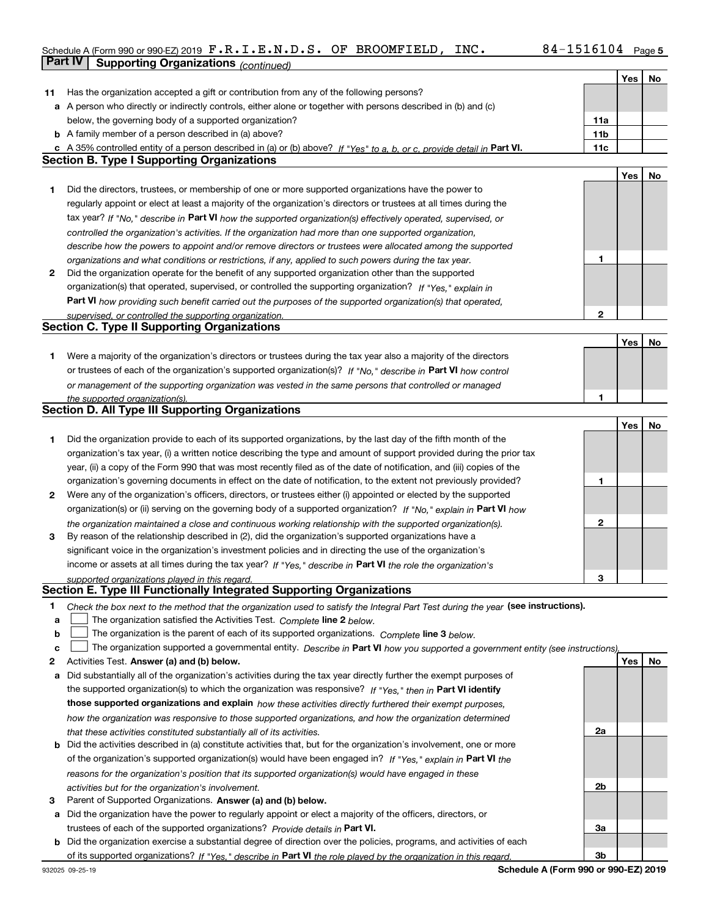# Schedule A (Form 990 or 990-EZ) 2019 Page F.R.I.E.N.D.S. OF BROOMFIELD, INC. 84-1516104**Part IV Supporting Organizations** *(continued)*

|    |                                                                                                                                                                                                               |                | Yes | No |
|----|---------------------------------------------------------------------------------------------------------------------------------------------------------------------------------------------------------------|----------------|-----|----|
| 11 | Has the organization accepted a gift or contribution from any of the following persons?                                                                                                                       |                |     |    |
|    | a A person who directly or indirectly controls, either alone or together with persons described in (b) and (c)                                                                                                |                |     |    |
|    | below, the governing body of a supported organization?                                                                                                                                                        | 11a            |     |    |
|    | <b>b</b> A family member of a person described in (a) above?                                                                                                                                                  | 11b            |     |    |
|    | A 35% controlled entity of a person described in (a) or (b) above? If "Yes" to a, b, or c, provide detail in Part VI.                                                                                         | 11c            |     |    |
|    | <b>Section B. Type I Supporting Organizations</b>                                                                                                                                                             |                |     |    |
|    |                                                                                                                                                                                                               |                | Yes | No |
| 1  | Did the directors, trustees, or membership of one or more supported organizations have the power to                                                                                                           |                |     |    |
|    | regularly appoint or elect at least a majority of the organization's directors or trustees at all times during the                                                                                            |                |     |    |
|    | tax year? If "No," describe in Part VI how the supported organization(s) effectively operated, supervised, or                                                                                                 |                |     |    |
|    | controlled the organization's activities. If the organization had more than one supported organization,                                                                                                       |                |     |    |
|    |                                                                                                                                                                                                               |                |     |    |
|    | describe how the powers to appoint and/or remove directors or trustees were allocated among the supported                                                                                                     | 1              |     |    |
| 2  | organizations and what conditions or restrictions, if any, applied to such powers during the tax year.<br>Did the organization operate for the benefit of any supported organization other than the supported |                |     |    |
|    |                                                                                                                                                                                                               |                |     |    |
|    | organization(s) that operated, supervised, or controlled the supporting organization? If "Yes," explain in                                                                                                    |                |     |    |
|    | Part VI how providing such benefit carried out the purposes of the supported organization(s) that operated,                                                                                                   |                |     |    |
|    | supervised, or controlled the supporting organization.                                                                                                                                                        | $\mathbf 2$    |     |    |
|    | <b>Section C. Type II Supporting Organizations</b>                                                                                                                                                            |                |     |    |
|    |                                                                                                                                                                                                               |                | Yes | No |
| 1  | Were a majority of the organization's directors or trustees during the tax year also a majority of the directors                                                                                              |                |     |    |
|    | or trustees of each of the organization's supported organization(s)? If "No," describe in Part VI how control                                                                                                 |                |     |    |
|    | or management of the supporting organization was vested in the same persons that controlled or managed                                                                                                        |                |     |    |
|    | the supported organization(s).                                                                                                                                                                                | 1              |     |    |
|    | <b>Section D. All Type III Supporting Organizations</b>                                                                                                                                                       |                |     |    |
|    |                                                                                                                                                                                                               |                | Yes | No |
| 1  | Did the organization provide to each of its supported organizations, by the last day of the fifth month of the                                                                                                |                |     |    |
|    | organization's tax year, (i) a written notice describing the type and amount of support provided during the prior tax                                                                                         |                |     |    |
|    | year, (ii) a copy of the Form 990 that was most recently filed as of the date of notification, and (iii) copies of the                                                                                        |                |     |    |
|    | organization's governing documents in effect on the date of notification, to the extent not previously provided?                                                                                              | 1              |     |    |
| 2  | Were any of the organization's officers, directors, or trustees either (i) appointed or elected by the supported                                                                                              |                |     |    |
|    | organization(s) or (ii) serving on the governing body of a supported organization? If "No," explain in Part VI how                                                                                            |                |     |    |
|    | the organization maintained a close and continuous working relationship with the supported organization(s).                                                                                                   | $\mathbf{2}$   |     |    |
| 3  | By reason of the relationship described in (2), did the organization's supported organizations have a                                                                                                         |                |     |    |
|    | significant voice in the organization's investment policies and in directing the use of the organization's                                                                                                    |                |     |    |
|    | income or assets at all times during the tax year? If "Yes," describe in Part VI the role the organization's                                                                                                  |                |     |    |
|    | supported organizations played in this regard.                                                                                                                                                                | 3              |     |    |
|    | Section E. Type III Functionally Integrated Supporting Organizations                                                                                                                                          |                |     |    |
| 1  |                                                                                                                                                                                                               |                |     |    |
|    | Check the box next to the method that the organization used to satisfy the Integral Part Test during the year (see instructions).                                                                             |                |     |    |
| а  | The organization satisfied the Activities Test. Complete line 2 below.                                                                                                                                        |                |     |    |
| b  | The organization is the parent of each of its supported organizations. Complete line 3 below.                                                                                                                 |                |     |    |
| c  | The organization supported a governmental entity. Describe in Part VI how you supported a government entity (see instructions),                                                                               |                |     |    |
| 2  | Activities Test. Answer (a) and (b) below.                                                                                                                                                                    |                | Yes | No |
| а  | Did substantially all of the organization's activities during the tax year directly further the exempt purposes of                                                                                            |                |     |    |
|    | the supported organization(s) to which the organization was responsive? If "Yes," then in Part VI identify                                                                                                    |                |     |    |
|    | those supported organizations and explain how these activities directly furthered their exempt purposes,                                                                                                      |                |     |    |
|    | how the organization was responsive to those supported organizations, and how the organization determined                                                                                                     |                |     |    |
|    | that these activities constituted substantially all of its activities.                                                                                                                                        | 2a             |     |    |
| b  | Did the activities described in (a) constitute activities that, but for the organization's involvement, one or more                                                                                           |                |     |    |
|    | of the organization's supported organization(s) would have been engaged in? If "Yes," explain in Part VI the                                                                                                  |                |     |    |
|    | reasons for the organization's position that its supported organization(s) would have engaged in these                                                                                                        |                |     |    |
|    | activities but for the organization's involvement.                                                                                                                                                            | 2 <sub>b</sub> |     |    |
| З  | Parent of Supported Organizations. Answer (a) and (b) below.                                                                                                                                                  |                |     |    |
| а  | Did the organization have the power to regularly appoint or elect a majority of the officers, directors, or                                                                                                   |                |     |    |
|    | trustees of each of the supported organizations? Provide details in Part VI.                                                                                                                                  | За             |     |    |
| b  | Did the organization exercise a substantial degree of direction over the policies, programs, and activities of each                                                                                           |                |     |    |
|    | of its supported organizations? If "Yes," describe in Part VI the role played by the organization in this regard.                                                                                             | 3b             |     |    |

**Schedule A (Form 990 or 990-EZ) 2019**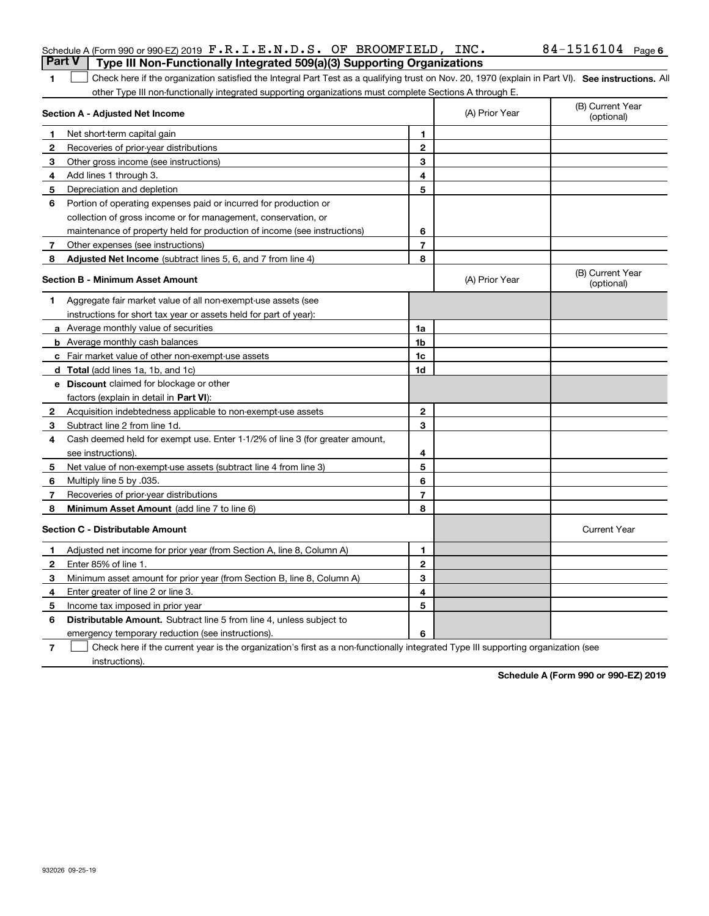| Schedule A (Form 990 or 990-EZ) 2019 $\mathbf{F} \cdot \mathbf{R} \cdot \mathbf{I} \cdot \mathbf{E} \cdot \mathbf{N} \cdot \mathbf{D} \cdot \mathbf{S}$ . OF BROOMFIELD, INC. |  | $84 - 1516104$ Page 6 |  |
|-------------------------------------------------------------------------------------------------------------------------------------------------------------------------------|--|-----------------------|--|
| <b>Part V</b>   Type III Non-Functionally Integrated 509(a)(3) Supporting Organizations                                                                                       |  |                       |  |

1 Check here if the organization satisfied the Integral Part Test as a qualifying trust on Nov. 20, 1970 (explain in Part VI). See instructions. All other Type III non-functionally integrated supporting organizations must complete Sections A through E.

|    | Section A - Adjusted Net Income                                              |                | (A) Prior Year | (B) Current Year<br>(optional) |
|----|------------------------------------------------------------------------------|----------------|----------------|--------------------------------|
| 1. | Net short-term capital gain                                                  | 1              |                |                                |
| 2  | Recoveries of prior-year distributions                                       | $\mathbf{2}$   |                |                                |
| 3  | Other gross income (see instructions)                                        | 3              |                |                                |
| 4  | Add lines 1 through 3.                                                       | 4              |                |                                |
| 5  | Depreciation and depletion                                                   | 5              |                |                                |
| 6  | Portion of operating expenses paid or incurred for production or             |                |                |                                |
|    | collection of gross income or for management, conservation, or               |                |                |                                |
|    | maintenance of property held for production of income (see instructions)     | 6              |                |                                |
| 7  | Other expenses (see instructions)                                            | $\overline{7}$ |                |                                |
| 8  | Adjusted Net Income (subtract lines 5, 6, and 7 from line 4)                 | 8              |                |                                |
|    | <b>Section B - Minimum Asset Amount</b>                                      |                | (A) Prior Year | (B) Current Year<br>(optional) |
| 1  | Aggregate fair market value of all non-exempt-use assets (see                |                |                |                                |
|    | instructions for short tax year or assets held for part of year):            |                |                |                                |
|    | a Average monthly value of securities                                        | 1a             |                |                                |
|    | <b>b</b> Average monthly cash balances                                       | 1b             |                |                                |
|    | c Fair market value of other non-exempt-use assets                           | 1c             |                |                                |
|    | d Total (add lines 1a, 1b, and 1c)                                           | 1d             |                |                                |
|    | <b>e</b> Discount claimed for blockage or other                              |                |                |                                |
|    | factors (explain in detail in Part VI):                                      |                |                |                                |
| 2  | Acquisition indebtedness applicable to non-exempt-use assets                 | $\mathbf{2}$   |                |                                |
| 3  | Subtract line 2 from line 1d.                                                | 3              |                |                                |
| 4  | Cash deemed held for exempt use. Enter 1-1/2% of line 3 (for greater amount, |                |                |                                |
|    | see instructions).                                                           | 4              |                |                                |
| 5  | Net value of non-exempt-use assets (subtract line 4 from line 3)             | 5              |                |                                |
| 6  | Multiply line 5 by .035.                                                     | 6              |                |                                |
| 7  | Recoveries of prior-year distributions                                       | $\overline{7}$ |                |                                |
| 8  | Minimum Asset Amount (add line 7 to line 6)                                  | 8              |                |                                |
|    | <b>Section C - Distributable Amount</b>                                      |                |                | <b>Current Year</b>            |
| 1  | Adjusted net income for prior year (from Section A, line 8, Column A)        | 1              |                |                                |
| 2  | Enter 85% of line 1                                                          | $\mathbf{2}$   |                |                                |
| 3  | Minimum asset amount for prior year (from Section B, line 8, Column A)       | 3              |                |                                |
| 4  | Enter greater of line 2 or line 3.                                           | 4              |                |                                |
| 5  | Income tax imposed in prior year                                             | 5              |                |                                |
| 6  | <b>Distributable Amount.</b> Subtract line 5 from line 4, unless subject to  |                |                |                                |
|    | emergency temporary reduction (see instructions).                            | 6              |                |                                |

**7**Check here if the current year is the organization's first as a non-functionally integrated Type III supporting organization (see instructions).

**Schedule A (Form 990 or 990-EZ) 2019**

**1**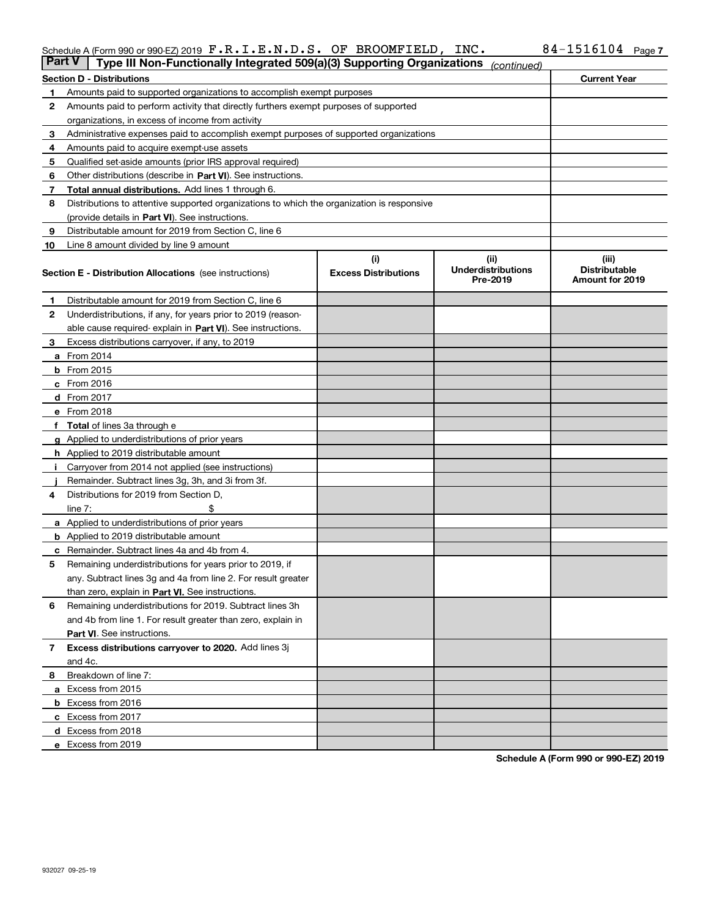#### Schedule A (Form 990 or 990-EZ) 2019  $\texttt{F} \cdot \texttt{R} \cdot \texttt{L} \cdot \texttt{E} \cdot \texttt{N} \cdot \texttt{D} \cdot \texttt{S} \cdot \texttt{OF}$  BROOMFIELD , INC  $\texttt{N} \cdot \texttt{D} \cdot \texttt{S} \cdot \texttt{D} \cdot \texttt{B}$ F.R.I.E.N.D.S. OF BROOMFIELD, INC. 84-1516104

| <b>Part V</b> | Type III Non-Functionally Integrated 509(a)(3) Supporting Organizations                    |                             | (continued)                           |                                                |
|---------------|--------------------------------------------------------------------------------------------|-----------------------------|---------------------------------------|------------------------------------------------|
|               | <b>Section D - Distributions</b>                                                           |                             |                                       | <b>Current Year</b>                            |
| 1             | Amounts paid to supported organizations to accomplish exempt purposes                      |                             |                                       |                                                |
| 2             | Amounts paid to perform activity that directly furthers exempt purposes of supported       |                             |                                       |                                                |
|               | organizations, in excess of income from activity                                           |                             |                                       |                                                |
| 3             | Administrative expenses paid to accomplish exempt purposes of supported organizations      |                             |                                       |                                                |
| 4             | Amounts paid to acquire exempt-use assets                                                  |                             |                                       |                                                |
| 5             | Qualified set-aside amounts (prior IRS approval required)                                  |                             |                                       |                                                |
| 6             | Other distributions (describe in Part VI). See instructions.                               |                             |                                       |                                                |
| 7             | <b>Total annual distributions.</b> Add lines 1 through 6.                                  |                             |                                       |                                                |
| 8             | Distributions to attentive supported organizations to which the organization is responsive |                             |                                       |                                                |
|               | (provide details in Part VI). See instructions.                                            |                             |                                       |                                                |
| 9             | Distributable amount for 2019 from Section C, line 6                                       |                             |                                       |                                                |
| 10            | Line 8 amount divided by line 9 amount                                                     |                             |                                       |                                                |
|               |                                                                                            | (i)                         | (ii)                                  | (iii)                                          |
|               | <b>Section E - Distribution Allocations</b> (see instructions)                             | <b>Excess Distributions</b> | <b>Underdistributions</b><br>Pre-2019 | <b>Distributable</b><br><b>Amount for 2019</b> |
| 1             | Distributable amount for 2019 from Section C, line 6                                       |                             |                                       |                                                |
| 2             | Underdistributions, if any, for years prior to 2019 (reason-                               |                             |                                       |                                                |
|               | able cause required- explain in Part VI). See instructions.                                |                             |                                       |                                                |
| З             | Excess distributions carryover, if any, to 2019                                            |                             |                                       |                                                |
|               | <b>a</b> From 2014                                                                         |                             |                                       |                                                |
|               | <b>b</b> From $2015$                                                                       |                             |                                       |                                                |
|               | $c$ From 2016                                                                              |                             |                                       |                                                |
|               | d From 2017                                                                                |                             |                                       |                                                |
|               | e From 2018                                                                                |                             |                                       |                                                |
|               | Total of lines 3a through e                                                                |                             |                                       |                                                |
| g             | Applied to underdistributions of prior years                                               |                             |                                       |                                                |
|               | h Applied to 2019 distributable amount                                                     |                             |                                       |                                                |
|               | Carryover from 2014 not applied (see instructions)                                         |                             |                                       |                                                |
|               | Remainder. Subtract lines 3g, 3h, and 3i from 3f.                                          |                             |                                       |                                                |
| 4             | Distributions for 2019 from Section D,                                                     |                             |                                       |                                                |
|               | line $7:$                                                                                  |                             |                                       |                                                |
|               | <b>a</b> Applied to underdistributions of prior years                                      |                             |                                       |                                                |
|               | <b>b</b> Applied to 2019 distributable amount                                              |                             |                                       |                                                |
|               | c Remainder. Subtract lines 4a and 4b from 4.                                              |                             |                                       |                                                |
| 5             | Remaining underdistributions for years prior to 2019, if                                   |                             |                                       |                                                |
|               | any. Subtract lines 3g and 4a from line 2. For result greater                              |                             |                                       |                                                |
|               | than zero, explain in Part VI. See instructions.                                           |                             |                                       |                                                |
| 6             | Remaining underdistributions for 2019. Subtract lines 3h                                   |                             |                                       |                                                |
|               | and 4b from line 1. For result greater than zero, explain in                               |                             |                                       |                                                |
|               | Part VI. See instructions.                                                                 |                             |                                       |                                                |
| 7             | Excess distributions carryover to 2020. Add lines 3j                                       |                             |                                       |                                                |
|               | and 4c.                                                                                    |                             |                                       |                                                |
| 8             | Breakdown of line 7:                                                                       |                             |                                       |                                                |
|               | a Excess from 2015                                                                         |                             |                                       |                                                |
|               |                                                                                            |                             |                                       |                                                |
|               | <b>b</b> Excess from 2016                                                                  |                             |                                       |                                                |
|               | c Excess from 2017                                                                         |                             |                                       |                                                |
|               | d Excess from 2018                                                                         |                             |                                       |                                                |
|               | e Excess from 2019                                                                         |                             |                                       |                                                |

**Schedule A (Form 990 or 990-EZ) 2019**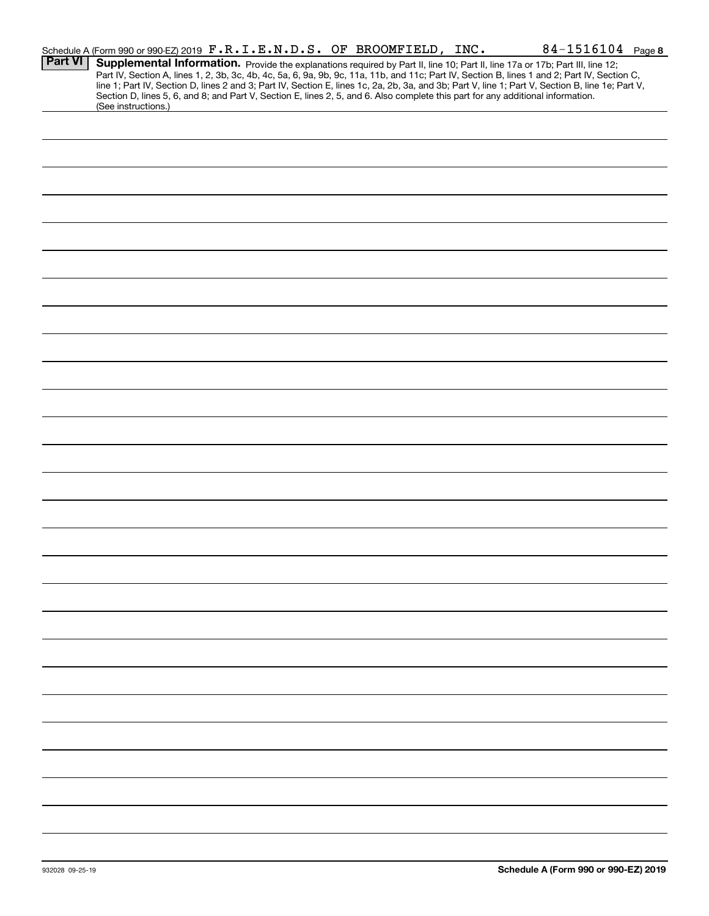|                | Schedule A (Form 990 or 990-EZ) 2019 F.R.I.E.N.D.S. OF BROOMFIELD, INC.                                                                                                                                                                                                                                                                                                                                                                                                                                                                                                                     |  | $84 - 1516104$ Page 8 |
|----------------|---------------------------------------------------------------------------------------------------------------------------------------------------------------------------------------------------------------------------------------------------------------------------------------------------------------------------------------------------------------------------------------------------------------------------------------------------------------------------------------------------------------------------------------------------------------------------------------------|--|-----------------------|
| <b>Part VI</b> | Supplemental Information. Provide the explanations required by Part II, line 10; Part II, line 17a or 17b; Part III, line 12;<br>Part IV, Section A, lines 1, 2, 3b, 3c, 4b, 4c, 5a, 6, 9a, 9b, 9c, 11a, 11b, and 11c; Part IV, Section B, lines 1 and 2; Part IV, Section C,<br>line 1; Part IV, Section D, lines 2 and 3; Part IV, Section E, lines 1c, 2a, 2b, 3a, and 3b; Part V, line 1; Part V, Section B, line 1e; Part V,<br>Section D, lines 5, 6, and 8; and Part V, Section E, lines 2, 5, and 6. Also complete this part for any additional information.<br>(See instructions.) |  |                       |
|                |                                                                                                                                                                                                                                                                                                                                                                                                                                                                                                                                                                                             |  |                       |
|                |                                                                                                                                                                                                                                                                                                                                                                                                                                                                                                                                                                                             |  |                       |
|                |                                                                                                                                                                                                                                                                                                                                                                                                                                                                                                                                                                                             |  |                       |
|                |                                                                                                                                                                                                                                                                                                                                                                                                                                                                                                                                                                                             |  |                       |
|                |                                                                                                                                                                                                                                                                                                                                                                                                                                                                                                                                                                                             |  |                       |
|                |                                                                                                                                                                                                                                                                                                                                                                                                                                                                                                                                                                                             |  |                       |
|                |                                                                                                                                                                                                                                                                                                                                                                                                                                                                                                                                                                                             |  |                       |
|                |                                                                                                                                                                                                                                                                                                                                                                                                                                                                                                                                                                                             |  |                       |
|                |                                                                                                                                                                                                                                                                                                                                                                                                                                                                                                                                                                                             |  |                       |
|                |                                                                                                                                                                                                                                                                                                                                                                                                                                                                                                                                                                                             |  |                       |
|                |                                                                                                                                                                                                                                                                                                                                                                                                                                                                                                                                                                                             |  |                       |
|                |                                                                                                                                                                                                                                                                                                                                                                                                                                                                                                                                                                                             |  |                       |
|                |                                                                                                                                                                                                                                                                                                                                                                                                                                                                                                                                                                                             |  |                       |
|                |                                                                                                                                                                                                                                                                                                                                                                                                                                                                                                                                                                                             |  |                       |
|                |                                                                                                                                                                                                                                                                                                                                                                                                                                                                                                                                                                                             |  |                       |
|                |                                                                                                                                                                                                                                                                                                                                                                                                                                                                                                                                                                                             |  |                       |
|                |                                                                                                                                                                                                                                                                                                                                                                                                                                                                                                                                                                                             |  |                       |
|                |                                                                                                                                                                                                                                                                                                                                                                                                                                                                                                                                                                                             |  |                       |
|                |                                                                                                                                                                                                                                                                                                                                                                                                                                                                                                                                                                                             |  |                       |
|                |                                                                                                                                                                                                                                                                                                                                                                                                                                                                                                                                                                                             |  |                       |
|                |                                                                                                                                                                                                                                                                                                                                                                                                                                                                                                                                                                                             |  |                       |
|                |                                                                                                                                                                                                                                                                                                                                                                                                                                                                                                                                                                                             |  |                       |
|                |                                                                                                                                                                                                                                                                                                                                                                                                                                                                                                                                                                                             |  |                       |
|                |                                                                                                                                                                                                                                                                                                                                                                                                                                                                                                                                                                                             |  |                       |
|                |                                                                                                                                                                                                                                                                                                                                                                                                                                                                                                                                                                                             |  |                       |
|                |                                                                                                                                                                                                                                                                                                                                                                                                                                                                                                                                                                                             |  |                       |
|                |                                                                                                                                                                                                                                                                                                                                                                                                                                                                                                                                                                                             |  |                       |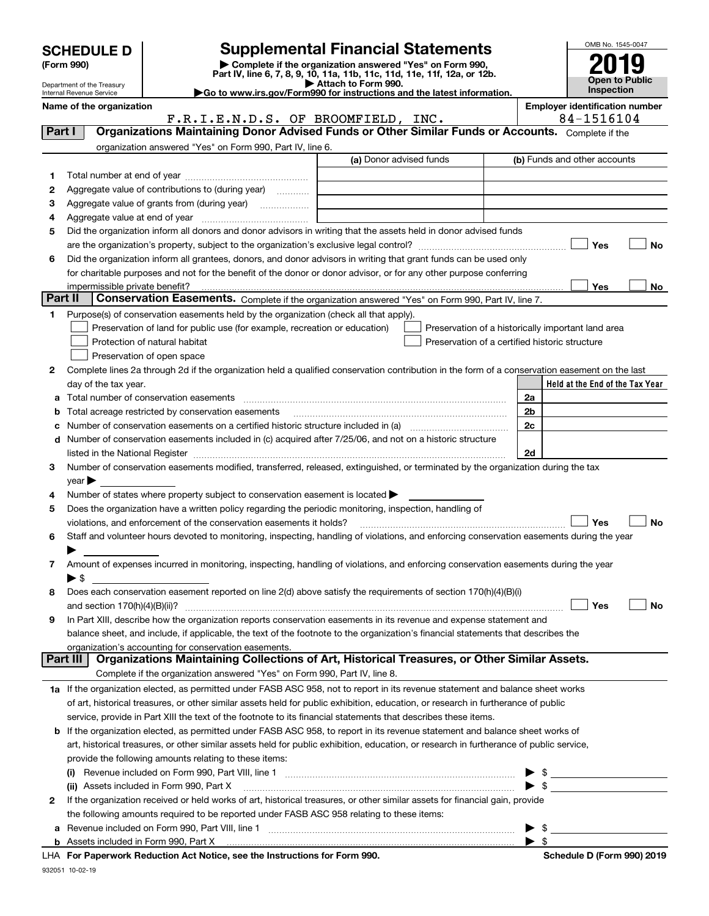|              | <b>SCHEDULE D</b>                         |                                                                                           | <b>Supplemental Financial Statements</b>                                                                                                                                                                                      |    |     | OMB No. 1545-0047                                   |     |
|--------------|-------------------------------------------|-------------------------------------------------------------------------------------------|-------------------------------------------------------------------------------------------------------------------------------------------------------------------------------------------------------------------------------|----|-----|-----------------------------------------------------|-----|
|              | (Form 990)                                |                                                                                           | Complete if the organization answered "Yes" on Form 990,                                                                                                                                                                      |    |     |                                                     |     |
|              | Department of the Treasury                |                                                                                           | Part IV, line 6, 7, 8, 9, 10, 11a, 11b, 11c, 11d, 11e, 11f, 12a, or 12b.<br>Attach to Form 990.                                                                                                                               |    |     | <b>Open to Public</b>                               |     |
|              | Internal Revenue Service                  |                                                                                           | Go to www.irs.gov/Form990 for instructions and the latest information.                                                                                                                                                        |    |     | <b>Inspection</b>                                   |     |
|              | Name of the organization                  | F.R.I.E.N.D.S. OF BROOMFIELD, INC.                                                        |                                                                                                                                                                                                                               |    |     | <b>Employer identification number</b><br>84-1516104 |     |
|              | Part I                                    |                                                                                           | Organizations Maintaining Donor Advised Funds or Other Similar Funds or Accounts. Complete if the                                                                                                                             |    |     |                                                     |     |
|              |                                           | organization answered "Yes" on Form 990, Part IV, line 6.                                 |                                                                                                                                                                                                                               |    |     |                                                     |     |
|              |                                           |                                                                                           | (a) Donor advised funds                                                                                                                                                                                                       |    |     | (b) Funds and other accounts                        |     |
| 1.           |                                           |                                                                                           |                                                                                                                                                                                                                               |    |     |                                                     |     |
| 2            |                                           | Aggregate value of contributions to (during year)                                         |                                                                                                                                                                                                                               |    |     |                                                     |     |
| 3            |                                           |                                                                                           |                                                                                                                                                                                                                               |    |     |                                                     |     |
| 4            |                                           |                                                                                           |                                                                                                                                                                                                                               |    |     |                                                     |     |
| 5            |                                           |                                                                                           | Did the organization inform all donors and donor advisors in writing that the assets held in donor advised funds                                                                                                              |    |     |                                                     |     |
|              |                                           |                                                                                           |                                                                                                                                                                                                                               |    |     | Yes                                                 | No  |
| 6            |                                           |                                                                                           | Did the organization inform all grantees, donors, and donor advisors in writing that grant funds can be used only                                                                                                             |    |     |                                                     |     |
|              |                                           |                                                                                           | for charitable purposes and not for the benefit of the donor or donor advisor, or for any other purpose conferring                                                                                                            |    |     |                                                     |     |
|              | impermissible private benefit?<br>Part II |                                                                                           | Conservation Easements. Complete if the organization answered "Yes" on Form 990, Part IV, line 7.                                                                                                                             |    |     | Yes                                                 | No. |
| 1.           |                                           | Purpose(s) of conservation easements held by the organization (check all that apply).     |                                                                                                                                                                                                                               |    |     |                                                     |     |
|              |                                           | Preservation of land for public use (for example, recreation or education)                | Preservation of a historically important land area                                                                                                                                                                            |    |     |                                                     |     |
|              |                                           | Protection of natural habitat                                                             | Preservation of a certified historic structure                                                                                                                                                                                |    |     |                                                     |     |
|              |                                           | Preservation of open space                                                                |                                                                                                                                                                                                                               |    |     |                                                     |     |
| $\mathbf{2}$ |                                           |                                                                                           | Complete lines 2a through 2d if the organization held a qualified conservation contribution in the form of a conservation easement on the last                                                                                |    |     |                                                     |     |
|              | day of the tax year.                      |                                                                                           |                                                                                                                                                                                                                               |    |     | Held at the End of the Tax Year                     |     |
| а            |                                           | Total number of conservation easements                                                    |                                                                                                                                                                                                                               | 2a |     |                                                     |     |
| b            |                                           | Total acreage restricted by conservation easements                                        |                                                                                                                                                                                                                               | 2b |     |                                                     |     |
| c            |                                           |                                                                                           |                                                                                                                                                                                                                               | 2c |     |                                                     |     |
| d            |                                           |                                                                                           | Number of conservation easements included in (c) acquired after 7/25/06, and not on a historic structure                                                                                                                      |    |     |                                                     |     |
|              |                                           |                                                                                           | listed in the National Register [111] Marshall Register [11] Marshall Register [11] Marshall Register [11] Marshall Register [11] Marshall Register [11] Marshall Register [11] Marshall Register [11] Marshall Register [11] | 2d |     |                                                     |     |
| З.           |                                           |                                                                                           | Number of conservation easements modified, transferred, released, extinguished, or terminated by the organization during the tax                                                                                              |    |     |                                                     |     |
|              | year                                      |                                                                                           |                                                                                                                                                                                                                               |    |     |                                                     |     |
| 4            |                                           | Number of states where property subject to conservation easement is located               |                                                                                                                                                                                                                               |    |     |                                                     |     |
| 5            |                                           |                                                                                           | Does the organization have a written policy regarding the periodic monitoring, inspection, handling of                                                                                                                        |    |     |                                                     |     |
|              |                                           | violations, and enforcement of the conservation easements it holds?                       |                                                                                                                                                                                                                               |    |     | Yes                                                 | No  |
| 6            |                                           |                                                                                           | Staff and volunteer hours devoted to monitoring, inspecting, handling of violations, and enforcing conservation easements during the year                                                                                     |    |     |                                                     |     |
|              |                                           |                                                                                           |                                                                                                                                                                                                                               |    |     |                                                     |     |
| 7            | $\blacktriangleright$ \$                  |                                                                                           | Amount of expenses incurred in monitoring, inspecting, handling of violations, and enforcing conservation easements during the year                                                                                           |    |     |                                                     |     |
| 8            |                                           |                                                                                           | Does each conservation easement reported on line 2(d) above satisfy the requirements of section 170(h)(4)(B)(i)                                                                                                               |    |     |                                                     |     |
|              | and section $170(h)(4)(B)(ii)?$           |                                                                                           |                                                                                                                                                                                                                               |    |     | Yes                                                 | No  |
| 9            |                                           |                                                                                           | In Part XIII, describe how the organization reports conservation easements in its revenue and expense statement and                                                                                                           |    |     |                                                     |     |
|              |                                           |                                                                                           | balance sheet, and include, if applicable, the text of the footnote to the organization's financial statements that describes the                                                                                             |    |     |                                                     |     |
|              |                                           | organization's accounting for conservation easements.                                     |                                                                                                                                                                                                                               |    |     |                                                     |     |
|              | Part III                                  |                                                                                           | Organizations Maintaining Collections of Art, Historical Treasures, or Other Similar Assets.                                                                                                                                  |    |     |                                                     |     |
|              |                                           | Complete if the organization answered "Yes" on Form 990, Part IV, line 8.                 |                                                                                                                                                                                                                               |    |     |                                                     |     |
|              |                                           |                                                                                           | 1a If the organization elected, as permitted under FASB ASC 958, not to report in its revenue statement and balance sheet works                                                                                               |    |     |                                                     |     |
|              |                                           |                                                                                           | of art, historical treasures, or other similar assets held for public exhibition, education, or research in furtherance of public                                                                                             |    |     |                                                     |     |
|              |                                           |                                                                                           | service, provide in Part XIII the text of the footnote to its financial statements that describes these items.                                                                                                                |    |     |                                                     |     |
| b            |                                           |                                                                                           | If the organization elected, as permitted under FASB ASC 958, to report in its revenue statement and balance sheet works of                                                                                                   |    |     |                                                     |     |
|              |                                           |                                                                                           | art, historical treasures, or other similar assets held for public exhibition, education, or research in furtherance of public service,                                                                                       |    |     |                                                     |     |
|              |                                           | provide the following amounts relating to these items:                                    |                                                                                                                                                                                                                               |    |     |                                                     |     |
|              |                                           |                                                                                           |                                                                                                                                                                                                                               |    |     | $\frac{1}{2}$                                       |     |
|              |                                           | (ii) Assets included in Form 990, Part X                                                  |                                                                                                                                                                                                                               |    |     |                                                     |     |
| 2            |                                           |                                                                                           | If the organization received or held works of art, historical treasures, or other similar assets for financial gain, provide                                                                                                  |    |     |                                                     |     |
|              |                                           | the following amounts required to be reported under FASB ASC 958 relating to these items: |                                                                                                                                                                                                                               |    | -\$ |                                                     |     |
| а            |                                           |                                                                                           |                                                                                                                                                                                                                               |    |     |                                                     |     |

| <u>Revenue included on Form 990. Fail VIII. Illie</u> |  |  |  |
|-------------------------------------------------------|--|--|--|
| Assets included in Form 990. Part X                   |  |  |  |

**For Paperwork Reduction Act Notice, see the Instructions for Form 990. Schedule D (Form 990) 2019** LHA

 $\blacktriangleright$  \$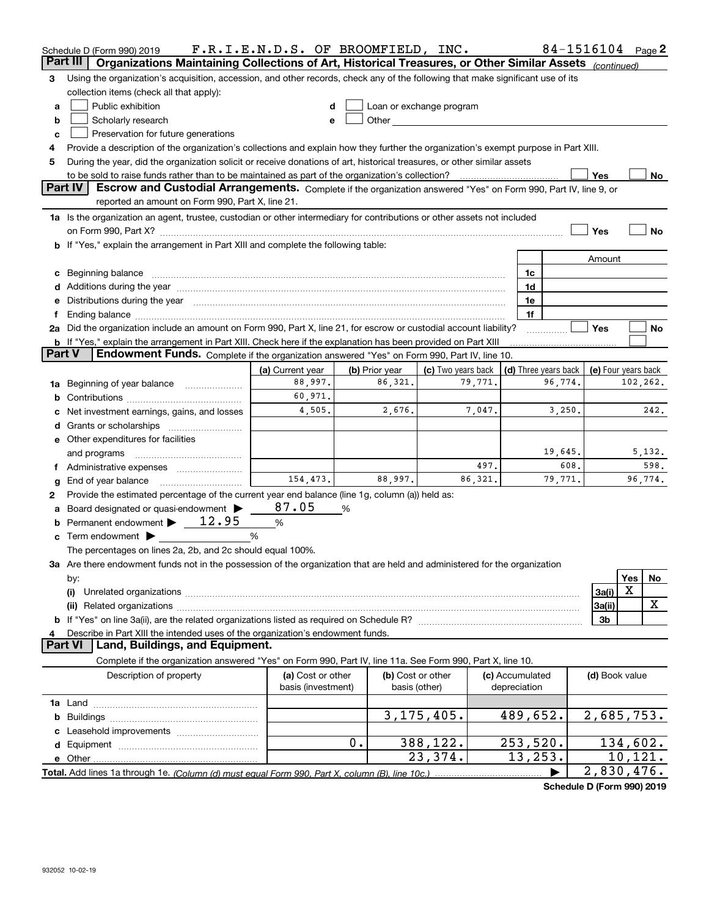|               | Schedule D (Form 990) 2019                                                                                                                                                                                                           | F.R.I.E.N.D.S. OF BROOMFIELD, INC.      |                |                                    |          |                                 |                      | 84-1516104          |          | Page 2  |
|---------------|--------------------------------------------------------------------------------------------------------------------------------------------------------------------------------------------------------------------------------------|-----------------------------------------|----------------|------------------------------------|----------|---------------------------------|----------------------|---------------------|----------|---------|
| Part III      | Organizations Maintaining Collections of Art, Historical Treasures, or Other Similar Assets (continued)                                                                                                                              |                                         |                |                                    |          |                                 |                      |                     |          |         |
| 3             | Using the organization's acquisition, accession, and other records, check any of the following that make significant use of its                                                                                                      |                                         |                |                                    |          |                                 |                      |                     |          |         |
|               | collection items (check all that apply):                                                                                                                                                                                             |                                         |                |                                    |          |                                 |                      |                     |          |         |
| a             | Public exhibition                                                                                                                                                                                                                    | d                                       |                | Loan or exchange program           |          |                                 |                      |                     |          |         |
| b             | Scholarly research                                                                                                                                                                                                                   | e                                       |                |                                    |          |                                 |                      |                     |          |         |
| c             | Preservation for future generations                                                                                                                                                                                                  |                                         |                |                                    |          |                                 |                      |                     |          |         |
| 4             | Provide a description of the organization's collections and explain how they further the organization's exempt purpose in Part XIII.                                                                                                 |                                         |                |                                    |          |                                 |                      |                     |          |         |
| 5             | During the year, did the organization solicit or receive donations of art, historical treasures, or other similar assets                                                                                                             |                                         |                |                                    |          |                                 |                      |                     |          |         |
|               |                                                                                                                                                                                                                                      |                                         |                |                                    |          |                                 |                      | Yes                 |          | No      |
|               | Part IV<br>Escrow and Custodial Arrangements. Complete if the organization answered "Yes" on Form 990, Part IV, line 9, or<br>reported an amount on Form 990, Part X, line 21.                                                       |                                         |                |                                    |          |                                 |                      |                     |          |         |
|               | 1a Is the organization an agent, trustee, custodian or other intermediary for contributions or other assets not included                                                                                                             |                                         |                |                                    |          |                                 |                      |                     |          |         |
|               |                                                                                                                                                                                                                                      |                                         |                |                                    |          |                                 |                      | Yes                 |          | No      |
|               | b If "Yes," explain the arrangement in Part XIII and complete the following table:                                                                                                                                                   |                                         |                |                                    |          |                                 |                      |                     |          |         |
|               |                                                                                                                                                                                                                                      |                                         |                |                                    |          |                                 |                      | Amount              |          |         |
| c             | Beginning balance <b>contract to the contract of the contract of the contract of the contract of the contract of the contract of the contract of the contract of the contract of the contract of the contract of the contract of</b> |                                         |                |                                    |          | 1c                              |                      |                     |          |         |
|               |                                                                                                                                                                                                                                      |                                         |                |                                    |          | 1d                              |                      |                     |          |         |
|               | Distributions during the year manufactured and continuum and the year manufactured and the year manufactured and the year manufactured and the year manufactured and the year manufactured and the year manufactured and the y       |                                         |                |                                    |          | 1e                              |                      |                     |          |         |
|               |                                                                                                                                                                                                                                      |                                         |                |                                    |          | 1f                              |                      |                     |          |         |
|               | 2a Did the organization include an amount on Form 990, Part X, line 21, for escrow or custodial account liability?                                                                                                                   |                                         |                |                                    |          |                                 |                      | Yes                 |          | No      |
|               | <b>b</b> If "Yes," explain the arrangement in Part XIII. Check here if the explanation has been provided on Part XIII                                                                                                                |                                         |                |                                    |          |                                 |                      |                     |          |         |
| <b>Part V</b> | <b>Endowment Funds.</b> Complete if the organization answered "Yes" on Form 990, Part IV, line 10.                                                                                                                                   |                                         |                |                                    |          |                                 |                      |                     |          |         |
|               |                                                                                                                                                                                                                                      | (a) Current year                        | (b) Prior year | (c) Two years back                 |          |                                 | (d) Three years back | (e) Four years back |          |         |
| 1a            | Beginning of year balance                                                                                                                                                                                                            | 88,997.                                 | 86,321.        |                                    | 79,771.  |                                 | 96,774.              |                     | 102,262. |         |
| b             |                                                                                                                                                                                                                                      | 60,971.                                 |                |                                    |          |                                 |                      |                     |          |         |
|               | Net investment earnings, gains, and losses                                                                                                                                                                                           | 4,505.                                  | 2,676.         |                                    | 7,047.   |                                 | 3,250.               |                     |          | 242.    |
| d             |                                                                                                                                                                                                                                      |                                         |                |                                    |          |                                 |                      |                     |          |         |
|               | <b>e</b> Other expenditures for facilities                                                                                                                                                                                           |                                         |                |                                    |          |                                 |                      |                     |          |         |
|               | and programs                                                                                                                                                                                                                         |                                         |                |                                    |          |                                 | 19,645.              |                     |          | 5,132.  |
| Ť.            | Administrative expenses                                                                                                                                                                                                              |                                         |                |                                    | 497.     |                                 | 608.                 |                     |          | 598.    |
| g             | End of year balance                                                                                                                                                                                                                  | 154,473.                                | 88,997.        |                                    | 86, 321. |                                 | 79,771.              |                     |          | 96,774. |
| 2             | Provide the estimated percentage of the current year end balance (line 1g, column (a)) held as:                                                                                                                                      |                                         |                |                                    |          |                                 |                      |                     |          |         |
|               | Board designated or quasi-endowment                                                                                                                                                                                                  | 87.05                                   | %              |                                    |          |                                 |                      |                     |          |         |
| b             | Permanent endowment > 12.95                                                                                                                                                                                                          | %                                       |                |                                    |          |                                 |                      |                     |          |         |
|               | Term endowment $\blacktriangleright$                                                                                                                                                                                                 | %                                       |                |                                    |          |                                 |                      |                     |          |         |
|               | The percentages on lines 2a, 2b, and 2c should equal 100%.                                                                                                                                                                           |                                         |                |                                    |          |                                 |                      |                     |          |         |
|               | 3a Are there endowment funds not in the possession of the organization that are held and administered for the organization                                                                                                           |                                         |                |                                    |          |                                 |                      |                     |          |         |
|               | by:                                                                                                                                                                                                                                  |                                         |                |                                    |          |                                 |                      |                     | Yes      | No      |
|               | (i)                                                                                                                                                                                                                                  |                                         |                |                                    |          |                                 |                      | 3a(i)               | X        |         |
|               | (ii)                                                                                                                                                                                                                                 |                                         |                |                                    |          |                                 |                      | 3a(ii)              |          | X       |
|               |                                                                                                                                                                                                                                      |                                         |                |                                    |          |                                 |                      | 3b                  |          |         |
|               | Describe in Part XIII the intended uses of the organization's endowment funds.                                                                                                                                                       |                                         |                |                                    |          |                                 |                      |                     |          |         |
|               | <b>Part VI</b><br>Land, Buildings, and Equipment.                                                                                                                                                                                    |                                         |                |                                    |          |                                 |                      |                     |          |         |
|               | Complete if the organization answered "Yes" on Form 990, Part IV, line 11a. See Form 990, Part X, line 10.                                                                                                                           |                                         |                |                                    |          |                                 |                      |                     |          |         |
|               | Description of property                                                                                                                                                                                                              | (a) Cost or other<br>basis (investment) |                | (b) Cost or other<br>basis (other) |          | (c) Accumulated<br>depreciation |                      | (d) Book value      |          |         |
|               |                                                                                                                                                                                                                                      |                                         |                |                                    |          |                                 |                      |                     |          |         |
|               |                                                                                                                                                                                                                                      |                                         |                | 3, 175, 405.                       |          | 489,652.                        |                      | 2,685,753.          |          |         |
|               |                                                                                                                                                                                                                                      |                                         |                |                                    |          |                                 |                      |                     |          |         |
|               |                                                                                                                                                                                                                                      |                                         | 0.             | 388,122.                           |          | 253,520.                        |                      | 134,602.            |          |         |
|               |                                                                                                                                                                                                                                      |                                         |                | 23,374.                            |          | 13, 253.                        |                      |                     | 10,121.  |         |
|               |                                                                                                                                                                                                                                      |                                         |                |                                    |          |                                 |                      | 2,830,476.          |          |         |

**Schedule D (Form 990) 2019**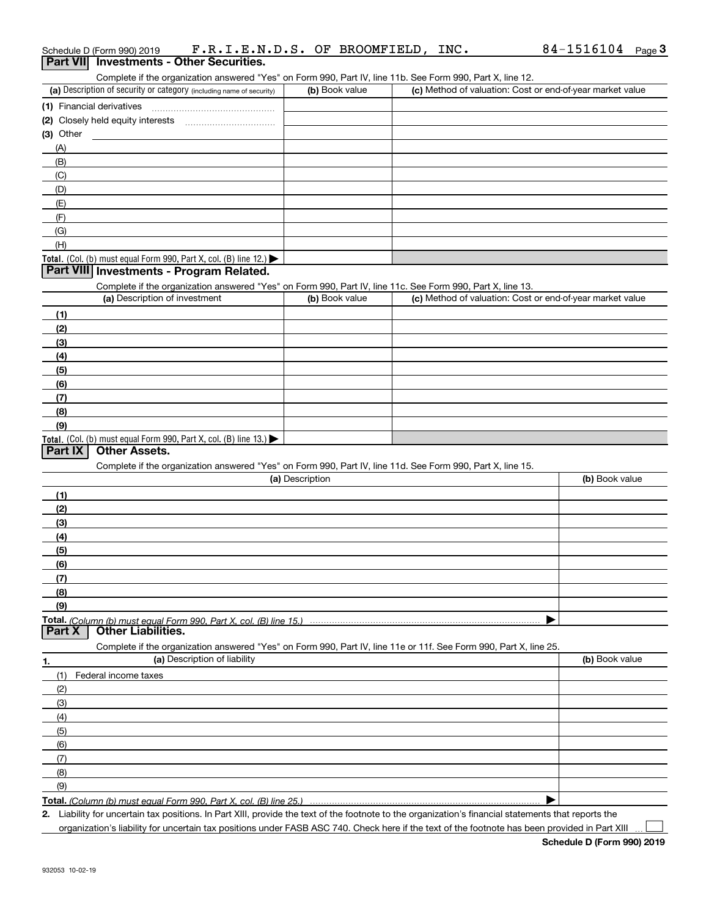| Part VIII<br>Investments - Other Securities.<br>Complete if the organization answered "Yes" on Form 990, Part IV, line 11b. See Form 990, Part X, line 12. |                 |                                                           |                |
|------------------------------------------------------------------------------------------------------------------------------------------------------------|-----------------|-----------------------------------------------------------|----------------|
| (a) Description of security or category (including name of security)                                                                                       | (b) Book value  | (c) Method of valuation: Cost or end-of-year market value |                |
|                                                                                                                                                            |                 |                                                           |                |
|                                                                                                                                                            |                 |                                                           |                |
| (3) Other                                                                                                                                                  |                 |                                                           |                |
| (A)                                                                                                                                                        |                 |                                                           |                |
| (B)                                                                                                                                                        |                 |                                                           |                |
| (C)                                                                                                                                                        |                 |                                                           |                |
| (D)                                                                                                                                                        |                 |                                                           |                |
| (E)                                                                                                                                                        |                 |                                                           |                |
| (F)                                                                                                                                                        |                 |                                                           |                |
| (G)                                                                                                                                                        |                 |                                                           |                |
| (H)                                                                                                                                                        |                 |                                                           |                |
| Total. (Col. (b) must equal Form 990, Part X, col. (B) line 12.) $\blacktriangleright$                                                                     |                 |                                                           |                |
| Part VIII Investments - Program Related.                                                                                                                   |                 |                                                           |                |
| Complete if the organization answered "Yes" on Form 990, Part IV, line 11c. See Form 990, Part X, line 13.                                                 |                 |                                                           |                |
| (a) Description of investment                                                                                                                              | (b) Book value  | (c) Method of valuation: Cost or end-of-year market value |                |
| (1)                                                                                                                                                        |                 |                                                           |                |
| (2)                                                                                                                                                        |                 |                                                           |                |
| (3)                                                                                                                                                        |                 |                                                           |                |
| (4)                                                                                                                                                        |                 |                                                           |                |
| (5)                                                                                                                                                        |                 |                                                           |                |
| (6)                                                                                                                                                        |                 |                                                           |                |
| (7)                                                                                                                                                        |                 |                                                           |                |
| (8)                                                                                                                                                        |                 |                                                           |                |
| (9)                                                                                                                                                        |                 |                                                           |                |
| Total. (Col. (b) must equal Form 990, Part X, col. (B) line 13.)                                                                                           |                 |                                                           |                |
| Part IX<br><b>Other Assets.</b>                                                                                                                            |                 |                                                           |                |
| Complete if the organization answered "Yes" on Form 990, Part IV, line 11d. See Form 990, Part X, line 15.                                                 |                 |                                                           |                |
|                                                                                                                                                            | (a) Description |                                                           | (b) Book value |
| (1)                                                                                                                                                        |                 |                                                           |                |
| (2)                                                                                                                                                        |                 |                                                           |                |
| (3)                                                                                                                                                        |                 |                                                           |                |
| (4)                                                                                                                                                        |                 |                                                           |                |
| (5)                                                                                                                                                        |                 |                                                           |                |
| (6)                                                                                                                                                        |                 |                                                           |                |
| (7)                                                                                                                                                        |                 |                                                           |                |
| (8)                                                                                                                                                        |                 |                                                           |                |
| (9)                                                                                                                                                        |                 |                                                           |                |
|                                                                                                                                                            |                 |                                                           |                |
| <b>Other Liabilities.</b><br>Part X                                                                                                                        |                 |                                                           |                |
| Complete if the organization answered "Yes" on Form 990, Part IV, line 11e or 11f. See Form 990, Part X, line 25.                                          |                 |                                                           |                |
| (a) Description of liability<br>1.                                                                                                                         |                 |                                                           | (b) Book value |
| (1)<br>Federal income taxes                                                                                                                                |                 |                                                           |                |
| (2)                                                                                                                                                        |                 |                                                           |                |
| (3)                                                                                                                                                        |                 |                                                           |                |
| (4)                                                                                                                                                        |                 |                                                           |                |
| (5)                                                                                                                                                        |                 |                                                           |                |
| (6)                                                                                                                                                        |                 |                                                           |                |
| (7)                                                                                                                                                        |                 |                                                           |                |
| (8)                                                                                                                                                        |                 |                                                           |                |
| (9)                                                                                                                                                        |                 |                                                           |                |
| Total. (Column (b) must equal Form 990. Part X, col. (B) line 25.)                                                                                         |                 |                                                           |                |

**2.** Liability for uncertain tax positions. In Part XIII, provide the text of the footnote to the organization's financial statements that reports the

organization's liability for uncertain tax positions under FASB ASC 740. Check here if the text of the footnote has been provided in Part XIII

 $\mathcal{L}^{\text{max}}$ 

# Schedule D (Form 990) 2019 F **. R . I . E . N . D . S .** OF BROOMFIELD , INC **.** 84-1516104 <sub>Page</sub> 3<br>| **Part VII** | Investments - Other Securities.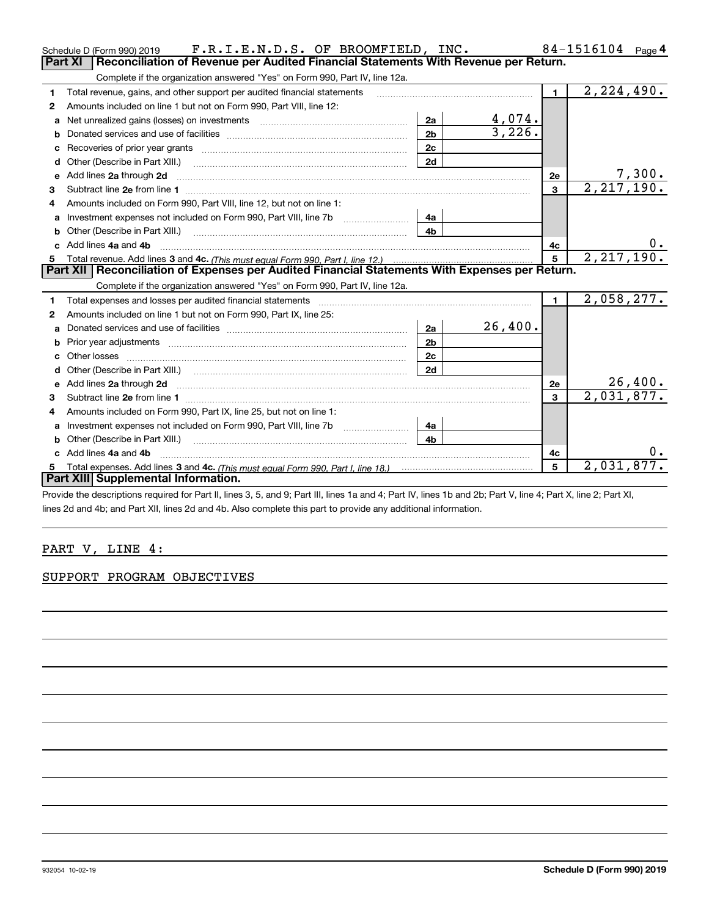|              | F.R.I.E.N.D.S. OF BROOMFIELD, INC.<br>Schedule D (Form 990) 2019                                                                                                                                                                   |                |         |                | 84-1516104<br>Page 4 |
|--------------|------------------------------------------------------------------------------------------------------------------------------------------------------------------------------------------------------------------------------------|----------------|---------|----------------|----------------------|
|              | Part XI<br>Reconciliation of Revenue per Audited Financial Statements With Revenue per Return.                                                                                                                                     |                |         |                |                      |
|              | Complete if the organization answered "Yes" on Form 990, Part IV, line 12a.                                                                                                                                                        |                |         |                |                      |
| 1            | Total revenue, gains, and other support per audited financial statements                                                                                                                                                           |                |         | $\blacksquare$ | 2, 224, 490.         |
| $\mathbf{2}$ | Amounts included on line 1 but not on Form 990, Part VIII, line 12:                                                                                                                                                                |                |         |                |                      |
| a            |                                                                                                                                                                                                                                    | 2a             | 4,074.  |                |                      |
| b            |                                                                                                                                                                                                                                    | 2 <sub>b</sub> | 3,226.  |                |                      |
|              |                                                                                                                                                                                                                                    | 2c             |         |                |                      |
| d            | Other (Describe in Part XIII.) <b>Construction Contract Construction</b> (Describe in Part XIII.)                                                                                                                                  | 2d             |         |                |                      |
| e            | Add lines 2a through 2d                                                                                                                                                                                                            |                |         | 2e             | 7,300.               |
| 3            |                                                                                                                                                                                                                                    |                |         | 3              | 2, 217, 190.         |
| 4            | Amounts included on Form 990, Part VIII, line 12, but not on line 1:                                                                                                                                                               |                |         |                |                      |
| a            |                                                                                                                                                                                                                                    | 4a             |         |                |                      |
|              |                                                                                                                                                                                                                                    | 4h             |         |                |                      |
|              | Add lines 4a and 4b                                                                                                                                                                                                                |                |         | 4c             | 0.                   |
| 5            |                                                                                                                                                                                                                                    |                |         | 5              | 2, 217, 190.         |
|              | Part XII   Reconciliation of Expenses per Audited Financial Statements With Expenses per Return.                                                                                                                                   |                |         |                |                      |
|              | Complete if the organization answered "Yes" on Form 990, Part IV, line 12a.                                                                                                                                                        |                |         |                |                      |
| 1            | Total expenses and losses per audited financial statements                                                                                                                                                                         |                |         | $\blacksquare$ | 2,058,277.           |
| 2            | Amounts included on line 1 but not on Form 990, Part IX, line 25:                                                                                                                                                                  |                |         |                |                      |
|              |                                                                                                                                                                                                                                    | 2a             | 26,400. |                |                      |
| b            | Prior year adjustments manufactured and contract and contract and contract and contract and contract and contract and contract and contract and contract and contract and contract and contract and contract and contract and      | 2 <sub>b</sub> |         |                |                      |
|              |                                                                                                                                                                                                                                    | 2c             |         |                |                      |
| d            | Other (Describe in Part XIII.) (2000) (2000) (2000) (2000) (2000) (2000) (2000) (2000) (2000) (2000) (2000) (2000) (2000) (2000) (2000) (2000) (2000) (2000) (2000) (2000) (2000) (2000) (2000) (2000) (2000) (2000) (2000) (2     | 2d             |         |                |                      |
| е            | Add lines 2a through 2d <b>must be a constructed as the constant of the construction</b> and the state of the state of the state of the state of the state of the state of the state of the state of the state of the state of the |                |         | 2e             | 26,400.              |
| 3            |                                                                                                                                                                                                                                    |                |         | 3              | 2,031,877.           |
|              |                                                                                                                                                                                                                                    |                |         |                |                      |
|              | Amounts included on Form 990, Part IX, line 25, but not on line 1:                                                                                                                                                                 |                |         |                |                      |
| a            |                                                                                                                                                                                                                                    | 4a             |         |                |                      |
| b            | Other (Describe in Part XIII.)                                                                                                                                                                                                     | 4 <sub>b</sub> |         |                |                      |
|              | Add lines 4a and 4b                                                                                                                                                                                                                |                |         | 4с             | 0.                   |
| 5            |                                                                                                                                                                                                                                    |                |         | 5              | 2,031,877.           |
|              | Part XIII Supplemental Information.<br>Duride the decembries usualized for Dart II. Rose O. F. and O. Dart III. Rose de and 4. Dart IV. Rose dh. and Ob. Dart V. Ros. 4. Dart V. Ros. O. Dart VI.                                  |                |         |                |                      |

Provide the descriptions required for Part II, lines 3, 5, and 9; Part III, lines 1a and 4; Part IV, lines 1b and 2b; Part V, line 4; Part X, line 2; Part XI, lines 2d and 4b; and Part XII, lines 2d and 4b. Also complete this part to provide any additional information.

## PART V, LINE 4:

### SUPPORT PROGRAM OBJECTIVES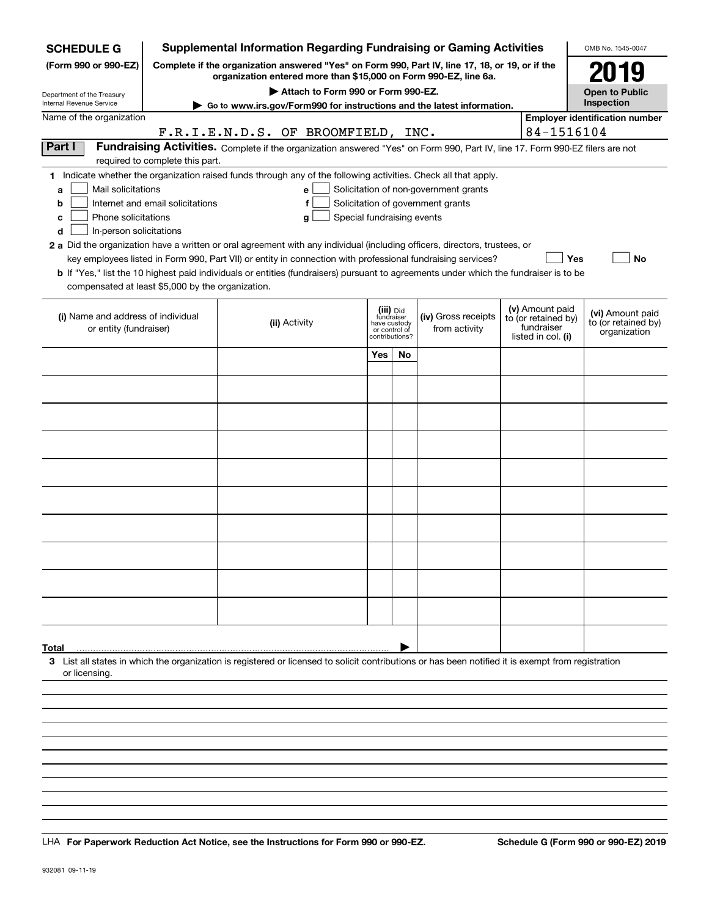| <b>SCHEDULE G</b>                                                                        |                                  | <b>Supplemental Information Regarding Fundraising or Gaming Activities</b>                                                                                                                                                                                                                                                                                                                                                                                                                                                                                |     |                                                                            |                                                                            |                                                                            | OMB No. 1545-0047                                       |
|------------------------------------------------------------------------------------------|----------------------------------|-----------------------------------------------------------------------------------------------------------------------------------------------------------------------------------------------------------------------------------------------------------------------------------------------------------------------------------------------------------------------------------------------------------------------------------------------------------------------------------------------------------------------------------------------------------|-----|----------------------------------------------------------------------------|----------------------------------------------------------------------------|----------------------------------------------------------------------------|---------------------------------------------------------|
| (Form 990 or 990-EZ)                                                                     |                                  | Complete if the organization answered "Yes" on Form 990, Part IV, line 17, 18, or 19, or if the<br>organization entered more than \$15,000 on Form 990-EZ, line 6a.                                                                                                                                                                                                                                                                                                                                                                                       |     |                                                                            |                                                                            |                                                                            | 2019                                                    |
| Department of the Treasury                                                               |                                  | Attach to Form 990 or Form 990-EZ.                                                                                                                                                                                                                                                                                                                                                                                                                                                                                                                        |     |                                                                            |                                                                            |                                                                            | <b>Open to Public</b>                                   |
| Internal Revenue Service                                                                 |                                  | Go to www.irs.gov/Form990 for instructions and the latest information.                                                                                                                                                                                                                                                                                                                                                                                                                                                                                    |     |                                                                            |                                                                            |                                                                            | Inspection                                              |
| Name of the organization                                                                 |                                  | F.R.I.E.N.D.S. OF BROOMFIELD, INC.                                                                                                                                                                                                                                                                                                                                                                                                                                                                                                                        |     |                                                                            |                                                                            | 84-1516104                                                                 | <b>Employer identification number</b>                   |
| Part I                                                                                   |                                  | Fundraising Activities. Complete if the organization answered "Yes" on Form 990, Part IV, line 17. Form 990-EZ filers are not                                                                                                                                                                                                                                                                                                                                                                                                                             |     |                                                                            |                                                                            |                                                                            |                                                         |
|                                                                                          | required to complete this part.  |                                                                                                                                                                                                                                                                                                                                                                                                                                                                                                                                                           |     |                                                                            |                                                                            |                                                                            |                                                         |
| Mail solicitations<br>a<br>b<br>Phone solicitations<br>с<br>In-person solicitations<br>d | Internet and email solicitations | 1 Indicate whether the organization raised funds through any of the following activities. Check all that apply.<br>е<br>f<br>Special fundraising events<br>g<br>2 a Did the organization have a written or oral agreement with any individual (including officers, directors, trustees, or<br>key employees listed in Form 990, Part VII) or entity in connection with professional fundraising services?<br><b>b</b> If "Yes," list the 10 highest paid individuals or entities (fundraisers) pursuant to agreements under which the fundraiser is to be |     |                                                                            | Solicitation of non-government grants<br>Solicitation of government grants | Yes                                                                        | No                                                      |
| compensated at least \$5,000 by the organization.                                        |                                  |                                                                                                                                                                                                                                                                                                                                                                                                                                                                                                                                                           |     |                                                                            |                                                                            |                                                                            |                                                         |
| (i) Name and address of individual<br>or entity (fundraiser)                             |                                  | (ii) Activity                                                                                                                                                                                                                                                                                                                                                                                                                                                                                                                                             |     | (iii) Did<br>fundraiser<br>have custody<br>or control of<br>contributions? | (iv) Gross receipts<br>from activity                                       | (v) Amount paid<br>to (or retained by)<br>fundraiser<br>listed in col. (i) | (vi) Amount paid<br>to (or retained by)<br>organization |
|                                                                                          |                                  |                                                                                                                                                                                                                                                                                                                                                                                                                                                                                                                                                           | Yes | No                                                                         |                                                                            |                                                                            |                                                         |
|                                                                                          |                                  |                                                                                                                                                                                                                                                                                                                                                                                                                                                                                                                                                           |     |                                                                            |                                                                            |                                                                            |                                                         |
|                                                                                          |                                  |                                                                                                                                                                                                                                                                                                                                                                                                                                                                                                                                                           |     |                                                                            |                                                                            |                                                                            |                                                         |
|                                                                                          |                                  |                                                                                                                                                                                                                                                                                                                                                                                                                                                                                                                                                           |     |                                                                            |                                                                            |                                                                            |                                                         |
|                                                                                          |                                  |                                                                                                                                                                                                                                                                                                                                                                                                                                                                                                                                                           |     |                                                                            |                                                                            |                                                                            |                                                         |
|                                                                                          |                                  |                                                                                                                                                                                                                                                                                                                                                                                                                                                                                                                                                           |     |                                                                            |                                                                            |                                                                            |                                                         |
|                                                                                          |                                  |                                                                                                                                                                                                                                                                                                                                                                                                                                                                                                                                                           |     |                                                                            |                                                                            |                                                                            |                                                         |
|                                                                                          |                                  |                                                                                                                                                                                                                                                                                                                                                                                                                                                                                                                                                           |     |                                                                            |                                                                            |                                                                            |                                                         |
|                                                                                          |                                  |                                                                                                                                                                                                                                                                                                                                                                                                                                                                                                                                                           |     |                                                                            |                                                                            |                                                                            |                                                         |
|                                                                                          |                                  |                                                                                                                                                                                                                                                                                                                                                                                                                                                                                                                                                           |     |                                                                            |                                                                            |                                                                            |                                                         |
|                                                                                          |                                  |                                                                                                                                                                                                                                                                                                                                                                                                                                                                                                                                                           |     |                                                                            |                                                                            |                                                                            |                                                         |
|                                                                                          |                                  |                                                                                                                                                                                                                                                                                                                                                                                                                                                                                                                                                           |     |                                                                            |                                                                            |                                                                            |                                                         |
|                                                                                          |                                  |                                                                                                                                                                                                                                                                                                                                                                                                                                                                                                                                                           |     |                                                                            |                                                                            |                                                                            |                                                         |
|                                                                                          |                                  |                                                                                                                                                                                                                                                                                                                                                                                                                                                                                                                                                           |     |                                                                            |                                                                            |                                                                            |                                                         |
|                                                                                          |                                  |                                                                                                                                                                                                                                                                                                                                                                                                                                                                                                                                                           |     |                                                                            |                                                                            |                                                                            |                                                         |
|                                                                                          |                                  |                                                                                                                                                                                                                                                                                                                                                                                                                                                                                                                                                           |     |                                                                            |                                                                            |                                                                            |                                                         |
|                                                                                          |                                  |                                                                                                                                                                                                                                                                                                                                                                                                                                                                                                                                                           |     |                                                                            |                                                                            |                                                                            |                                                         |
| Total                                                                                    |                                  |                                                                                                                                                                                                                                                                                                                                                                                                                                                                                                                                                           |     |                                                                            |                                                                            |                                                                            |                                                         |
| or licensing.                                                                            |                                  | 3 List all states in which the organization is registered or licensed to solicit contributions or has been notified it is exempt from registration                                                                                                                                                                                                                                                                                                                                                                                                        |     |                                                                            |                                                                            |                                                                            |                                                         |
|                                                                                          |                                  |                                                                                                                                                                                                                                                                                                                                                                                                                                                                                                                                                           |     |                                                                            |                                                                            |                                                                            |                                                         |
|                                                                                          |                                  |                                                                                                                                                                                                                                                                                                                                                                                                                                                                                                                                                           |     |                                                                            |                                                                            |                                                                            |                                                         |
|                                                                                          |                                  |                                                                                                                                                                                                                                                                                                                                                                                                                                                                                                                                                           |     |                                                                            |                                                                            |                                                                            |                                                         |
|                                                                                          |                                  |                                                                                                                                                                                                                                                                                                                                                                                                                                                                                                                                                           |     |                                                                            |                                                                            |                                                                            |                                                         |
|                                                                                          |                                  |                                                                                                                                                                                                                                                                                                                                                                                                                                                                                                                                                           |     |                                                                            |                                                                            |                                                                            |                                                         |

LHA For Paperwork Reduction Act Notice, see the Instructions for Form 990 or 990-EZ. Schedule G (Form 990 or 990-EZ) 2019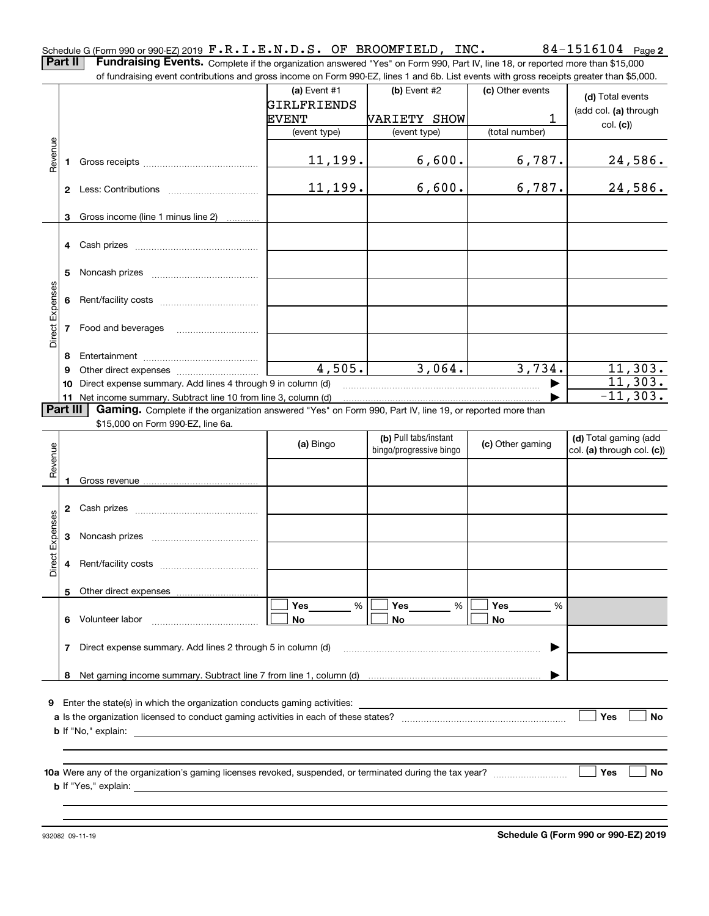**2** Schedule G (Form 990 or 990-EZ) 2019  $\mathbf{F.R.I.E.N.D.S.}$  OF BROOMFIELD, INC.  $84\text{--}1516104$  Page **Part II** | Fundraising Events. Complete if the organization answered "Yes" on Form 990, Part IV, line 18, or reported more than \$15,000

of fundraising event contributions and gross income on Form 990-EZ, lines 1 and 6b. List events with gross receipts greater than \$5,000.

|                        |          |                                                                                                          | (a) Event $#1$               | (b) Event $#2$               | (c) Other events | (d) Total events           |
|------------------------|----------|----------------------------------------------------------------------------------------------------------|------------------------------|------------------------------|------------------|----------------------------|
|                        |          |                                                                                                          | GIRLFRIENDS                  |                              | 1                | (add col. (a) through      |
|                        |          |                                                                                                          | <b>EVENT</b><br>(event type) | VARIETY SHOW<br>(event type) | (total number)   | col. (c))                  |
|                        |          |                                                                                                          |                              |                              |                  |                            |
| Revenue                |          |                                                                                                          | 11,199.                      | 6,600.                       | 6,787.           | 24,586.                    |
|                        |          |                                                                                                          |                              |                              |                  |                            |
|                        |          |                                                                                                          | 11, 199.                     | 6,600.                       | 6,787.           | 24,586.                    |
|                        |          |                                                                                                          |                              |                              |                  |                            |
|                        |          | 3 Gross income (line 1 minus line 2)                                                                     |                              |                              |                  |                            |
|                        |          |                                                                                                          |                              |                              |                  |                            |
|                        |          |                                                                                                          |                              |                              |                  |                            |
|                        |          |                                                                                                          |                              |                              |                  |                            |
|                        |          |                                                                                                          |                              |                              |                  |                            |
|                        |          |                                                                                                          |                              |                              |                  |                            |
| Direct Expenses        |          |                                                                                                          |                              |                              |                  |                            |
|                        |          | 7 Food and beverages                                                                                     |                              |                              |                  |                            |
|                        | 8        |                                                                                                          |                              |                              |                  |                            |
|                        | 9        |                                                                                                          | 4,505.                       | 3,064.                       | 3,734.           | 11,303.                    |
|                        | 10       | Direct expense summary. Add lines 4 through 9 in column (d)                                              |                              |                              |                  | 11,303.                    |
|                        |          | 11 Net income summary. Subtract line 10 from line 3, column (d)                                          |                              |                              |                  | $-11, 303.$                |
|                        | Part III | Gaming. Complete if the organization answered "Yes" on Form 990, Part IV, line 19, or reported more than |                              |                              |                  |                            |
|                        |          | \$15,000 on Form 990-EZ, line 6a.                                                                        |                              | (b) Pull tabs/instant        |                  | (d) Total gaming (add      |
|                        |          |                                                                                                          | (a) Bingo                    | bingo/progressive bingo      | (c) Other gaming | col. (a) through col. (c)) |
| Revenue                |          |                                                                                                          |                              |                              |                  |                            |
|                        |          |                                                                                                          |                              |                              |                  |                            |
|                        |          |                                                                                                          |                              |                              |                  |                            |
|                        |          |                                                                                                          |                              |                              |                  |                            |
| <b>Direct Expenses</b> |          |                                                                                                          |                              |                              |                  |                            |
|                        |          |                                                                                                          |                              |                              |                  |                            |
|                        |          |                                                                                                          |                              |                              |                  |                            |
|                        |          |                                                                                                          |                              |                              |                  |                            |
|                        |          |                                                                                                          |                              |                              |                  |                            |
|                        |          |                                                                                                          | Yes<br>%                     | Yes<br>%                     | Yes<br>%         |                            |
|                        | 6        | Volunteer labor                                                                                          | No                           | No                           | No               |                            |
|                        | 7        | Direct expense summary. Add lines 2 through 5 in column (d)                                              |                              |                              |                  |                            |
|                        |          |                                                                                                          |                              |                              |                  |                            |
|                        | 8        |                                                                                                          |                              |                              |                  |                            |
|                        |          |                                                                                                          |                              |                              |                  |                            |
|                        |          | 9 Enter the state(s) in which the organization conducts gaming activities:                               |                              |                              |                  |                            |
|                        |          | <b>b</b> If "No," explain:                                                                               |                              |                              |                  | Yes<br>No                  |
|                        |          | <u> 1980 - Jan Sterling Sterling (d. 1980)</u>                                                           |                              |                              |                  |                            |
|                        |          |                                                                                                          |                              |                              |                  |                            |
|                        |          |                                                                                                          |                              |                              |                  | <b>Yes</b><br>No           |
|                        |          |                                                                                                          |                              |                              |                  |                            |
|                        |          | <b>b</b> If "Yes," explain:<br><u> 1989 - Johann Stein, mars an de Britannich (b. 1989)</u>              |                              |                              |                  |                            |
|                        |          |                                                                                                          |                              |                              |                  |                            |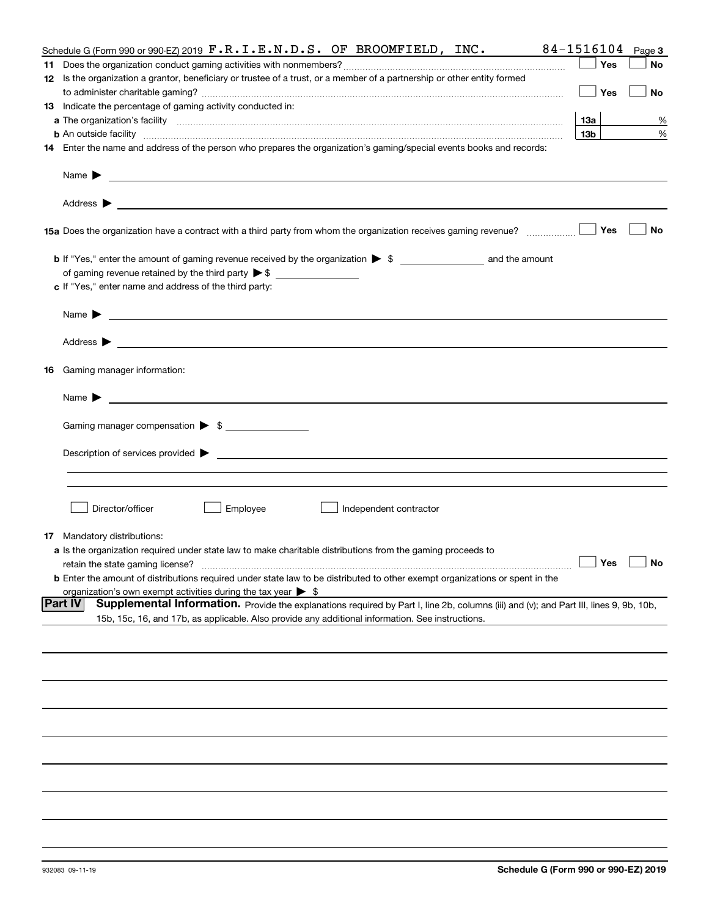| Schedule G (Form 990 or 990-EZ) 2019 $\mathbf{F} \cdot \mathbf{R} \cdot \mathbf{I} \cdot \mathbf{E} \cdot \mathbf{N} \cdot \mathbf{D} \cdot \mathbf{S}$ . OF BROOMFIELD, INC.                                                                                      | 84-1516104      | Page 3               |
|--------------------------------------------------------------------------------------------------------------------------------------------------------------------------------------------------------------------------------------------------------------------|-----------------|----------------------|
|                                                                                                                                                                                                                                                                    | Yes             | No                   |
| 12 Is the organization a grantor, beneficiary or trustee of a trust, or a member of a partnership or other entity formed                                                                                                                                           |                 |                      |
|                                                                                                                                                                                                                                                                    | Yes             | No                   |
| 13 Indicate the percentage of gaming activity conducted in:                                                                                                                                                                                                        |                 |                      |
|                                                                                                                                                                                                                                                                    | 13а             | %                    |
| <b>b</b> An outside facility <i>www.communicality contract and an executive contract and an executive contract and an executive contract and an executive contract and an executive contract and an executive contract and an executi</i>                          | 13 <sub>b</sub> | %                    |
|                                                                                                                                                                                                                                                                    |                 |                      |
| 14 Enter the name and address of the person who prepares the organization's gaming/special events books and records:                                                                                                                                               |                 |                      |
| Name $\blacktriangleright$<br><u>state and the state of the state of the state of the state of the state of the state of the state of the state of the state of the state of the state of the state of the state of the state of the state of the state of the</u> |                 |                      |
|                                                                                                                                                                                                                                                                    |                 |                      |
| 15a Does the organization have a contract with a third party from whom the organization receives gaming revenue?                                                                                                                                                   | Yes             | No                   |
| <b>b</b> If "Yes," enter the amount of gaming revenue received by the organization $\triangleright$ \$ ________________________ and the amount                                                                                                                     |                 |                      |
|                                                                                                                                                                                                                                                                    |                 |                      |
| c If "Yes," enter name and address of the third party:                                                                                                                                                                                                             |                 |                      |
| Name $\blacktriangleright$<br><u>state and the state of the state of the state of the state of the state of the state of the state of the state of the state of the state of the state of the state of the state of the state of the state of the state of the</u> |                 |                      |
|                                                                                                                                                                                                                                                                    |                 |                      |
|                                                                                                                                                                                                                                                                    |                 |                      |
| <b>16</b> Gaming manager information:                                                                                                                                                                                                                              |                 |                      |
| Name $\blacktriangleright$<br><u> 1989 - Johann Barbara, marka a shekara tsa 1989 - An tsa 1989 - An tsa 1989 - An tsa 1989 - An tsa 1989 - An</u>                                                                                                                 |                 |                      |
| Gaming manager compensation > \$                                                                                                                                                                                                                                   |                 |                      |
|                                                                                                                                                                                                                                                                    |                 |                      |
|                                                                                                                                                                                                                                                                    |                 |                      |
|                                                                                                                                                                                                                                                                    |                 |                      |
|                                                                                                                                                                                                                                                                    |                 |                      |
|                                                                                                                                                                                                                                                                    |                 |                      |
| Director/officer<br>Employee<br>Independent contractor                                                                                                                                                                                                             |                 |                      |
|                                                                                                                                                                                                                                                                    |                 |                      |
| <b>17</b> Mandatory distributions:                                                                                                                                                                                                                                 |                 |                      |
| a Is the organization required under state law to make charitable distributions from the gaming proceeds to                                                                                                                                                        |                 |                      |
| retain the state gaming license?                                                                                                                                                                                                                                   |                 | $\Box$ Yes $\Box$ No |
| <b>b</b> Enter the amount of distributions required under state law to be distributed to other exempt organizations or spent in the                                                                                                                                |                 |                      |
| organization's own exempt activities during the tax year $\triangleright$ \$<br><b>Part IV</b>                                                                                                                                                                     |                 |                      |
| Supplemental Information. Provide the explanations required by Part I, line 2b, columns (iii) and (v); and Part III, lines 9, 9b, 10b,                                                                                                                             |                 |                      |
| 15b, 15c, 16, and 17b, as applicable. Also provide any additional information. See instructions.                                                                                                                                                                   |                 |                      |
|                                                                                                                                                                                                                                                                    |                 |                      |
|                                                                                                                                                                                                                                                                    |                 |                      |
|                                                                                                                                                                                                                                                                    |                 |                      |
|                                                                                                                                                                                                                                                                    |                 |                      |
|                                                                                                                                                                                                                                                                    |                 |                      |
|                                                                                                                                                                                                                                                                    |                 |                      |
|                                                                                                                                                                                                                                                                    |                 |                      |
|                                                                                                                                                                                                                                                                    |                 |                      |
|                                                                                                                                                                                                                                                                    |                 |                      |
|                                                                                                                                                                                                                                                                    |                 |                      |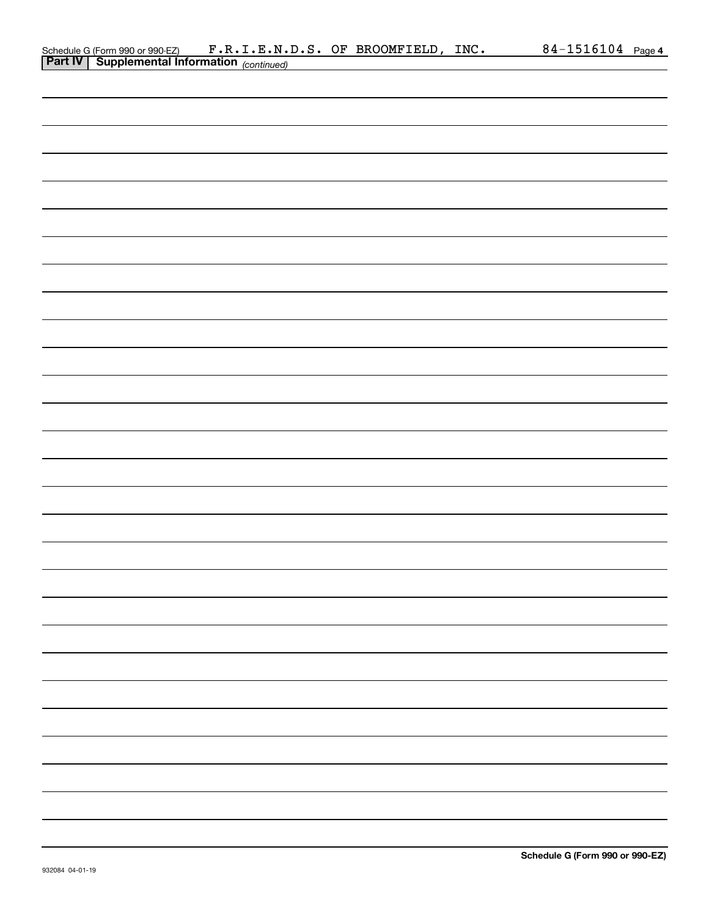|  |                                                                                                                    |  | <u>84-1516104 Page 4</u> |  |
|--|--------------------------------------------------------------------------------------------------------------------|--|--------------------------|--|
|  | Schedule G (Form 990 or 990 EZ) F.R.I.E.N.D.S. OF BROOMFIELD, INC.<br>Part IV Supplemental Information (continued) |  |                          |  |
|  |                                                                                                                    |  |                          |  |
|  |                                                                                                                    |  |                          |  |
|  |                                                                                                                    |  |                          |  |
|  |                                                                                                                    |  |                          |  |
|  |                                                                                                                    |  |                          |  |
|  |                                                                                                                    |  |                          |  |
|  |                                                                                                                    |  |                          |  |
|  |                                                                                                                    |  |                          |  |
|  |                                                                                                                    |  |                          |  |
|  |                                                                                                                    |  |                          |  |
|  |                                                                                                                    |  |                          |  |
|  |                                                                                                                    |  |                          |  |
|  |                                                                                                                    |  |                          |  |
|  |                                                                                                                    |  |                          |  |
|  |                                                                                                                    |  |                          |  |
|  |                                                                                                                    |  |                          |  |
|  |                                                                                                                    |  |                          |  |
|  |                                                                                                                    |  |                          |  |
|  |                                                                                                                    |  |                          |  |
|  |                                                                                                                    |  |                          |  |
|  |                                                                                                                    |  |                          |  |
|  |                                                                                                                    |  |                          |  |
|  |                                                                                                                    |  |                          |  |
|  |                                                                                                                    |  |                          |  |
|  |                                                                                                                    |  |                          |  |
|  |                                                                                                                    |  |                          |  |
|  |                                                                                                                    |  |                          |  |
|  |                                                                                                                    |  |                          |  |
|  |                                                                                                                    |  |                          |  |
|  |                                                                                                                    |  |                          |  |
|  |                                                                                                                    |  |                          |  |
|  |                                                                                                                    |  |                          |  |
|  |                                                                                                                    |  |                          |  |
|  |                                                                                                                    |  |                          |  |
|  |                                                                                                                    |  |                          |  |
|  |                                                                                                                    |  |                          |  |
|  |                                                                                                                    |  |                          |  |
|  |                                                                                                                    |  |                          |  |
|  |                                                                                                                    |  |                          |  |
|  |                                                                                                                    |  |                          |  |
|  |                                                                                                                    |  |                          |  |
|  |                                                                                                                    |  |                          |  |
|  |                                                                                                                    |  |                          |  |
|  |                                                                                                                    |  |                          |  |
|  |                                                                                                                    |  |                          |  |
|  |                                                                                                                    |  |                          |  |
|  |                                                                                                                    |  |                          |  |
|  |                                                                                                                    |  |                          |  |
|  |                                                                                                                    |  |                          |  |
|  |                                                                                                                    |  |                          |  |
|  |                                                                                                                    |  |                          |  |
|  |                                                                                                                    |  |                          |  |
|  |                                                                                                                    |  |                          |  |
|  |                                                                                                                    |  |                          |  |
|  |                                                                                                                    |  |                          |  |
|  |                                                                                                                    |  |                          |  |
|  |                                                                                                                    |  |                          |  |
|  |                                                                                                                    |  |                          |  |
|  |                                                                                                                    |  |                          |  |
|  |                                                                                                                    |  |                          |  |
|  |                                                                                                                    |  |                          |  |
|  |                                                                                                                    |  |                          |  |
|  |                                                                                                                    |  |                          |  |
|  |                                                                                                                    |  |                          |  |
|  |                                                                                                                    |  |                          |  |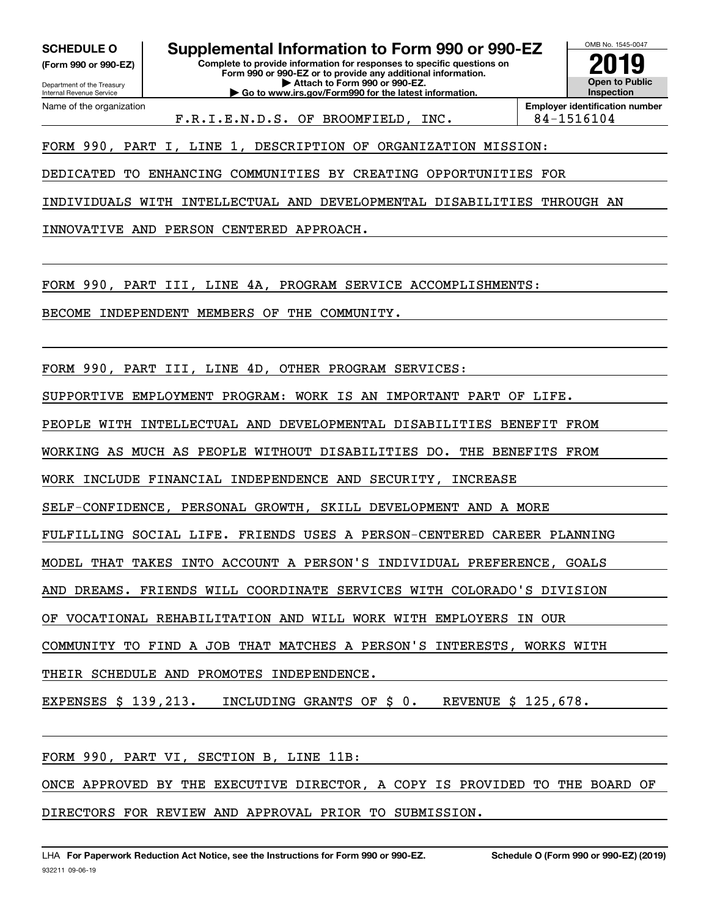**(Form 990 or 990-EZ)**

Department of the Treasury Internal Revenue Service Name of the organization

**SCHEDULE O Supplemental Information to Form 990 or 990-EZ**

**Complete to provide information for responses to specific questions on Form 990 or 990-EZ or to provide any additional information. | Attach to Form 990 or 990-EZ. | Go to www.irs.gov/Form990 for the latest information.**

OMB No. 1545-0047 **Open to Public Inspection2019**

F.R.I.E.N.D.S. OF BROOMFIELD, INC. | 84-1516104

**Employer identification number**

FORM 990, PART I, LINE 1, DESCRIPTION OF ORGANIZATION MISSION:

DEDICATED TO ENHANCING COMMUNITIES BY CREATING OPPORTUNITIES FOR

INDIVIDUALS WITH INTELLECTUAL AND DEVELOPMENTAL DISABILITIES THROUGH AN

INNOVATIVE AND PERSON CENTERED APPROACH.

FORM 990, PART III, LINE 4A, PROGRAM SERVICE ACCOMPLISHMENTS:

BECOME INDEPENDENT MEMBERS OF THE COMMUNITY.

FORM 990, PART III, LINE 4D, OTHER PROGRAM SERVICES:

SUPPORTIVE EMPLOYMENT PROGRAM: WORK IS AN IMPORTANT PART OF LIFE.

PEOPLE WITH INTELLECTUAL AND DEVELOPMENTAL DISABILITIES BENEFIT FROM

WORKING AS MUCH AS PEOPLE WITHOUT DISABILITIES DO. THE BENEFITS FROM

WORK INCLUDE FINANCIAL INDEPENDENCE AND SECURITY, INCREASE

SELF-CONFIDENCE, PERSONAL GROWTH, SKILL DEVELOPMENT AND A MORE

FULFILLING SOCIAL LIFE. FRIENDS USES A PERSON-CENTERED CAREER PLANNING

MODEL THAT TAKES INTO ACCOUNT A PERSON'S INDIVIDUAL PREFERENCE, GOALS

AND DREAMS. FRIENDS WILL COORDINATE SERVICES WITH COLORADO'S DIVISION

OF VOCATIONAL REHABILITATION AND WILL WORK WITH EMPLOYERS IN OUR

COMMUNITY TO FIND A JOB THAT MATCHES A PERSON'S INTERESTS, WORKS WITH

THEIR SCHEDULE AND PROMOTES INDEPENDENCE.

EXPENSES \$ 139,213. INCLUDING GRANTS OF \$ 0. REVENUE \$ 125,678.

FORM 990, PART VI, SECTION B, LINE 11B:

ONCE APPROVED BY THE EXECUTIVE DIRECTOR, A COPY IS PROVIDED TO THE BOARD OF DIRECTORS FOR REVIEW AND APPROVAL PRIOR TO SUBMISSION.